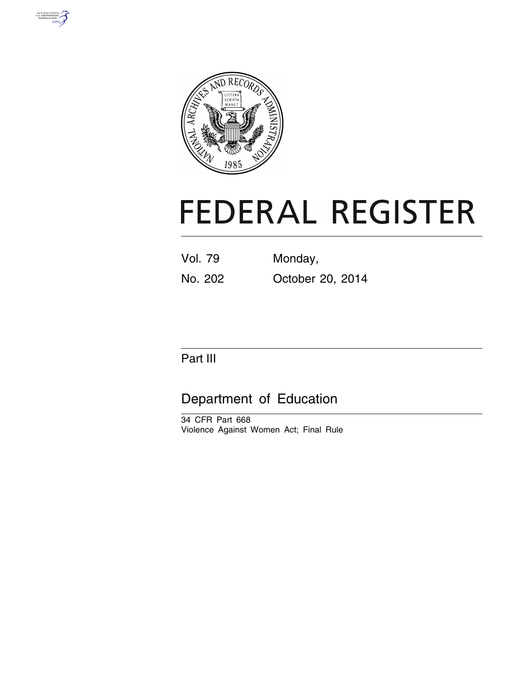



# **FEDERAL REGISTER**

Vol. 79 Monday, No. 202 October 20, 2014

## Part III

# Department of Education

34 CFR Part 668 Violence Against Women Act; Final Rule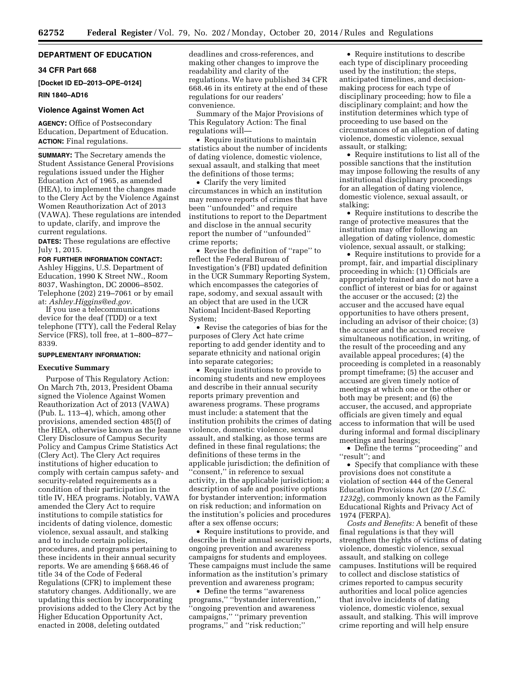## **DEPARTMENT OF EDUCATION**

## **34 CFR Part 668**

**[Docket ID ED–2013–OPE–0124]** 

## **RIN 1840–AD16**

## **Violence Against Women Act**

**AGENCY:** Office of Postsecondary Education, Department of Education. **ACTION:** Final regulations.

**SUMMARY:** The Secretary amends the Student Assistance General Provisions regulations issued under the Higher Education Act of 1965, as amended (HEA), to implement the changes made to the Clery Act by the Violence Against Women Reauthorization Act of 2013 (VAWA). These regulations are intended to update, clarify, and improve the current regulations.

**DATES:** These regulations are effective July 1, 2015.

#### **FOR FURTHER INFORMATION CONTACT:**

Ashley Higgins, U.S. Department of Education, 1990 K Street NW., Room 8037, Washington, DC 20006–8502. Telephone (202) 219–7061 or by email at: *[Ashley.Higgins@ed.gov.](mailto:Ashley.Higgins@ed.gov)* 

If you use a telecommunications device for the deaf (TDD) or a text telephone (TTY), call the Federal Relay Service (FRS), toll free, at 1–800–877– 8339.

## **SUPPLEMENTARY INFORMATION:**

## **Executive Summary**

Purpose of This Regulatory Action: On March 7th, 2013, President Obama signed the Violence Against Women Reauthorization Act of 2013 (VAWA) (Pub. L. 113–4), which, among other provisions, amended section 485(f) of the HEA, otherwise known as the Jeanne Clery Disclosure of Campus Security Policy and Campus Crime Statistics Act (Clery Act). The Clery Act requires institutions of higher education to comply with certain campus safety- and security-related requirements as a condition of their participation in the title IV, HEA programs. Notably, VAWA amended the Clery Act to require institutions to compile statistics for incidents of dating violence, domestic violence, sexual assault, and stalking and to include certain policies, procedures, and programs pertaining to these incidents in their annual security reports. We are amending § 668.46 of title 34 of the Code of Federal Regulations (CFR) to implement these statutory changes. Additionally, we are updating this section by incorporating provisions added to the Clery Act by the Higher Education Opportunity Act, enacted in 2008, deleting outdated

deadlines and cross-references, and making other changes to improve the readability and clarity of the regulations. We have published 34 CFR 668.46 in its entirety at the end of these regulations for our readers' convenience.

Summary of the Major Provisions of This Regulatory Action: The final regulations will—

• Require institutions to maintain statistics about the number of incidents of dating violence, domestic violence, sexual assault, and stalking that meet the definitions of those terms;

• Clarify the very limited circumstances in which an institution may remove reports of crimes that have been ''unfounded'' and require institutions to report to the Department and disclose in the annual security report the number of ''unfounded'' crime reports;

• Revise the definition of ''rape'' to reflect the Federal Bureau of Investigation's (FBI) updated definition in the UCR Summary Reporting System, which encompasses the categories of rape, sodomy, and sexual assault with an object that are used in the UCR National Incident-Based Reporting System;

• Revise the categories of bias for the purposes of Clery Act hate crime reporting to add gender identity and to separate ethnicity and national origin into separate categories;

• Require institutions to provide to incoming students and new employees and describe in their annual security reports primary prevention and awareness programs. These programs must include: a statement that the institution prohibits the crimes of dating violence, domestic violence, sexual assault, and stalking, as those terms are defined in these final regulations; the definitions of these terms in the applicable jurisdiction; the definition of ''consent,'' in reference to sexual activity, in the applicable jurisdiction; a description of safe and positive options for bystander intervention; information on risk reduction; and information on the institution's policies and procedures after a sex offense occurs;

• Require institutions to provide, and describe in their annual security reports, ongoing prevention and awareness campaigns for students and employees. These campaigns must include the same information as the institution's primary prevention and awareness program;

• Define the terms "awareness" programs,'' ''bystander intervention,'' ''ongoing prevention and awareness campaigns,'' ''primary prevention programs,'' and ''risk reduction;''

• Require institutions to describe each type of disciplinary proceeding used by the institution; the steps, anticipated timelines, and decisionmaking process for each type of disciplinary proceeding; how to file a disciplinary complaint; and how the institution determines which type of proceeding to use based on the circumstances of an allegation of dating violence, domestic violence, sexual assault, or stalking;

• Require institutions to list all of the possible sanctions that the institution may impose following the results of any institutional disciplinary proceedings for an allegation of dating violence, domestic violence, sexual assault, or stalking;

• Require institutions to describe the range of protective measures that the institution may offer following an allegation of dating violence, domestic violence, sexual assault, or stalking;

• Require institutions to provide for a prompt, fair, and impartial disciplinary proceeding in which: (1) Officials are appropriately trained and do not have a conflict of interest or bias for or against the accuser or the accused; (2) the accuser and the accused have equal opportunities to have others present, including an advisor of their choice; (3) the accuser and the accused receive simultaneous notification, in writing, of the result of the proceeding and any available appeal procedures; (4) the proceeding is completed in a reasonably prompt timeframe; (5) the accuser and accused are given timely notice of meetings at which one or the other or both may be present; and (6) the accuser, the accused, and appropriate officials are given timely and equal access to information that will be used during informal and formal disciplinary meetings and hearings;

• Define the terms ''proceeding'' and ''result''; and

• Specify that compliance with these provisions does not constitute a violation of section 444 of the General Education Provisions Act (*20 U.S.C. 1232g*), commonly known as the Family Educational Rights and Privacy Act of 1974 (FERPA).

*Costs and Benefits:* A benefit of these final regulations is that they will strengthen the rights of victims of dating violence, domestic violence, sexual assault, and stalking on college campuses. Institutions will be required to collect and disclose statistics of crimes reported to campus security authorities and local police agencies that involve incidents of dating violence, domestic violence, sexual assault, and stalking. This will improve crime reporting and will help ensure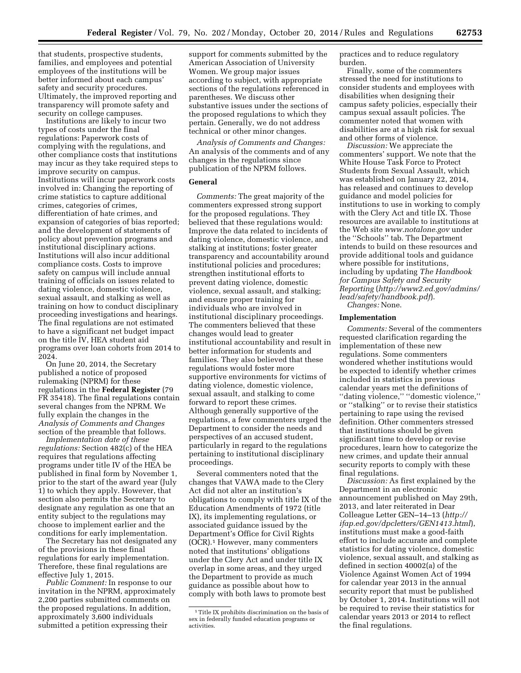that students, prospective students, families, and employees and potential employees of the institutions will be better informed about each campus' safety and security procedures. Ultimately, the improved reporting and transparency will promote safety and security on college campuses.

Institutions are likely to incur two types of costs under the final regulations: Paperwork costs of complying with the regulations, and other compliance costs that institutions may incur as they take required steps to improve security on campus. Institutions will incur paperwork costs involved in: Changing the reporting of crime statistics to capture additional crimes, categories of crimes, differentiation of hate crimes, and expansion of categories of bias reported; and the development of statements of policy about prevention programs and institutional disciplinary actions. Institutions will also incur additional compliance costs. Costs to improve safety on campus will include annual training of officials on issues related to dating violence, domestic violence, sexual assault, and stalking as well as training on how to conduct disciplinary proceeding investigations and hearings. The final regulations are not estimated to have a significant net budget impact on the title IV, HEA student aid programs over loan cohorts from 2014 to 2024.

On June 20, 2014, the Secretary published a notice of proposed rulemaking (NPRM) for these regulations in the **Federal Register** (79 FR 35418). The final regulations contain several changes from the NPRM. We fully explain the changes in the *Analysis of Comments and Changes*  section of the preamble that follows.

*Implementation date of these regulations:* Section 482(c) of the HEA requires that regulations affecting programs under title IV of the HEA be published in final form by November 1, prior to the start of the award year (July 1) to which they apply. However, that section also permits the Secretary to designate any regulation as one that an entity subject to the regulations may choose to implement earlier and the conditions for early implementation.

The Secretary has not designated any of the provisions in these final regulations for early implementation. Therefore, these final regulations are effective July 1, 2015.

*Public Comment:* In response to our invitation in the NPRM, approximately 2,200 parties submitted comments on the proposed regulations. In addition, approximately 3,600 individuals submitted a petition expressing their

support for comments submitted by the American Association of University Women. We group major issues according to subject, with appropriate sections of the regulations referenced in parentheses. We discuss other substantive issues under the sections of the proposed regulations to which they pertain. Generally, we do not address technical or other minor changes.

*Analysis of Comments and Changes:*  An analysis of the comments and of any changes in the regulations since publication of the NPRM follows.

## **General**

*Comments:* The great majority of the commenters expressed strong support for the proposed regulations. They believed that these regulations would: Improve the data related to incidents of dating violence, domestic violence, and stalking at institutions; foster greater transparency and accountability around institutional policies and procedures; strengthen institutional efforts to prevent dating violence, domestic violence, sexual assault, and stalking; and ensure proper training for individuals who are involved in institutional disciplinary proceedings. The commenters believed that these changes would lead to greater institutional accountability and result in better information for students and families. They also believed that these regulations would foster more supportive environments for victims of dating violence, domestic violence, sexual assault, and stalking to come forward to report these crimes. Although generally supportive of the regulations, a few commenters urged the Department to consider the needs and perspectives of an accused student, particularly in regard to the regulations pertaining to institutional disciplinary proceedings.

Several commenters noted that the changes that VAWA made to the Clery Act did not alter an institution's obligations to comply with title IX of the Education Amendments of 1972 (title IX), its implementing regulations, or associated guidance issued by the Department's Office for Civil Rights (OCR).1 However, many commenters noted that institutions' obligations under the Clery Act and under title IX overlap in some areas, and they urged the Department to provide as much guidance as possible about how to comply with both laws to promote best

practices and to reduce regulatory burden.

Finally, some of the commenters stressed the need for institutions to consider students and employees with disabilities when designing their campus safety policies, especially their campus sexual assault policies. The commenter noted that women with disabilities are at a high risk for sexual and other forms of violence.

*Discussion:* We appreciate the commenters' support. We note that the White House Task Force to Protect Students from Sexual Assault, which was established on January 22, 2014, has released and continues to develop guidance and model policies for institutions to use in working to comply with the Clery Act and title IX. Those resources are available to institutions at the Web site *[www.notalone.gov](http://www.notalone.gov)* under the ''Schools'' tab. The Department intends to build on these resources and provide additional tools and guidance where possible for institutions, including by updating *The Handbook for Campus Safety and Security Reporting* (*[http://www2.ed.gov/admins/](http://www2.ed.gov/admins/lead/safety/handbook.pdf) [lead/safety/handbook.pdf](http://www2.ed.gov/admins/lead/safety/handbook.pdf)*). *Changes:* None.

#### **Implementation**

*Comments:* Several of the commenters requested clarification regarding the implementation of these new regulations. Some commenters wondered whether institutions would be expected to identify whether crimes included in statistics in previous calendar years met the definitions of ''dating violence,'' ''domestic violence,'' or ''stalking'' or to revise their statistics pertaining to rape using the revised definition. Other commenters stressed that institutions should be given significant time to develop or revise procedures, learn how to categorize the new crimes, and update their annual security reports to comply with these final regulations.

*Discussion:* As first explained by the Department in an electronic announcement published on May 29th, 2013, and later reiterated in Dear Colleague Letter GEN–14–13 (*[http://](http://ifap.ed.gov/dpcletters/GEN1413.html) [ifap.ed.gov/dpcletters/GEN1413.html](http://ifap.ed.gov/dpcletters/GEN1413.html)*), institutions must make a good-faith effort to include accurate and complete statistics for dating violence, domestic violence, sexual assault, and stalking as defined in section 40002(a) of the Violence Against Women Act of 1994 for calendar year 2013 in the annual security report that must be published by October 1, 2014. Institutions will not be required to revise their statistics for calendar years 2013 or 2014 to reflect the final regulations.

<sup>&</sup>lt;sup>1</sup>Title IX prohibits discrimination on the basis of sex in federally funded education programs or activities.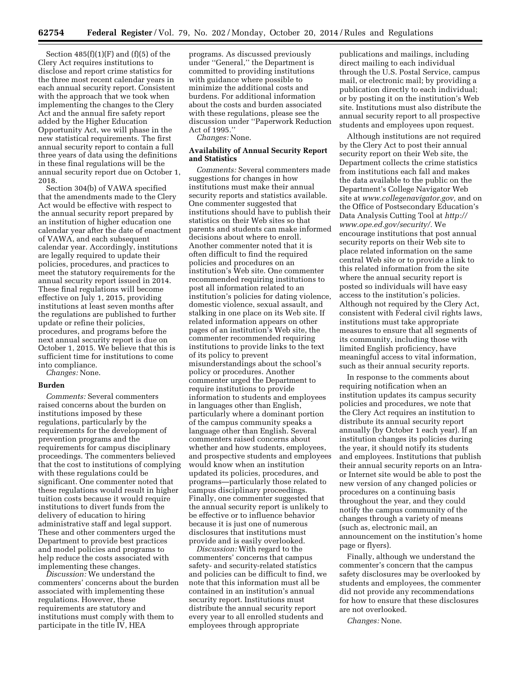Section  $485(f)(1)(F)$  and  $(f)(5)$  of the Clery Act requires institutions to disclose and report crime statistics for the three most recent calendar years in each annual security report. Consistent with the approach that we took when implementing the changes to the Clery Act and the annual fire safety report added by the Higher Education Opportunity Act, we will phase in the new statistical requirements. The first annual security report to contain a full three years of data using the definitions in these final regulations will be the annual security report due on October 1, 2018.

Section 304(b) of VAWA specified that the amendments made to the Clery Act would be effective with respect to the annual security report prepared by an institution of higher education one calendar year after the date of enactment of VAWA, and each subsequent calendar year. Accordingly, institutions are legally required to update their policies, procedures, and practices to meet the statutory requirements for the annual security report issued in 2014. These final regulations will become effective on July 1, 2015, providing institutions at least seven months after the regulations are published to further update or refine their policies, procedures, and programs before the next annual security report is due on October 1, 2015. We believe that this is sufficient time for institutions to come into compliance.

*Changes:* None.

## **Burden**

*Comments:* Several commenters raised concerns about the burden on institutions imposed by these regulations, particularly by the requirements for the development of prevention programs and the requirements for campus disciplinary proceedings. The commenters believed that the cost to institutions of complying with these regulations could be significant. One commenter noted that these regulations would result in higher tuition costs because it would require institutions to divert funds from the delivery of education to hiring administrative staff and legal support. These and other commenters urged the Department to provide best practices and model policies and programs to help reduce the costs associated with implementing these changes.

*Discussion:* We understand the commenters' concerns about the burden associated with implementing these regulations. However, these requirements are statutory and institutions must comply with them to participate in the title IV, HEA

programs. As discussed previously under ''General,'' the Department is committed to providing institutions with guidance where possible to minimize the additional costs and burdens. For additional information about the costs and burden associated with these regulations, please see the discussion under ''Paperwork Reduction Act of 1995.''

*Changes:* None.

## **Availability of Annual Security Report and Statistics**

*Comments:* Several commenters made suggestions for changes in how institutions must make their annual security reports and statistics available. One commenter suggested that institutions should have to publish their statistics on their Web sites so that parents and students can make informed decisions about where to enroll. Another commenter noted that it is often difficult to find the required policies and procedures on an institution's Web site. One commenter recommended requiring institutions to post all information related to an institution's policies for dating violence, domestic violence, sexual assault, and stalking in one place on its Web site. If related information appears on other pages of an institution's Web site, the commenter recommended requiring institutions to provide links to the text of its policy to prevent misunderstandings about the school's policy or procedures. Another commenter urged the Department to require institutions to provide information to students and employees in languages other than English, particularly where a dominant portion of the campus community speaks a language other than English. Several commenters raised concerns about whether and how students, employees, and prospective students and employees would know when an institution updated its policies, procedures, and programs—particularly those related to campus disciplinary proceedings. Finally, one commenter suggested that the annual security report is unlikely to be effective or to influence behavior because it is just one of numerous disclosures that institutions must provide and is easily overlooked.

*Discussion:* With regard to the commenters' concerns that campus safety- and security-related statistics and policies can be difficult to find, we note that this information must all be contained in an institution's annual security report. Institutions must distribute the annual security report every year to all enrolled students and employees through appropriate

publications and mailings, including direct mailing to each individual through the U.S. Postal Service, campus mail, or electronic mail; by providing a publication directly to each individual; or by posting it on the institution's Web site. Institutions must also distribute the annual security report to all prospective students and employees upon request.

Although institutions are not required by the Clery Act to post their annual security report on their Web site, the Department collects the crime statistics from institutions each fall and makes the data available to the public on the Department's College Navigator Web site at *[www.collegenavigator.gov,](http://www.collegenavigator.gov)* and on the Office of Postsecondary Education's Data Analysis Cutting Tool at *[http://](http://www.ope.ed.gov/security/) [www.ope.ed.gov/security/.](http://www.ope.ed.gov/security/)* We encourage institutions that post annual security reports on their Web site to place related information on the same central Web site or to provide a link to this related information from the site where the annual security report is posted so individuals will have easy access to the institution's policies. Although not required by the Clery Act, consistent with Federal civil rights laws, institutions must take appropriate measures to ensure that all segments of its community, including those with limited English proficiency, have meaningful access to vital information, such as their annual security reports.

In response to the comments about requiring notification when an institution updates its campus security policies and procedures, we note that the Clery Act requires an institution to distribute its annual security report annually (by October 1 each year). If an institution changes its policies during the year, it should notify its students and employees. Institutions that publish their annual security reports on an Intraor Internet site would be able to post the new version of any changed policies or procedures on a continuing basis throughout the year, and they could notify the campus community of the changes through a variety of means (such as, electronic mail, an announcement on the institution's home page or flyers).

Finally, although we understand the commenter's concern that the campus safety disclosures may be overlooked by students and employees, the commenter did not provide any recommendations for how to ensure that these disclosures are not overlooked.

*Changes:* None.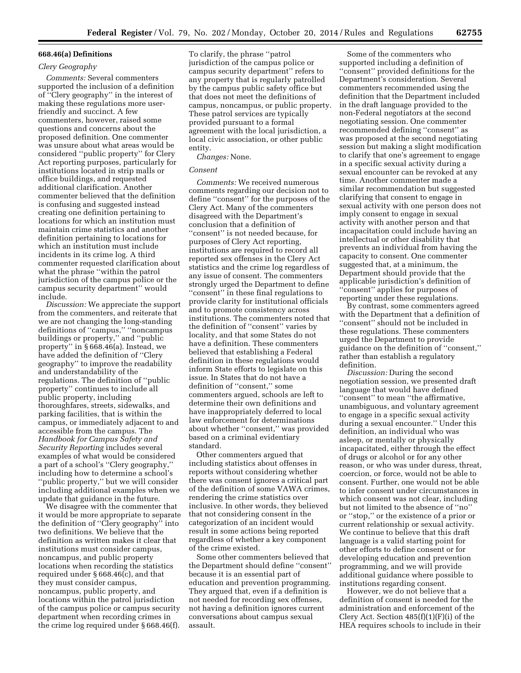#### **668.46(a) Definitions**

## *Clery Geography*

*Comments:* Several commenters supported the inclusion of a definition of ''Clery geography'' in the interest of making these regulations more userfriendly and succinct. A few commenters, however, raised some questions and concerns about the proposed definition. One commenter was unsure about what areas would be considered ''public property'' for Clery Act reporting purposes, particularly for institutions located in strip malls or office buildings, and requested additional clarification. Another commenter believed that the definition is confusing and suggested instead creating one definition pertaining to locations for which an institution must maintain crime statistics and another definition pertaining to locations for which an institution must include incidents in its crime log. A third commenter requested clarification about what the phrase ''within the patrol jurisdiction of the campus police or the campus security department'' would include.

*Discussion:* We appreciate the support from the commenters, and reiterate that we are not changing the long-standing definitions of ''campus,'' ''noncampus buildings or property,'' and ''public property'' in § 668.46(a). Instead, we have added the definition of ''Clery geography'' to improve the readability and understandability of the regulations. The definition of ''public property'' continues to include all public property, including thoroughfares, streets, sidewalks, and parking facilities, that is within the campus, or immediately adjacent to and accessible from the campus. The *Handbook for Campus Safety and Security Reporting* includes several examples of what would be considered a part of a school's ''Clery geography,'' including how to determine a school's ''public property,'' but we will consider including additional examples when we update that guidance in the future.

We disagree with the commenter that it would be more appropriate to separate the definition of "Clery geography" into two definitions. We believe that the definition as written makes it clear that institutions must consider campus, noncampus, and public property locations when recording the statistics required under § 668.46(c), and that they must consider campus, noncampus, public property, and locations within the patrol jurisdiction of the campus police or campus security department when recording crimes in the crime log required under § 668.46(f).

To clarify, the phrase ''patrol jurisdiction of the campus police or campus security department'' refers to any property that is regularly patrolled by the campus public safety office but that does not meet the definitions of campus, noncampus, or public property. These patrol services are typically provided pursuant to a formal agreement with the local jurisdiction, a local civic association, or other public entity.

*Changes:* None.

#### *Consent*

*Comments:* We received numerous comments regarding our decision not to define ''consent'' for the purposes of the Clery Act. Many of the commenters disagreed with the Department's conclusion that a definition of ''consent'' is not needed because, for purposes of Clery Act reporting, institutions are required to record all reported sex offenses in the Clery Act statistics and the crime log regardless of any issue of consent. The commenters strongly urged the Department to define ''consent'' in these final regulations to provide clarity for institutional officials and to promote consistency across institutions. The commenters noted that the definition of ''consent'' varies by locality, and that some States do not have a definition. These commenters believed that establishing a Federal definition in these regulations would inform State efforts to legislate on this issue. In States that do not have a definition of ''consent,'' some commenters argued, schools are left to determine their own definitions and have inappropriately deferred to local law enforcement for determinations about whether ''consent,'' was provided based on a criminal evidentiary standard.

Other commenters argued that including statistics about offenses in reports without considering whether there was consent ignores a critical part of the definition of some VAWA crimes, rendering the crime statistics over inclusive. In other words, they believed that not considering consent in the categorization of an incident would result in some actions being reported regardless of whether a key component of the crime existed.

Some other commenters believed that the Department should define ''consent'' because it is an essential part of education and prevention programming. They argued that, even if a definition is not needed for recording sex offenses, not having a definition ignores current conversations about campus sexual assault.

Some of the commenters who supported including a definition of ''consent'' provided definitions for the Department's consideration. Several commenters recommended using the definition that the Department included in the draft language provided to the non-Federal negotiators at the second negotiating session. One commenter recommended defining ''consent'' as was proposed at the second negotiating session but making a slight modification to clarify that one's agreement to engage in a specific sexual activity during a sexual encounter can be revoked at any time. Another commenter made a similar recommendation but suggested clarifying that consent to engage in sexual activity with one person does not imply consent to engage in sexual activity with another person and that incapacitation could include having an intellectual or other disability that prevents an individual from having the capacity to consent. One commenter suggested that, at a minimum, the Department should provide that the applicable jurisdiction's definition of ''consent'' applies for purposes of reporting under these regulations.

By contrast, some commenters agreed with the Department that a definition of ''consent'' should not be included in these regulations. These commenters urged the Department to provide guidance on the definition of ''consent,'' rather than establish a regulatory definition.

*Discussion:* During the second negotiation session, we presented draft language that would have defined ''consent'' to mean ''the affirmative, unambiguous, and voluntary agreement to engage in a specific sexual activity during a sexual encounter.'' Under this definition, an individual who was asleep, or mentally or physically incapacitated, either through the effect of drugs or alcohol or for any other reason, or who was under duress, threat, coercion, or force, would not be able to consent. Further, one would not be able to infer consent under circumstances in which consent was not clear, including but not limited to the absence of ''no'' or ''stop,'' or the existence of a prior or current relationship or sexual activity. We continue to believe that this draft language is a valid starting point for other efforts to define consent or for developing education and prevention programming, and we will provide additional guidance where possible to institutions regarding consent.

However, we do not believe that a definition of consent is needed for the administration and enforcement of the Clery Act. Section  $485(f)(1)(F)(i)$  of the HEA requires schools to include in their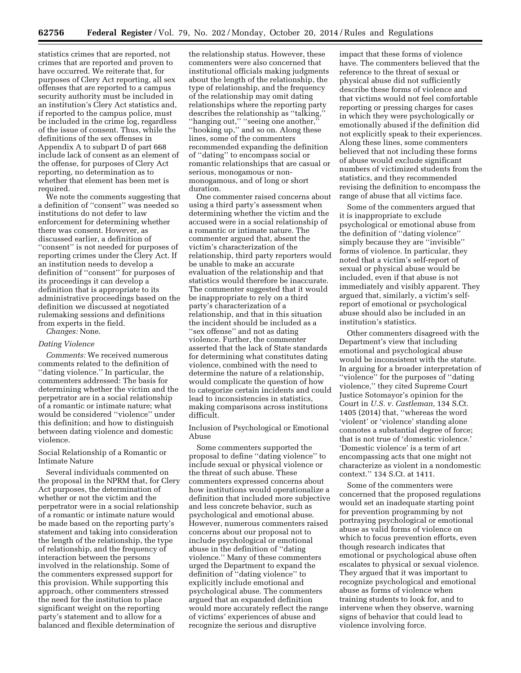statistics crimes that are reported, not crimes that are reported and proven to have occurred. We reiterate that, for purposes of Clery Act reporting, all sex offenses that are reported to a campus security authority must be included in an institution's Clery Act statistics and, if reported to the campus police, must be included in the crime log, regardless of the issue of consent. Thus, while the definitions of the sex offenses in Appendix A to subpart D of part 668 include lack of consent as an element of the offense, for purposes of Clery Act reporting, no determination as to whether that element has been met is required.

We note the comments suggesting that a definition of ''consent'' was needed so institutions do not defer to law enforcement for determining whether there was consent. However, as discussed earlier, a definition of ''consent'' is not needed for purposes of reporting crimes under the Clery Act. If an institution needs to develop a definition of ''consent'' for purposes of its proceedings it can develop a definition that is appropriate to its administrative proceedings based on the definition we discussed at negotiated rulemaking sessions and definitions from experts in the field.

*Changes:* None.

## *Dating Violence*

*Comments:* We received numerous comments related to the definition of ''dating violence.'' In particular, the commenters addressed: The basis for determining whether the victim and the perpetrator are in a social relationship of a romantic or intimate nature; what would be considered ''violence'' under this definition; and how to distinguish between dating violence and domestic violence.

Social Relationship of a Romantic or Intimate Nature

Several individuals commented on the proposal in the NPRM that, for Clery Act purposes, the determination of whether or not the victim and the perpetrator were in a social relationship of a romantic or intimate nature would be made based on the reporting party's statement and taking into consideration the length of the relationship, the type of relationship, and the frequency of interaction between the persons involved in the relationship. Some of the commenters expressed support for this provision. While supporting this approach, other commenters stressed the need for the institution to place significant weight on the reporting party's statement and to allow for a balanced and flexible determination of

the relationship status. However, these commenters were also concerned that institutional officials making judgments about the length of the relationship, the type of relationship, and the frequency of the relationship may omit dating relationships where the reporting party describes the relationship as ''talking,'' ''hanging out,'' ''seeing one another,'' ''hooking up,'' and so on. Along these lines, some of the commenters recommended expanding the definition of ''dating'' to encompass social or romantic relationships that are casual or serious, monogamous or nonmonogamous, and of long or short duration.

One commenter raised concerns about using a third party's assessment when determining whether the victim and the accused were in a social relationship of a romantic or intimate nature. The commenter argued that, absent the victim's characterization of the relationship, third party reporters would be unable to make an accurate evaluation of the relationship and that statistics would therefore be inaccurate. The commenter suggested that it would be inappropriate to rely on a third party's characterization of a relationship, and that in this situation the incident should be included as a ''sex offense'' and not as dating violence. Further, the commenter asserted that the lack of State standards for determining what constitutes dating violence, combined with the need to determine the nature of a relationship, would complicate the question of how to categorize certain incidents and could lead to inconsistencies in statistics, making comparisons across institutions difficult.

Inclusion of Psychological or Emotional Abuse

Some commenters supported the proposal to define ''dating violence'' to include sexual or physical violence or the threat of such abuse. These commenters expressed concerns about how institutions would operationalize a definition that included more subjective and less concrete behavior, such as psychological and emotional abuse. However, numerous commenters raised concerns about our proposal not to include psychological or emotional abuse in the definition of ''dating violence.'' Many of these commenters urged the Department to expand the definition of ''dating violence'' to explicitly include emotional and psychological abuse. The commenters argued that an expanded definition would more accurately reflect the range of victims' experiences of abuse and recognize the serious and disruptive

impact that these forms of violence have. The commenters believed that the reference to the threat of sexual or physical abuse did not sufficiently describe these forms of violence and that victims would not feel comfortable reporting or pressing charges for cases in which they were psychologically or emotionally abused if the definition did not explicitly speak to their experiences. Along these lines, some commenters believed that not including these forms of abuse would exclude significant numbers of victimized students from the statistics, and they recommended revising the definition to encompass the range of abuse that all victims face.

Some of the commenters argued that it is inappropriate to exclude psychological or emotional abuse from the definition of ''dating violence'' simply because they are ''invisible'' forms of violence. In particular, they noted that a victim's self-report of sexual or physical abuse would be included, even if that abuse is not immediately and visibly apparent. They argued that, similarly, a victim's selfreport of emotional or psychological abuse should also be included in an institution's statistics.

Other commenters disagreed with the Department's view that including emotional and psychological abuse would be inconsistent with the statute. In arguing for a broader interpretation of ''violence'' for the purposes of ''dating violence,'' they cited Supreme Court Justice Sotomayor's opinion for the Court in *U.S. v. Castleman,* 134 S.Ct. 1405 (2014) that, ''whereas the word 'violent' or 'violence' standing alone connotes a substantial degree of force; that is not true of 'domestic violence.' 'Domestic violence' is a term of art encompassing acts that one might not characterize as violent in a nondomestic context.'' 134 S.Ct. at 1411.

Some of the commenters were concerned that the proposed regulations would set an inadequate starting point for prevention programming by not portraying psychological or emotional abuse as valid forms of violence on which to focus prevention efforts, even though research indicates that emotional or psychological abuse often escalates to physical or sexual violence. They argued that it was important to recognize psychological and emotional abuse as forms of violence when training students to look for, and to intervene when they observe, warning signs of behavior that could lead to violence involving force.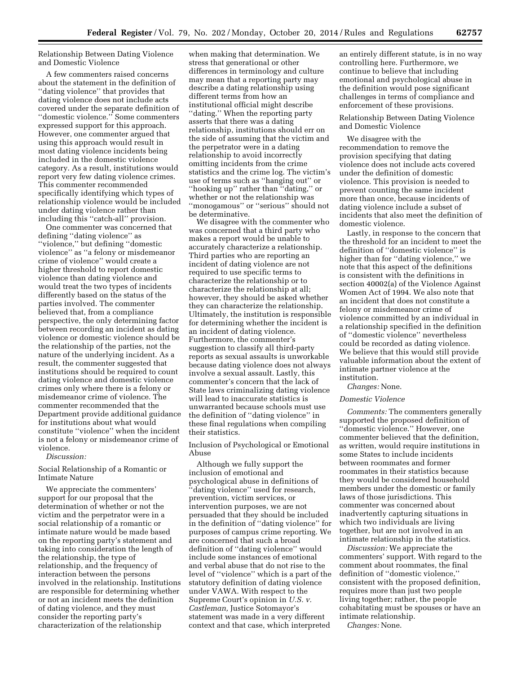Relationship Between Dating Violence and Domestic Violence

A few commenters raised concerns about the statement in the definition of ''dating violence'' that provides that dating violence does not include acts covered under the separate definition of ''domestic violence.'' Some commenters expressed support for this approach. However, one commenter argued that using this approach would result in most dating violence incidents being included in the domestic violence category. As a result, institutions would report very few dating violence crimes. This commenter recommended specifically identifying which types of relationship violence would be included under dating violence rather than including this ''catch-all'' provision.

One commenter was concerned that defining ''dating violence'' as ''violence,'' but defining ''domestic violence'' as ''a felony or misdemeanor crime of violence'' would create a higher threshold to report domestic violence than dating violence and would treat the two types of incidents differently based on the status of the parties involved. The commenter believed that, from a compliance perspective, the only determining factor between recording an incident as dating violence or domestic violence should be the relationship of the parties, not the nature of the underlying incident. As a result, the commenter suggested that institutions should be required to count dating violence and domestic violence crimes only where there is a felony or misdemeanor crime of violence. The commenter recommended that the Department provide additional guidance for institutions about what would constitute ''violence'' when the incident is not a felony or misdemeanor crime of violence.

*Discussion:* 

Social Relationship of a Romantic or Intimate Nature

We appreciate the commenters' support for our proposal that the determination of whether or not the victim and the perpetrator were in a social relationship of a romantic or intimate nature would be made based on the reporting party's statement and taking into consideration the length of the relationship, the type of relationship, and the frequency of interaction between the persons involved in the relationship. Institutions are responsible for determining whether or not an incident meets the definition of dating violence, and they must consider the reporting party's characterization of the relationship

when making that determination. We stress that generational or other differences in terminology and culture may mean that a reporting party may describe a dating relationship using different terms from how an institutional official might describe ''dating.'' When the reporting party asserts that there was a dating relationship, institutions should err on the side of assuming that the victim and the perpetrator were in a dating relationship to avoid incorrectly omitting incidents from the crime statistics and the crime log. The victim's use of terms such as ''hanging out'' or ''hooking up'' rather than ''dating,'' or whether or not the relationship was ''monogamous'' or ''serious'' should not be determinative.

We disagree with the commenter who was concerned that a third party who makes a report would be unable to accurately characterize a relationship. Third parties who are reporting an incident of dating violence are not required to use specific terms to characterize the relationship or to characterize the relationship at all; however, they should be asked whether they can characterize the relationship. Ultimately, the institution is responsible for determining whether the incident is an incident of dating violence. Furthermore, the commenter's suggestion to classify all third-party reports as sexual assaults is unworkable because dating violence does not always involve a sexual assault. Lastly, this commenter's concern that the lack of State laws criminalizing dating violence will lead to inaccurate statistics is unwarranted because schools must use the definition of ''dating violence'' in these final regulations when compiling their statistics.

Inclusion of Psychological or Emotional Abuse

Although we fully support the inclusion of emotional and psychological abuse in definitions of ''dating violence'' used for research, prevention, victim services, or intervention purposes, we are not persuaded that they should be included in the definition of ''dating violence'' for purposes of campus crime reporting. We are concerned that such a broad definition of ''dating violence'' would include some instances of emotional and verbal abuse that do not rise to the level of ''violence'' which is a part of the statutory definition of dating violence under VAWA. With respect to the Supreme Court's opinion in *U.S. v. Castleman,* Justice Sotomayor's statement was made in a very different context and that case, which interpreted

an entirely different statute, is in no way controlling here. Furthermore, we continue to believe that including emotional and psychological abuse in the definition would pose significant challenges in terms of compliance and enforcement of these provisions.

Relationship Between Dating Violence and Domestic Violence

We disagree with the recommendation to remove the provision specifying that dating violence does not include acts covered under the definition of domestic violence. This provision is needed to prevent counting the same incident more than once, because incidents of dating violence include a subset of incidents that also meet the definition of domestic violence.

Lastly, in response to the concern that the threshold for an incident to meet the definition of ''domestic violence'' is higher than for ''dating violence,'' we note that this aspect of the definitions is consistent with the definitions in section 40002(a) of the Violence Against Women Act of 1994. We also note that an incident that does not constitute a felony or misdemeanor crime of violence committed by an individual in a relationship specified in the definition of ''domestic violence'' nevertheless could be recorded as dating violence. We believe that this would still provide valuable information about the extent of intimate partner violence at the institution.

*Changes:* None.

#### *Domestic Violence*

*Comments:* The commenters generally supported the proposed definition of ''domestic violence.'' However, one commenter believed that the definition, as written, would require institutions in some States to include incidents between roommates and former roommates in their statistics because they would be considered household members under the domestic or family laws of those jurisdictions. This commenter was concerned about inadvertently capturing situations in which two individuals are living together, but are not involved in an intimate relationship in the statistics.

*Discussion:* We appreciate the commenters' support. With regard to the comment about roommates, the final definition of ''domestic violence,'' consistent with the proposed definition, requires more than just two people living together; rather, the people cohabitating must be spouses or have an intimate relationship.

*Changes:* None.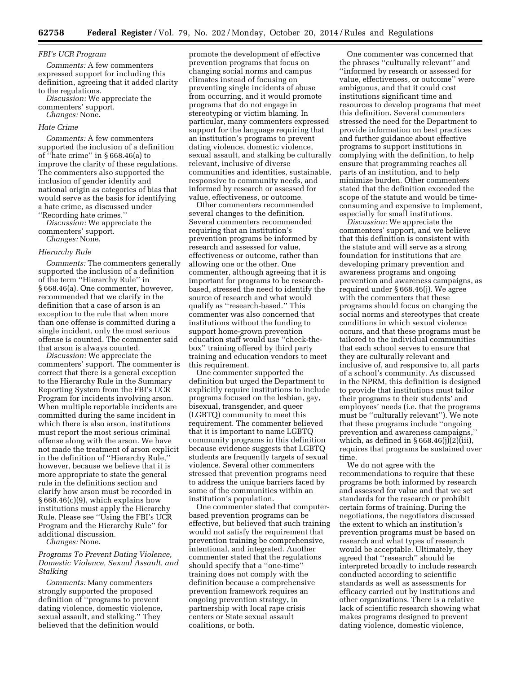## *FBI's UCR Program*

*Comments:* A few commenters expressed support for including this definition, agreeing that it added clarity to the regulations.

*Discussion:* We appreciate the commenters' support. *Changes:* None.

#### *Hate Crime*

*Comments:* A few commenters supported the inclusion of a definition of ''hate crime'' in § 668.46(a) to improve the clarity of these regulations. The commenters also supported the inclusion of gender identity and national origin as categories of bias that would serve as the basis for identifying a hate crime, as discussed under ''Recording hate crimes.''

*Discussion:* We appreciate the commenters' support.

*Changes:* None.

#### *Hierarchy Rule*

*Comments:* The commenters generally supported the inclusion of a definition of the term ''Hierarchy Rule'' in § 668.46(a). One commenter, however, recommended that we clarify in the definition that a case of arson is an exception to the rule that when more than one offense is committed during a single incident, only the most serious offense is counted. The commenter said that arson is always counted.

*Discussion:* We appreciate the commenters' support. The commenter is correct that there is a general exception to the Hierarchy Rule in the Summary Reporting System from the FBI's UCR Program for incidents involving arson. When multiple reportable incidents are committed during the same incident in which there is also arson, institutions must report the most serious criminal offense along with the arson. We have not made the treatment of arson explicit in the definition of ''Hierarchy Rule,'' however, because we believe that it is more appropriate to state the general rule in the definitions section and clarify how arson must be recorded in § 668.46(c)(9), which explains how institutions must apply the Hierarchy Rule. Please see ''Using the FBI's UCR Program and the Hierarchy Rule'' for additional discussion.

*Changes:* None.

## *Programs To Prevent Dating Violence, Domestic Violence, Sexual Assault, and Stalking*

*Comments:* Many commenters strongly supported the proposed definition of ''programs to prevent dating violence, domestic violence, sexual assault, and stalking.'' They believed that the definition would

promote the development of effective prevention programs that focus on changing social norms and campus climates instead of focusing on preventing single incidents of abuse from occurring, and it would promote programs that do not engage in stereotyping or victim blaming. In particular, many commenters expressed support for the language requiring that an institution's programs to prevent dating violence, domestic violence, sexual assault, and stalking be culturally relevant, inclusive of diverse communities and identities, sustainable, responsive to community needs, and informed by research or assessed for value, effectiveness, or outcome.

Other commenters recommended several changes to the definition. Several commenters recommended requiring that an institution's prevention programs be informed by research and assessed for value, effectiveness or outcome, rather than allowing one or the other. One commenter, although agreeing that it is important for programs to be researchbased, stressed the need to identify the source of research and what would qualify as ''research-based.'' This commenter was also concerned that institutions without the funding to support home-grown prevention education staff would use ''check-thebox'' training offered by third party training and education vendors to meet this requirement.

One commenter supported the definition but urged the Department to explicitly require institutions to include programs focused on the lesbian, gay, bisexual, transgender, and queer (LGBTQ) community to meet this requirement. The commenter believed that it is important to name LGBTQ community programs in this definition because evidence suggests that LGBTQ students are frequently targets of sexual violence. Several other commenters stressed that prevention programs need to address the unique barriers faced by some of the communities within an institution's population.

One commenter stated that computerbased prevention programs can be effective, but believed that such training would not satisfy the requirement that prevention training be comprehensive, intentional, and integrated. Another commenter stated that the regulations should specify that a ''one-time'' training does not comply with the definition because a comprehensive prevention framework requires an ongoing prevention strategy, in partnership with local rape crisis centers or State sexual assault coalitions, or both.

One commenter was concerned that the phrases ''culturally relevant'' and ''informed by research or assessed for value, effectiveness, or outcome'' were ambiguous, and that it could cost institutions significant time and resources to develop programs that meet this definition. Several commenters stressed the need for the Department to provide information on best practices and further guidance about effective programs to support institutions in complying with the definition, to help ensure that programming reaches all parts of an institution, and to help minimize burden. Other commenters stated that the definition exceeded the scope of the statute and would be timeconsuming and expensive to implement, especially for small institutions.

*Discussion:* We appreciate the commenters' support, and we believe that this definition is consistent with the statute and will serve as a strong foundation for institutions that are developing primary prevention and awareness programs and ongoing prevention and awareness campaigns, as required under § 668.46(j). We agree with the commenters that these programs should focus on changing the social norms and stereotypes that create conditions in which sexual violence occurs, and that these programs must be tailored to the individual communities that each school serves to ensure that they are culturally relevant and inclusive of, and responsive to, all parts of a school's community. As discussed in the NPRM, this definition is designed to provide that institutions must tailor their programs to their students' and employees' needs (i.e. that the programs must be ''culturally relevant''). We note that these programs include ''ongoing prevention and awareness campaigns,'' which, as defined in  $\S 668.46(j)(2)(iii)$ , requires that programs be sustained over time.

We do not agree with the recommendations to require that these programs be both informed by research and assessed for value and that we set standards for the research or prohibit certain forms of training. During the negotiations, the negotiators discussed the extent to which an institution's prevention programs must be based on research and what types of research would be acceptable. Ultimately, they agreed that ''research'' should be interpreted broadly to include research conducted according to scientific standards as well as assessments for efficacy carried out by institutions and other organizations. There is a relative lack of scientific research showing what makes programs designed to prevent dating violence, domestic violence,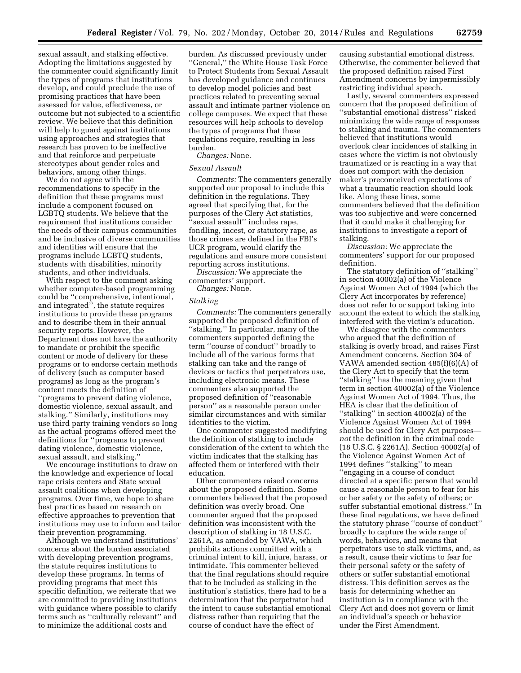sexual assault, and stalking effective. Adopting the limitations suggested by the commenter could significantly limit the types of programs that institutions develop, and could preclude the use of promising practices that have been assessed for value, effectiveness, or outcome but not subjected to a scientific review. We believe that this definition will help to guard against institutions using approaches and strategies that research has proven to be ineffective and that reinforce and perpetuate stereotypes about gender roles and behaviors, among other things.

We do not agree with the recommendations to specify in the definition that these programs must include a component focused on LGBTQ students. We believe that the requirement that institutions consider the needs of their campus communities and be inclusive of diverse communities and identities will ensure that the programs include LGBTQ students, students with disabilities, minority students, and other individuals.

With respect to the comment asking whether computer-based programming could be ''comprehensive, intentional, and integrated'', the statute requires institutions to provide these programs and to describe them in their annual security reports. However, the Department does not have the authority to mandate or prohibit the specific content or mode of delivery for these programs or to endorse certain methods of delivery (such as computer based programs) as long as the program's content meets the definition of ''programs to prevent dating violence, domestic violence, sexual assault, and stalking.'' Similarly, institutions may use third party training vendors so long as the actual programs offered meet the definitions for ''programs to prevent dating violence, domestic violence, sexual assault, and stalking.''

We encourage institutions to draw on the knowledge and experience of local rape crisis centers and State sexual assault coalitions when developing programs. Over time, we hope to share best practices based on research on effective approaches to prevention that institutions may use to inform and tailor their prevention programming.

Although we understand institutions' concerns about the burden associated with developing prevention programs, the statute requires institutions to develop these programs. In terms of providing programs that meet this specific definition, we reiterate that we are committed to providing institutions with guidance where possible to clarify terms such as ''culturally relevant'' and to minimize the additional costs and

burden. As discussed previously under ''General,'' the White House Task Force to Protect Students from Sexual Assault has developed guidance and continues to develop model policies and best practices related to preventing sexual assault and intimate partner violence on college campuses. We expect that these resources will help schools to develop the types of programs that these regulations require, resulting in less burden.

*Changes:* None.

#### *Sexual Assault*

*Comments:* The commenters generally supported our proposal to include this definition in the regulations. They agreed that specifying that, for the purposes of the Clery Act statistics, ''sexual assault'' includes rape, fondling, incest, or statutory rape, as those crimes are defined in the FBI's UCR program, would clarify the regulations and ensure more consistent reporting across institutions.

*Discussion:* We appreciate the commenters' support.

*Changes:* None.

## *Stalking*

*Comments:* The commenters generally supported the proposed definition of ''stalking.'' In particular, many of the commenters supported defining the term ''course of conduct'' broadly to include all of the various forms that stalking can take and the range of devices or tactics that perpetrators use, including electronic means. These commenters also supported the proposed definition of ''reasonable person'' as a reasonable person under similar circumstances and with similar identities to the victim.

One commenter suggested modifying the definition of stalking to include consideration of the extent to which the victim indicates that the stalking has affected them or interfered with their education.

Other commenters raised concerns about the proposed definition. Some commenters believed that the proposed definition was overly broad. One commenter argued that the proposed definition was inconsistent with the description of stalking in 18 U.S.C. 2261A, as amended by VAWA, which prohibits actions committed with a criminal intent to kill, injure, harass, or intimidate. This commenter believed that the final regulations should require that to be included as stalking in the institution's statistics, there had to be a determination that the perpetrator had the intent to cause substantial emotional distress rather than requiring that the course of conduct have the effect of

causing substantial emotional distress. Otherwise, the commenter believed that the proposed definition raised First Amendment concerns by impermissibly restricting individual speech.

Lastly, several commenters expressed concern that the proposed definition of ''substantial emotional distress'' risked minimizing the wide range of responses to stalking and trauma. The commenters believed that institutions would overlook clear incidences of stalking in cases where the victim is not obviously traumatized or is reacting in a way that does not comport with the decision maker's preconceived expectations of what a traumatic reaction should look like. Along these lines, some commenters believed that the definition was too subjective and were concerned that it could make it challenging for institutions to investigate a report of stalking.

*Discussion:* We appreciate the commenters' support for our proposed definition.

The statutory definition of ''stalking'' in section 40002(a) of the Violence Against Women Act of 1994 (which the Clery Act incorporates by reference) does not refer to or support taking into account the extent to which the stalking interfered with the victim's education.

We disagree with the commenters who argued that the definition of stalking is overly broad, and raises First Amendment concerns. Section 304 of VAWA amended section 485(f)(6)(A) of the Clery Act to specify that the term ''stalking'' has the meaning given that term in section 40002(a) of the Violence Against Women Act of 1994. Thus, the HEA is clear that the definition of ''stalking'' in section 40002(a) of the Violence Against Women Act of 1994 should be used for Clery Act purposes *not* the definition in the criminal code (18 U.S.C. § 2261A). Section 40002(a) of the Violence Against Women Act of 1994 defines ''stalking'' to mean ''engaging in a course of conduct directed at a specific person that would cause a reasonable person to fear for his or her safety or the safety of others; or suffer substantial emotional distress.'' In these final regulations, we have defined the statutory phrase ''course of conduct'' broadly to capture the wide range of words, behaviors, and means that perpetrators use to stalk victims, and, as a result, cause their victims to fear for their personal safety or the safety of others or suffer substantial emotional distress. This definition serves as the basis for determining whether an institution is in compliance with the Clery Act and does not govern or limit an individual's speech or behavior under the First Amendment.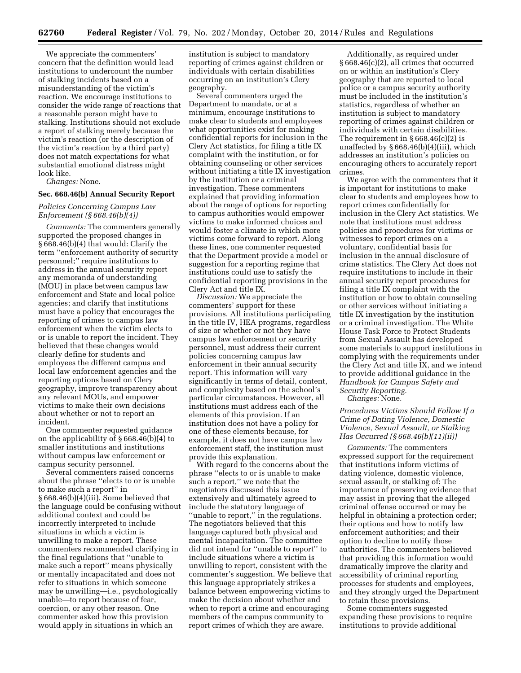We appreciate the commenters' concern that the definition would lead institutions to undercount the number of stalking incidents based on a misunderstanding of the victim's reaction. We encourage institutions to consider the wide range of reactions that a reasonable person might have to stalking. Institutions should not exclude a report of stalking merely because the victim's reaction (or the description of the victim's reaction by a third party) does not match expectations for what substantial emotional distress might look like.

*Changes:* None.

## **Sec. 668.46(b) Annual Security Report**

*Policies Concerning Campus Law Enforcement (§ 668.46(b)(4))* 

*Comments:* The commenters generally supported the proposed changes in § 668.46(b)(4) that would: Clarify the term ''enforcement authority of security personnel;'' require institutions to address in the annual security report any memoranda of understanding (MOU) in place between campus law enforcement and State and local police agencies; and clarify that institutions must have a policy that encourages the reporting of crimes to campus law enforcement when the victim elects to or is unable to report the incident. They believed that these changes would clearly define for students and employees the different campus and local law enforcement agencies and the reporting options based on Clery geography, improve transparency about any relevant MOUs, and empower victims to make their own decisions about whether or not to report an incident.

One commenter requested guidance on the applicability of § 668.46(b)(4) to smaller institutions and institutions without campus law enforcement or campus security personnel.

Several commenters raised concerns about the phrase ''elects to or is unable to make such a report'' in § 668.46(b)(4)(iii). Some believed that the language could be confusing without additional context and could be incorrectly interpreted to include situations in which a victim is unwilling to make a report. These commenters recommended clarifying in the final regulations that ''unable to make such a report'' means physically or mentally incapacitated and does not refer to situations in which someone may be unwilling—i.e., psychologically unable—to report because of fear, coercion, or any other reason. One commenter asked how this provision would apply in situations in which an

institution is subject to mandatory reporting of crimes against children or individuals with certain disabilities occurring on an institution's Clery geography.

Several commenters urged the Department to mandate, or at a minimum, encourage institutions to make clear to students and employees what opportunities exist for making confidential reports for inclusion in the Clery Act statistics, for filing a title IX complaint with the institution, or for obtaining counseling or other services without initiating a title IX investigation by the institution or a criminal investigation. These commenters explained that providing information about the range of options for reporting to campus authorities would empower victims to make informed choices and would foster a climate in which more victims come forward to report. Along these lines, one commenter requested that the Department provide a model or suggestion for a reporting regime that institutions could use to satisfy the confidential reporting provisions in the Clery Act and title IX.

*Discussion:* We appreciate the commenters' support for these provisions. All institutions participating in the title IV, HEA programs, regardless of size or whether or not they have campus law enforcement or security personnel, must address their current policies concerning campus law enforcement in their annual security report. This information will vary significantly in terms of detail, content, and complexity based on the school's particular circumstances. However, all institutions must address each of the elements of this provision. If an institution does not have a policy for one of these elements because, for example, it does not have campus law enforcement staff, the institution must provide this explanation.

With regard to the concerns about the phrase ''elects to or is unable to make such a report,'' we note that the negotiators discussed this issue extensively and ultimately agreed to include the statutory language of "unable to report," in the regulations. The negotiators believed that this language captured both physical and mental incapacitation. The committee did not intend for ''unable to report'' to include situations where a victim is unwilling to report, consistent with the commenter's suggestion. We believe that this language appropriately strikes a balance between empowering victims to make the decision about whether and when to report a crime and encouraging members of the campus community to report crimes of which they are aware.

Additionally, as required under § 668.46(c)(2), all crimes that occurred on or within an institution's Clery geography that are reported to local police or a campus security authority must be included in the institution's statistics, regardless of whether an institution is subject to mandatory reporting of crimes against children or individuals with certain disabilities. The requirement in  $\S 668.46(c)(2)$  is unaffected by  $\S 668.46(b)(4)(iii)$ , which addresses an institution's policies on encouraging others to accurately report crimes.

We agree with the commenters that it is important for institutions to make clear to students and employees how to report crimes confidentially for inclusion in the Clery Act statistics. We note that institutions must address policies and procedures for victims or witnesses to report crimes on a voluntary, confidential basis for inclusion in the annual disclosure of crime statistics. The Clery Act does not require institutions to include in their annual security report procedures for filing a title IX complaint with the institution or how to obtain counseling or other services without initiating a title IX investigation by the institution or a criminal investigation. The White House Task Force to Protect Students from Sexual Assault has developed some materials to support institutions in complying with the requirements under the Clery Act and title IX, and we intend to provide additional guidance in the *Handbook for Campus Safety and Security Reporting. Changes:* None.

*Procedures Victims Should Follow If a Crime of Dating Violence, Domestic Violence, Sexual Assault, or Stalking Has Occurred (§ 668.46(b)(11)(ii))* 

*Comments:* The commenters expressed support for the requirement that institutions inform victims of dating violence, domestic violence, sexual assault, or stalking of: The importance of preserving evidence that may assist in proving that the alleged criminal offense occurred or may be helpful in obtaining a protection order; their options and how to notify law enforcement authorities; and their option to decline to notify those authorities. The commenters believed that providing this information would dramatically improve the clarity and accessibility of criminal reporting processes for students and employees, and they strongly urged the Department to retain these provisions.

Some commenters suggested expanding these provisions to require institutions to provide additional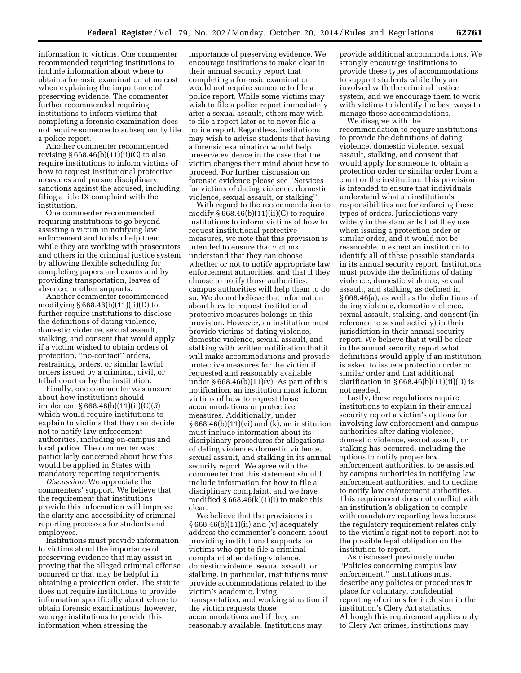information to victims. One commenter recommended requiring institutions to include information about where to obtain a forensic examination at no cost when explaining the importance of preserving evidence. The commenter further recommended requiring institutions to inform victims that completing a forensic examination does not require someone to subsequently file a police report.

Another commenter recommended revising  $§ 668.46(b)(11)(ii)(C)$  to also require institutions to inform victims of how to request institutional protective measures and pursue disciplinary sanctions against the accused, including filing a title IX complaint with the institution.

One commenter recommended requiring institutions to go beyond assisting a victim in notifying law enforcement and to also help them while they are working with prosecutors and others in the criminal justice system by allowing flexible scheduling for completing papers and exams and by providing transportation, leaves of absence, or other supports.

Another commenter recommended modifying § 668.46(b)(11)(ii)(D) to further require institutions to disclose the definitions of dating violence, domestic violence, sexual assault, stalking, and consent that would apply if a victim wished to obtain orders of protection, ''no-contact'' orders, restraining orders, or similar lawful orders issued by a criminal, civil, or tribal court or by the institution.

Finally, one commenter was unsure about how institutions should implement § 668.46(b)(11)(ii)(C)(*3*) which would require institutions to explain to victims that they can decide not to notify law enforcement authorities, including on-campus and local police. The commenter was particularly concerned about how this would be applied in States with mandatory reporting requirements.

*Discussion:* We appreciate the commenters' support. We believe that the requirement that institutions provide this information will improve the clarity and accessibility of criminal reporting processes for students and employees.

Institutions must provide information to victims about the importance of preserving evidence that may assist in proving that the alleged criminal offense occurred or that may be helpful in obtaining a protection order. The statute does not require institutions to provide information specifically about where to obtain forensic examinations; however, we urge institutions to provide this information when stressing the

importance of preserving evidence. We encourage institutions to make clear in their annual security report that completing a forensic examination would not require someone to file a police report. While some victims may wish to file a police report immediately after a sexual assault, others may wish to file a report later or to never file a police report. Regardless, institutions may wish to advise students that having a forensic examination would help preserve evidence in the case that the victim changes their mind about how to proceed. For further discussion on forensic evidence please see ''Services for victims of dating violence, domestic violence, sexual assault, or stalking''.

With regard to the recommendation to modify  $\S 668.46(b)(11)(ii)(C)$  to require institutions to inform victims of how to request institutional protective measures, we note that this provision is intended to ensure that victims understand that they can choose whether or not to notify appropriate law enforcement authorities, and that if they choose to notify those authorities, campus authorities will help them to do so. We do not believe that information about how to request institutional protective measures belongs in this provision. However, an institution must provide victims of dating violence, domestic violence, sexual assault, and stalking with written notification that it will make accommodations and provide protective measures for the victim if requested and reasonably available under  $\S 668.46(b)(11)(v)$ . As part of this notification, an institution must inform victims of how to request those accommodations or protective measures. Additionally, under § 668.46(b)(11)(vi) and (k), an institution must include information about its disciplinary procedures for allegations of dating violence, domestic violence, sexual assault, and stalking in its annual security report. We agree with the commenter that this statement should include information for how to file a disciplinary complaint, and we have modified  $\S 668.46(k)(1)(i)$  to make this clear.

We believe that the provisions in § 668.46(b)(11)(ii) and (v) adequately address the commenter's concern about providing institutional supports for victims who opt to file a criminal complaint after dating violence, domestic violence, sexual assault, or stalking. In particular, institutions must provide accommodations related to the victim's academic, living, transportation, and working situation if the victim requests those accommodations and if they are reasonably available. Institutions may

provide additional accommodations. We strongly encourage institutions to provide these types of accommodations to support students while they are involved with the criminal justice system, and we encourage them to work with victims to identify the best ways to manage those accommodations.

We disagree with the recommendation to require institutions to provide the definitions of dating violence, domestic violence, sexual assault, stalking, and consent that would apply for someone to obtain a protection order or similar order from a court or the institution. This provision is intended to ensure that individuals understand what an institution's responsibilities are for enforcing these types of orders. Jurisdictions vary widely in the standards that they use when issuing a protection order or similar order, and it would not be reasonable to expect an institution to identify all of these possible standards in its annual security report. Institutions must provide the definitions of dating violence, domestic violence, sexual assault, and stalking, as defined in § 668.46(a), as well as the definitions of dating violence, domestic violence, sexual assault, stalking, and consent (in reference to sexual activity) in their jurisdiction in their annual security report. We believe that it will be clear in the annual security report what definitions would apply if an institution is asked to issue a protection order or similar order and that additional clarification in  $§ 668.46(b)(11)(ii)(D)$  is not needed.

Lastly, these regulations require institutions to explain in their annual security report a victim's options for involving law enforcement and campus authorities after dating violence, domestic violence, sexual assault, or stalking has occurred, including the options to notify proper law enforcement authorities, to be assisted by campus authorities in notifying law enforcement authorities, and to decline to notify law enforcement authorities. This requirement does not conflict with an institution's obligation to comply with mandatory reporting laws because the regulatory requirement relates only to the victim's right not to report, not to the possible legal obligation on the institution to report.

As discussed previously under ''Policies concerning campus law enforcement,'' institutions must describe any policies or procedures in place for voluntary, confidential reporting of crimes for inclusion in the institution's Clery Act statistics. Although this requirement applies only to Clery Act crimes, institutions may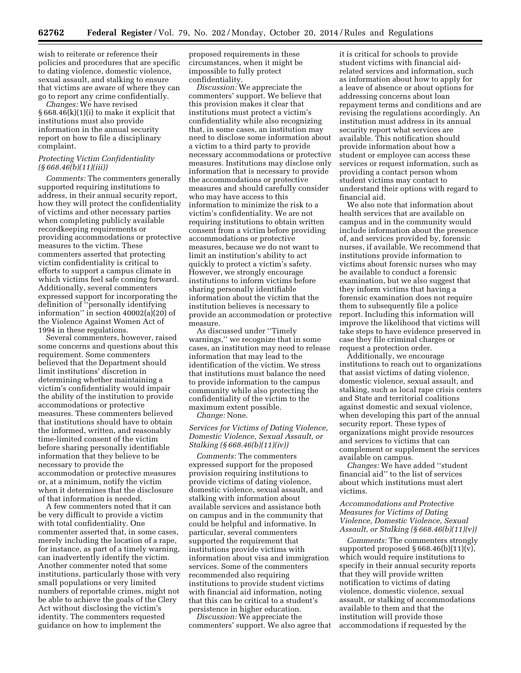wish to reiterate or reference their policies and procedures that are specific to dating violence, domestic violence, sexual assault, and stalking to ensure that victims are aware of where they can go to report any crime confidentially.

*Changes:* We have revised § 668.46(k)(1)(i) to make it explicit that institutions must also provide information in the annual security report on how to file a disciplinary complaint.

## *Protecting Victim Confidentiality (§ 668.46(b)(11)(iii))*

*Comments:* The commenters generally supported requiring institutions to address, in their annual security report, how they will protect the confidentiality of victims and other necessary parties when completing publicly available recordkeeping requirements or providing accommodations or protective measures to the victim. These commenters asserted that protecting victim confidentiality is critical to efforts to support a campus climate in which victims feel safe coming forward. Additionally, several commenters expressed support for incorporating the definition of ''personally identifying information'' in section 40002(a)(20) of the Violence Against Women Act of 1994 in these regulations.

Several commenters, however, raised some concerns and questions about this requirement. Some commenters believed that the Department should limit institutions' discretion in determining whether maintaining a victim's confidentiality would impair the ability of the institution to provide accommodations or protective measures. These commenters believed that institutions should have to obtain the informed, written, and reasonably time-limited consent of the victim before sharing personally identifiable information that they believe to be necessary to provide the accommodation or protective measures or, at a minimum, notify the victim when it determines that the disclosure of that information is needed.

A few commenters noted that it can be very difficult to provide a victim with total confidentiality. One commenter asserted that, in some cases, merely including the location of a rape, for instance, as part of a timely warning, can inadvertently identify the victim. Another commenter noted that some institutions, particularly those with very small populations or very limited numbers of reportable crimes, might not be able to achieve the goals of the Clery Act without disclosing the victim's identity. The commenters requested guidance on how to implement the

proposed requirements in these circumstances, when it might be impossible to fully protect confidentiality.

*Discussion:* We appreciate the commenters' support. We believe that this provision makes it clear that institutions must protect a victim's confidentiality while also recognizing that, in some cases, an institution may need to disclose some information about a victim to a third party to provide necessary accommodations or protective measures. Institutions may disclose only information that is necessary to provide the accommodations or protective measures and should carefully consider who may have access to this information to minimize the risk to a victim's confidentiality. We are not requiring institutions to obtain written consent from a victim before providing accommodations or protective measures, because we do not want to limit an institution's ability to act quickly to protect a victim's safety. However, we strongly encourage institutions to inform victims before sharing personally identifiable information about the victim that the institution believes is necessary to provide an accommodation or protective measure.

As discussed under ''Timely warnings,'' we recognize that in some cases, an institution may need to release information that may lead to the identification of the victim. We stress that institutions must balance the need to provide information to the campus community while also protecting the confidentiality of the victim to the maximum extent possible.

*Change:* None.

## *Services for Victims of Dating Violence, Domestic Violence, Sexual Assault, or Stalking (§ 668.46(b)(11)(iv))*

*Comments:* The commenters expressed support for the proposed provision requiring institutions to provide victims of dating violence, domestic violence, sexual assault, and stalking with information about available services and assistance both on campus and in the community that could be helpful and informative. In particular, several commenters supported the requirement that institutions provide victims with information about visa and immigration services. Some of the commenters recommended also requiring institutions to provide student victims with financial aid information, noting that this can be critical to a student's persistence in higher education.

*Discussion:* We appreciate the commenters' support. We also agree that

it is critical for schools to provide student victims with financial aidrelated services and information, such as information about how to apply for a leave of absence or about options for addressing concerns about loan repayment terms and conditions and are revising the regulations accordingly. An institution must address in its annual security report what services are available. This notification should provide information about how a student or employee can access these services or request information, such as providing a contact person whom student victims may contact to understand their options with regard to financial aid.

We also note that information about health services that are available on campus and in the community would include information about the presence of, and services provided by, forensic nurses, if available. We recommend that institutions provide information to victims about forensic nurses who may be available to conduct a forensic examination, but we also suggest that they inform victims that having a forensic examination does not require them to subsequently file a police report. Including this information will improve the likelihood that victims will take steps to have evidence preserved in case they file criminal charges or request a protection order.

Additionally, we encourage institutions to reach out to organizations that assist victims of dating violence, domestic violence, sexual assault, and stalking, such as local rape crisis centers and State and territorial coalitions against domestic and sexual violence, when developing this part of the annual security report. These types of organizations might provide resources and services to victims that can complement or supplement the services available on campus.

*Changes:* We have added ''student financial aid'' to the list of services about which institutions must alert victims.

## *Accommodations and Protective Measures for Victims of Dating Violence, Domestic Violence, Sexual Assault, or Stalking (§ 668.46(b)(11)(v))*

*Comments:* The commenters strongly supported proposed  $\S 668.46(b)(11)(v)$ , which would require institutions to specify in their annual security reports that they will provide written notification to victims of dating violence, domestic violence, sexual assault, or stalking of accommodations available to them and that the institution will provide those accommodations if requested by the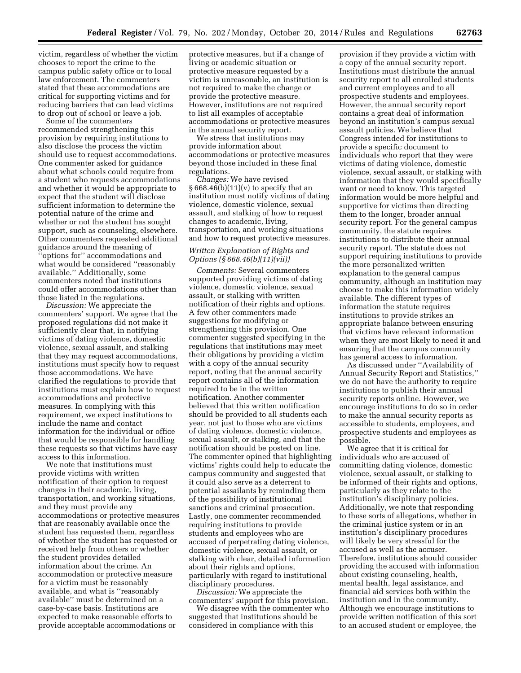victim, regardless of whether the victim chooses to report the crime to the campus public safety office or to local law enforcement. The commenters stated that these accommodations are critical for supporting victims and for reducing barriers that can lead victims to drop out of school or leave a job.

Some of the commenters recommended strengthening this provision by requiring institutions to also disclose the process the victim should use to request accommodations. One commenter asked for guidance about what schools could require from a student who requests accommodations and whether it would be appropriate to expect that the student will disclose sufficient information to determine the potential nature of the crime and whether or not the student has sought support, such as counseling, elsewhere. Other commenters requested additional guidance around the meaning of ''options for'' accommodations and what would be considered ''reasonably available.'' Additionally, some commenters noted that institutions could offer accommodations other than those listed in the regulations.

*Discussion:* We appreciate the commenters' support. We agree that the proposed regulations did not make it sufficiently clear that, in notifying victims of dating violence, domestic violence, sexual assault, and stalking that they may request accommodations, institutions must specify how to request those accommodations. We have clarified the regulations to provide that institutions must explain how to request accommodations and protective measures. In complying with this requirement, we expect institutions to include the name and contact information for the individual or office that would be responsible for handling these requests so that victims have easy access to this information.

We note that institutions must provide victims with written notification of their option to request changes in their academic, living, transportation, and working situations, and they must provide any accommodations or protective measures that are reasonably available once the student has requested them, regardless of whether the student has requested or received help from others or whether the student provides detailed information about the crime. An accommodation or protective measure for a victim must be reasonably available, and what is ''reasonably available'' must be determined on a case-by-case basis. Institutions are expected to make reasonable efforts to provide acceptable accommodations or

protective measures, but if a change of living or academic situation or protective measure requested by a victim is unreasonable, an institution is not required to make the change or provide the protective measure. However, institutions are not required to list all examples of acceptable accommodations or protective measures in the annual security report.

We stress that institutions may provide information about accommodations or protective measures beyond those included in these final regulations.

*Changes:* We have revised  $§ 668.46(b)(11)(v)$  to specify that an institution must notify victims of dating violence, domestic violence, sexual assault, and stalking of how to request changes to academic, living, transportation, and working situations and how to request protective measures.

## *Written Explanation of Rights and Options (§ 668.46(b)(11)(vii))*

*Comments:* Several commenters supported providing victims of dating violence, domestic violence, sexual assault, or stalking with written notification of their rights and options. A few other commenters made suggestions for modifying or strengthening this provision. One commenter suggested specifying in the regulations that institutions may meet their obligations by providing a victim with a copy of the annual security report, noting that the annual security report contains all of the information required to be in the written notification. Another commenter believed that this written notification should be provided to all students each year, not just to those who are victims of dating violence, domestic violence, sexual assault, or stalking, and that the notification should be posted on line. The commenter opined that highlighting victims' rights could help to educate the campus community and suggested that it could also serve as a deterrent to potential assailants by reminding them of the possibility of institutional sanctions and criminal prosecution. Lastly, one commenter recommended requiring institutions to provide students and employees who are accused of perpetrating dating violence, domestic violence, sexual assault, or stalking with clear, detailed information about their rights and options, particularly with regard to institutional disciplinary procedures.

*Discussion:* We appreciate the commenters' support for this provision.

We disagree with the commenter who suggested that institutions should be considered in compliance with this

provision if they provide a victim with a copy of the annual security report. Institutions must distribute the annual security report to all enrolled students and current employees and to all prospective students and employees. However, the annual security report contains a great deal of information beyond an institution's campus sexual assault policies. We believe that Congress intended for institutions to provide a specific document to individuals who report that they were victims of dating violence, domestic violence, sexual assault, or stalking with information that they would specifically want or need to know. This targeted information would be more helpful and supportive for victims than directing them to the longer, broader annual security report. For the general campus community, the statute requires institutions to distribute their annual security report. The statute does not support requiring institutions to provide the more personalized written explanation to the general campus community, although an institution may choose to make this information widely available. The different types of information the statute requires institutions to provide strikes an appropriate balance between ensuring that victims have relevant information when they are most likely to need it and ensuring that the campus community has general access to information.

As discussed under ''Availability of Annual Security Report and Statistics,'' we do not have the authority to require institutions to publish their annual security reports online. However, we encourage institutions to do so in order to make the annual security reports as accessible to students, employees, and prospective students and employees as possible.

We agree that it is critical for individuals who are accused of committing dating violence, domestic violence, sexual assault, or stalking to be informed of their rights and options, particularly as they relate to the institution's disciplinary policies. Additionally, we note that responding to these sorts of allegations, whether in the criminal justice system or in an institution's disciplinary procedures will likely be very stressful for the accused as well as the accuser. Therefore, institutions should consider providing the accused with information about existing counseling, health, mental health, legal assistance, and financial aid services both within the institution and in the community. Although we encourage institutions to provide written notification of this sort to an accused student or employee, the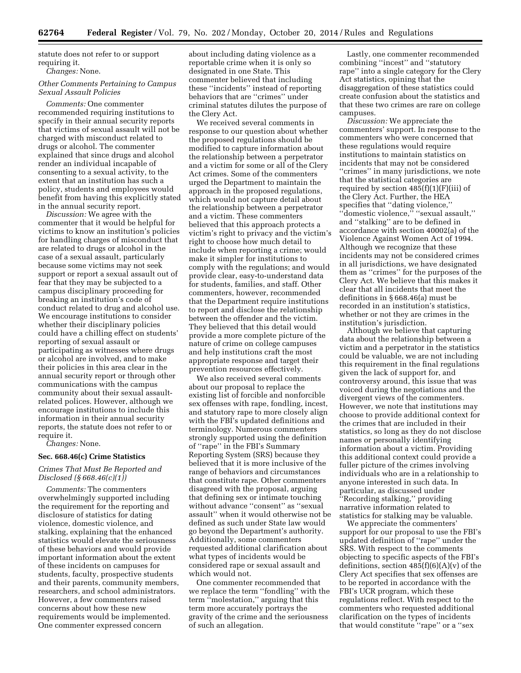statute does not refer to or support requiring it.

*Changes:* None.

## *Other Comments Pertaining to Campus Sexual Assault Policies*

*Comments:* One commenter recommended requiring institutions to specify in their annual security reports that victims of sexual assault will not be charged with misconduct related to drugs or alcohol. The commenter explained that since drugs and alcohol render an individual incapable of consenting to a sexual activity, to the extent that an institution has such a policy, students and employees would benefit from having this explicitly stated in the annual security report.

*Discussion:* We agree with the commenter that it would be helpful for victims to know an institution's policies for handling charges of misconduct that are related to drugs or alcohol in the case of a sexual assault, particularly because some victims may not seek support or report a sexual assault out of fear that they may be subjected to a campus disciplinary proceeding for breaking an institution's code of conduct related to drug and alcohol use. We encourage institutions to consider whether their disciplinary policies could have a chilling effect on students' reporting of sexual assault or participating as witnesses where drugs or alcohol are involved, and to make their policies in this area clear in the annual security report or through other communications with the campus community about their sexual assaultrelated polices. However, although we encourage institutions to include this information in their annual security reports, the statute does not refer to or require it.

*Changes:* None.

## **Sec. 668.46(c) Crime Statistics**

## *Crimes That Must Be Reported and Disclosed (§ 668.46(c)(1))*

*Comments:* The commenters overwhelmingly supported including the requirement for the reporting and disclosure of statistics for dating violence, domestic violence, and stalking, explaining that the enhanced statistics would elevate the seriousness of these behaviors and would provide important information about the extent of these incidents on campuses for students, faculty, prospective students and their parents, community members, researchers, and school administrators. However, a few commenters raised concerns about how these new requirements would be implemented. One commenter expressed concern

about including dating violence as a reportable crime when it is only so designated in one State. This commenter believed that including these ''incidents'' instead of reporting behaviors that are ''crimes'' under criminal statutes dilutes the purpose of the Clery Act.

We received several comments in response to our question about whether the proposed regulations should be modified to capture information about the relationship between a perpetrator and a victim for some or all of the Clery Act crimes. Some of the commenters urged the Department to maintain the approach in the proposed regulations, which would not capture detail about the relationship between a perpetrator and a victim. These commenters believed that this approach protects a victim's right to privacy and the victim's right to choose how much detail to include when reporting a crime; would make it simpler for institutions to comply with the regulations; and would provide clear, easy-to-understand data for students, families, and staff. Other commenters, however, recommended that the Department require institutions to report and disclose the relationship between the offender and the victim. They believed that this detail would provide a more complete picture of the nature of crime on college campuses and help institutions craft the most appropriate response and target their prevention resources effectively.

We also received several comments about our proposal to replace the existing list of forcible and nonforcible sex offenses with rape, fondling, incest, and statutory rape to more closely align with the FBI's updated definitions and terminology. Numerous commenters strongly supported using the definition of ''rape'' in the FBI's Summary Reporting System (SRS) because they believed that it is more inclusive of the range of behaviors and circumstances that constitute rape. Other commenters disagreed with the proposal, arguing that defining sex or intimate touching without advance ''consent'' as ''sexual assault'' when it would otherwise not be defined as such under State law would go beyond the Department's authority. Additionally, some commenters requested additional clarification about what types of incidents would be considered rape or sexual assault and which would not.

One commenter recommended that we replace the term ''fondling'' with the term "molestation," arguing that this term more accurately portrays the gravity of the crime and the seriousness of such an allegation.

Lastly, one commenter recommended combining ''incest'' and ''statutory rape'' into a single category for the Clery Act statistics, opining that the disaggregation of these statistics could create confusion about the statistics and that these two crimes are rare on college campuses.

*Discussion:* We appreciate the commenters' support. In response to the commenters who were concerned that these regulations would require institutions to maintain statistics on incidents that may not be considered ''crimes'' in many jurisdictions, we note that the statistical categories are required by section 485(f)(1)(F)(iii) of the Clery Act. Further, the HEA specifies that ''dating violence,'' "domestic violence," "sexual assault," and ''stalking'' are to be defined in accordance with section 40002(a) of the Violence Against Women Act of 1994. Although we recognize that these incidents may not be considered crimes in all jurisdictions, we have designated them as ''crimes'' for the purposes of the Clery Act. We believe that this makes it clear that all incidents that meet the definitions in § 668.46(a) must be recorded in an institution's statistics, whether or not they are crimes in the institution's jurisdiction.

Although we believe that capturing data about the relationship between a victim and a perpetrator in the statistics could be valuable, we are not including this requirement in the final regulations given the lack of support for, and controversy around, this issue that was voiced during the negotiations and the divergent views of the commenters. However, we note that institutions may choose to provide additional context for the crimes that are included in their statistics, so long as they do not disclose names or personally identifying information about a victim. Providing this additional context could provide a fuller picture of the crimes involving individuals who are in a relationship to anyone interested in such data. In particular, as discussed under ''Recording stalking,'' providing narrative information related to statistics for stalking may be valuable.

We appreciate the commenters' support for our proposal to use the FBI's updated definition of ''rape'' under the SRS. With respect to the comments objecting to specific aspects of the FBI's definitions, section  $485(f)(6)(A)(v)$  of the Clery Act specifies that sex offenses are to be reported in accordance with the FBI's UCR program, which these regulations reflect. With respect to the commenters who requested additional clarification on the types of incidents that would constitute ''rape'' or a ''sex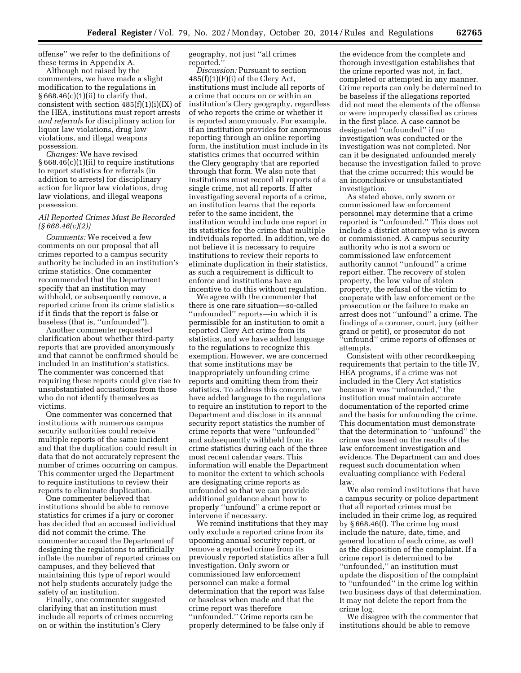offense'' we refer to the definitions of these terms in Appendix A.

Although not raised by the commenters, we have made a slight modification to the regulations in  $§ 668.46(c)(1)(ii)$  to clarify that, consistent with section 485(f)(1)(i)(IX) of the HEA, institutions must report arrests *and referrals* for disciplinary action for liquor law violations, drug law violations, and illegal weapons possession.

*Changes:* We have revised § 668.46(c)(1)(ii) to require institutions to report statistics for referrals (in addition to arrests) for disciplinary action for liquor law violations, drug law violations, and illegal weapons possession.

## *All Reported Crimes Must Be Recorded (§ 668.46(c)(2))*

*Comments:* We received a few comments on our proposal that all crimes reported to a campus security authority be included in an institution's crime statistics. One commenter recommended that the Department specify that an institution may withhold, or subsequently remove, a reported crime from its crime statistics if it finds that the report is false or baseless (that is, ''unfounded'').

Another commenter requested clarification about whether third-party reports that are provided anonymously and that cannot be confirmed should be included in an institution's statistics. The commenter was concerned that requiring these reports could give rise to unsubstantiated accusations from those who do not identify themselves as victims.

One commenter was concerned that institutions with numerous campus security authorities could receive multiple reports of the same incident and that the duplication could result in data that do not accurately represent the number of crimes occurring on campus. This commenter urged the Department to require institutions to review their reports to eliminate duplication.

One commenter believed that institutions should be able to remove statistics for crimes if a jury or coroner has decided that an accused individual did not commit the crime. The commenter accused the Department of designing the regulations to artificially inflate the number of reported crimes on campuses, and they believed that maintaining this type of report would not help students accurately judge the safety of an institution.

Finally, one commenter suggested clarifying that an institution must include all reports of crimes occurring on or within the institution's Clery

geography, not just ''all crimes reported.''

*Discussion:* Pursuant to section  $485(f)(1)(F)(i)$  of the Clery Act, institutions must include all reports of a crime that occurs on or within an institution's Clery geography, regardless of who reports the crime or whether it is reported anonymously. For example, if an institution provides for anonymous reporting through an online reporting form, the institution must include in its statistics crimes that occurred within the Clery geography that are reported through that form. We also note that institutions must record all reports of a single crime, not all reports. If after investigating several reports of a crime, an institution learns that the reports refer to the same incident, the institution would include one report in its statistics for the crime that multiple individuals reported. In addition, we do not believe it is necessary to require institutions to review their reports to eliminate duplication in their statistics, as such a requirement is difficult to enforce and institutions have an incentive to do this without regulation.

We agree with the commenter that there is one rare situation—so-called ''unfounded'' reports—in which it is permissible for an institution to omit a reported Clery Act crime from its statistics, and we have added language to the regulations to recognize this exemption. However, we are concerned that some institutions may be inappropriately unfounding crime reports and omitting them from their statistics. To address this concern, we have added language to the regulations to require an institution to report to the Department and disclose in its annual security report statistics the number of crime reports that were ''unfounded'' and subsequently withheld from its crime statistics during each of the three most recent calendar years. This information will enable the Department to monitor the extent to which schools are designating crime reports as unfounded so that we can provide additional guidance about how to properly ''unfound'' a crime report or intervene if necessary.

We remind institutions that they may only exclude a reported crime from its upcoming annual security report, or remove a reported crime from its previously reported statistics after a full investigation. Only sworn or commissioned law enforcement personnel can make a formal determination that the report was false or baseless when made and that the crime report was therefore ''unfounded.'' Crime reports can be properly determined to be false only if

the evidence from the complete and thorough investigation establishes that the crime reported was not, in fact, completed or attempted in any manner. Crime reports can only be determined to be baseless if the allegations reported did not meet the elements of the offense or were improperly classified as crimes in the first place. A case cannot be designated ''unfounded'' if no investigation was conducted or the investigation was not completed. Nor can it be designated unfounded merely because the investigation failed to prove that the crime occurred; this would be an inconclusive or unsubstantiated investigation.

As stated above, only sworn or commissioned law enforcement personnel may determine that a crime reported is ''unfounded.'' This does not include a district attorney who is sworn or commissioned. A campus security authority who is not a sworn or commissioned law enforcement authority cannot ''unfound'' a crime report either. The recovery of stolen property, the low value of stolen property, the refusal of the victim to cooperate with law enforcement or the prosecution or the failure to make an arrest does not ''unfound'' a crime. The findings of a coroner, court, jury (either grand or petit), or prosecutor do not ''unfound'' crime reports of offenses or attempts.

Consistent with other recordkeeping requirements that pertain to the title IV, HEA programs, if a crime was not included in the Clery Act statistics because it was ''unfounded,'' the institution must maintain accurate documentation of the reported crime and the basis for unfounding the crime. This documentation must demonstrate that the determination to ''unfound'' the crime was based on the results of the law enforcement investigation and evidence. The Department can and does request such documentation when evaluating compliance with Federal law.

We also remind institutions that have a campus security or police department that all reported crimes must be included in their crime log, as required by § 668.46(f). The crime log must include the nature, date, time, and general location of each crime, as well as the disposition of the complaint. If a crime report is determined to be ''unfounded,'' an institution must update the disposition of the complaint to ''unfounded'' in the crime log within two business days of that determination. It may not delete the report from the crime log.

We disagree with the commenter that institutions should be able to remove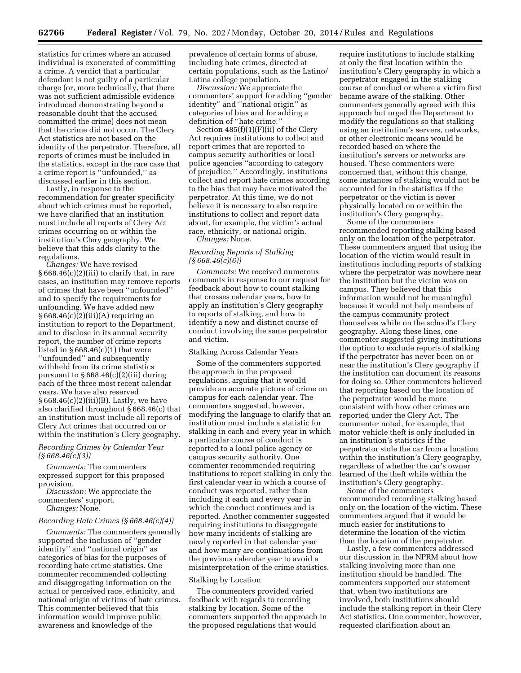statistics for crimes where an accused individual is exonerated of committing a crime. A verdict that a particular defendant is not guilty of a particular charge (or, more technically, that there was not sufficient admissible evidence introduced demonstrating beyond a reasonable doubt that the accused committed the crime) does not mean that the crime did not occur. The Clery Act statistics are not based on the identity of the perpetrator. Therefore, all reports of crimes must be included in the statistics, except in the rare case that a crime report is ''unfounded,'' as discussed earlier in this section.

Lastly, in response to the recommendation for greater specificity about which crimes must be reported, we have clarified that an institution must include all reports of Clery Act crimes occurring on or within the institution's Clery geography. We believe that this adds clarity to the regulations.

*Changes:* We have revised  $§ 668.46(c)(2)(iii)$  to clarify that, in rare cases, an institution may remove reports of crimes that have been ''unfounded'' and to specify the requirements for unfounding. We have added new  $§ 668.46(c)(2)(iii)(A)$  requiring an institution to report to the Department, and to disclose in its annual security report, the number of crime reports listed in  $\S 668.46(c)(1)$  that were ''unfounded'' and subsequently withheld from its crime statistics pursuant to § 668.46(c)(2)(iii) during each of the three most recent calendar years. We have also reserved § 668.46(c)(2)(iii)(B). Lastly, we have also clarified throughout § 668.46(c) that an institution must include all reports of Clery Act crimes that occurred on or within the institution's Clery geography.

## *Recording Crimes by Calendar Year (§ 668.46(c)(3))*

*Comments:* The commenters expressed support for this proposed provision.

*Discussion:* We appreciate the commenters' support. *Changes:* None.

#### *Recording Hate Crimes (§ 668.46(c)(4))*

*Comments:* The commenters generally supported the inclusion of ''gender identity'' and ''national origin'' as categories of bias for the purposes of recording hate crime statistics. One commenter recommended collecting and disaggregating information on the actual or perceived race, ethnicity, and national origin of victims of hate crimes. This commenter believed that this information would improve public awareness and knowledge of the

prevalence of certain forms of abuse, including hate crimes, directed at certain populations, such as the Latino/ Latina college population.

*Discussion:* We appreciate the commenters' support for adding ''gender identity'' and ''national origin'' as categories of bias and for adding a definition of ''hate crime.''

Section 485(f)(1)(F)(ii) of the Clery Act requires institutions to collect and report crimes that are reported to campus security authorities or local police agencies ''according to category of prejudice.'' Accordingly, institutions collect and report hate crimes according to the bias that may have motivated the perpetrator. At this time, we do not believe it is necessary to also require institutions to collect and report data about, for example, the victim's actual race, ethnicity, or national origin. *Changes:* None.

## *Recording Reports of Stalking (§ 668.46(c)(6))*

*Comments:* We received numerous comments in response to our request for feedback about how to count stalking that crosses calendar years, how to apply an institution's Clery geography to reports of stalking, and how to identify a new and distinct course of conduct involving the same perpetrator and victim.

#### Stalking Across Calendar Years

Some of the commenters supported the approach in the proposed regulations, arguing that it would provide an accurate picture of crime on campus for each calendar year. The commenters suggested, however, modifying the language to clarify that an institution must include a statistic for stalking in each and every year in which a particular course of conduct is reported to a local police agency or campus security authority. One commenter recommended requiring institutions to report stalking in only the first calendar year in which a course of conduct was reported, rather than including it each and every year in which the conduct continues and is reported. Another commenter suggested requiring institutions to disaggregate how many incidents of stalking are newly reported in that calendar year and how many are continuations from the previous calendar year to avoid a misinterpretation of the crime statistics.

#### Stalking by Location

The commenters provided varied feedback with regards to recording stalking by location. Some of the commenters supported the approach in the proposed regulations that would

require institutions to include stalking at only the first location within the institution's Clery geography in which a perpetrator engaged in the stalking course of conduct or where a victim first became aware of the stalking. Other commenters generally agreed with this approach but urged the Department to modify the regulations so that stalking using an institution's servers, networks, or other electronic means would be recorded based on where the institution's servers or networks are housed. These commenters were concerned that, without this change, some instances of stalking would not be accounted for in the statistics if the perpetrator or the victim is never physically located on or within the institution's Clery geography.

Some of the commenters recommended reporting stalking based only on the location of the perpetrator. These commenters argued that using the location of the victim would result in institutions including reports of stalking where the perpetrator was nowhere near the institution but the victim was on campus. They believed that this information would not be meaningful because it would not help members of the campus community protect themselves while on the school's Clery geography. Along these lines, one commenter suggested giving institutions the option to exclude reports of stalking if the perpetrator has never been on or near the institution's Clery geography if the institution can document its reasons for doing so. Other commenters believed that reporting based on the location of the perpetrator would be more consistent with how other crimes are reported under the Clery Act. The commenter noted, for example, that motor vehicle theft is only included in an institution's statistics if the perpetrator stole the car from a location within the institution's Clery geography, regardless of whether the car's owner learned of the theft while within the institution's Clery geography.

Some of the commenters recommended recording stalking based only on the location of the victim. These commenters argued that it would be much easier for institutions to determine the location of the victim than the location of the perpetrator.

Lastly, a few commenters addressed our discussion in the NPRM about how stalking involving more than one institution should be handled. The commenters supported our statement that, when two institutions are involved, both institutions should include the stalking report in their Clery Act statistics. One commenter, however, requested clarification about an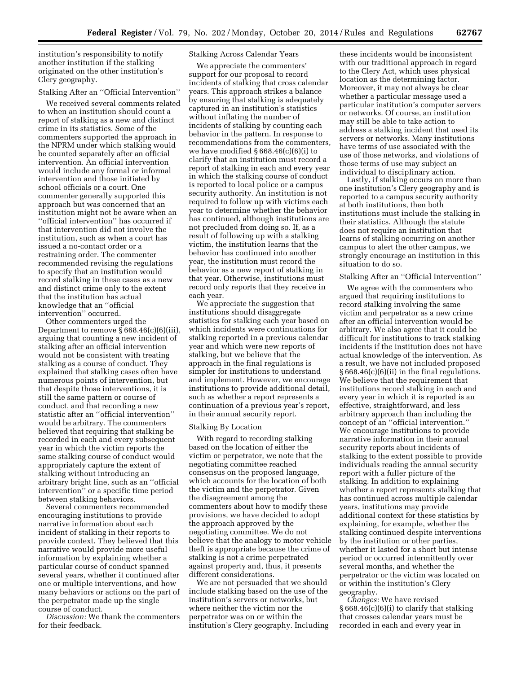institution's responsibility to notify another institution if the stalking originated on the other institution's Clery geography.

## Stalking After an ''Official Intervention''

We received several comments related to when an institution should count a report of stalking as a new and distinct crime in its statistics. Some of the commenters supported the approach in the NPRM under which stalking would be counted separately after an official intervention. An official intervention would include any formal or informal intervention and those initiated by school officials or a court. One commenter generally supported this approach but was concerned that an institution might not be aware when an ''official intervention'' has occurred if that intervention did not involve the institution, such as when a court has issued a no-contact order or a restraining order. The commenter recommended revising the regulations to specify that an institution would record stalking in these cases as a new and distinct crime only to the extent that the institution has actual knowledge that an ''official intervention'' occurred.

Other commenters urged the Department to remove § 668.46(c)(6)(iii), arguing that counting a new incident of stalking after an official intervention would not be consistent with treating stalking as a course of conduct. They explained that stalking cases often have numerous points of intervention, but that despite those interventions, it is still the same pattern or course of conduct, and that recording a new statistic after an ''official intervention'' would be arbitrary. The commenters believed that requiring that stalking be recorded in each and every subsequent year in which the victim reports the same stalking course of conduct would appropriately capture the extent of stalking without introducing an arbitrary bright line, such as an ''official intervention'' or a specific time period between stalking behaviors.

Several commenters recommended encouraging institutions to provide narrative information about each incident of stalking in their reports to provide context. They believed that this narrative would provide more useful information by explaining whether a particular course of conduct spanned several years, whether it continued after one or multiple interventions, and how many behaviors or actions on the part of the perpetrator made up the single course of conduct.

*Discussion:* We thank the commenters for their feedback.

## Stalking Across Calendar Years

We appreciate the commenters' support for our proposal to record incidents of stalking that cross calendar years. This approach strikes a balance by ensuring that stalking is adequately captured in an institution's statistics without inflating the number of incidents of stalking by counting each behavior in the pattern. In response to recommendations from the commenters, we have modified  $\S 668.46(c)(6)(i)$  to clarify that an institution must record a report of stalking in each and every year in which the stalking course of conduct is reported to local police or a campus security authority. An institution is not required to follow up with victims each year to determine whether the behavior has continued, although institutions are not precluded from doing so. If, as a result of following up with a stalking victim, the institution learns that the behavior has continued into another year, the institution must record the behavior as a new report of stalking in that year. Otherwise, institutions must record only reports that they receive in each year.

We appreciate the suggestion that institutions should disaggregate statistics for stalking each year based on which incidents were continuations for stalking reported in a previous calendar year and which were new reports of stalking, but we believe that the approach in the final regulations is simpler for institutions to understand and implement. However, we encourage institutions to provide additional detail, such as whether a report represents a continuation of a previous year's report, in their annual security report.

#### Stalking By Location

With regard to recording stalking based on the location of either the victim or perpetrator, we note that the negotiating committee reached consensus on the proposed language, which accounts for the location of both the victim and the perpetrator. Given the disagreement among the commenters about how to modify these provisions, we have decided to adopt the approach approved by the negotiating committee. We do not believe that the analogy to motor vehicle theft is appropriate because the crime of stalking is not a crime perpetrated against property and, thus, it presents different considerations.

We are not persuaded that we should include stalking based on the use of the institution's servers or networks, but where neither the victim nor the perpetrator was on or within the institution's Clery geography. Including

these incidents would be inconsistent with our traditional approach in regard to the Clery Act, which uses physical location as the determining factor. Moreover, it may not always be clear whether a particular message used a particular institution's computer servers or networks. Of course, an institution may still be able to take action to address a stalking incident that used its servers or networks. Many institutions have terms of use associated with the use of those networks, and violations of those terms of use may subject an individual to disciplinary action.

Lastly, if stalking occurs on more than one institution's Clery geography and is reported to a campus security authority at both institutions, then both institutions must include the stalking in their statistics. Although the statute does not require an institution that learns of stalking occurring on another campus to alert the other campus, we strongly encourage an institution in this situation to do so.

## Stalking After an ''Official Intervention''

We agree with the commenters who argued that requiring institutions to record stalking involving the same victim and perpetrator as a new crime after an official intervention would be arbitrary. We also agree that it could be difficult for institutions to track stalking incidents if the institution does not have actual knowledge of the intervention. As a result, we have not included proposed § 668.46(c)(6)(ii) in the final regulations. We believe that the requirement that institutions record stalking in each and every year in which it is reported is an effective, straightforward, and less arbitrary approach than including the concept of an ''official intervention.'' We encourage institutions to provide narrative information in their annual security reports about incidents of stalking to the extent possible to provide individuals reading the annual security report with a fuller picture of the stalking. In addition to explaining whether a report represents stalking that has continued across multiple calendar years, institutions may provide additional context for these statistics by explaining, for example, whether the stalking continued despite interventions by the institution or other parties, whether it lasted for a short but intense period or occurred intermittently over several months, and whether the perpetrator or the victim was located on or within the institution's Clery geography.

*Changes:* We have revised § 668.46(c)(6)(i) to clarify that stalking that crosses calendar years must be recorded in each and every year in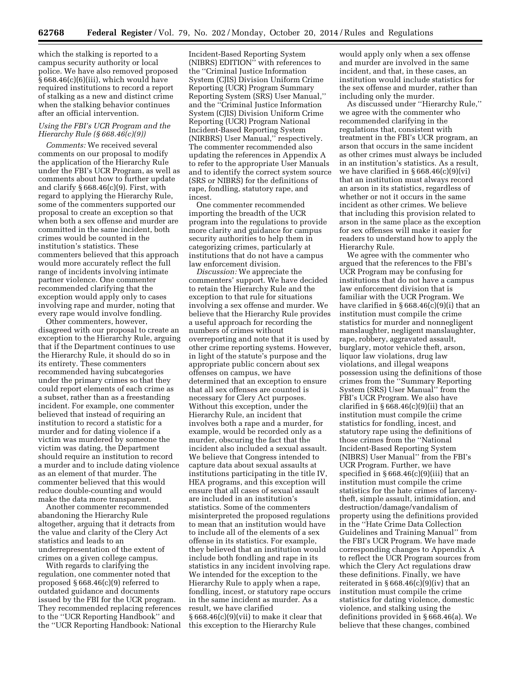which the stalking is reported to a campus security authority or local police. We have also removed proposed § 668.46(c)(6)(iii), which would have required institutions to record a report of stalking as a new and distinct crime when the stalking behavior continues after an official intervention.

## *Using the FBI's UCR Program and the Hierarchy Rule (§ 668.46(c)(9))*

*Comments:* We received several comments on our proposal to modify the application of the Hierarchy Rule under the FBI's UCR Program, as well as comments about how to further update and clarify § 668.46(c)(9). First, with regard to applying the Hierarchy Rule, some of the commenters supported our proposal to create an exception so that when both a sex offense and murder are committed in the same incident, both crimes would be counted in the institution's statistics. These commenters believed that this approach would more accurately reflect the full range of incidents involving intimate partner violence. One commenter recommended clarifying that the exception would apply only to cases involving rape and murder, noting that every rape would involve fondling.

Other commenters, however, disagreed with our proposal to create an exception to the Hierarchy Rule, arguing that if the Department continues to use the Hierarchy Rule, it should do so in its entirety. These commenters recommended having subcategories under the primary crimes so that they could report elements of each crime as a subset, rather than as a freestanding incident. For example, one commenter believed that instead of requiring an institution to record a statistic for a murder and for dating violence if a victim was murdered by someone the victim was dating, the Department should require an institution to record a murder and to include dating violence as an element of that murder. The commenter believed that this would reduce double-counting and would make the data more transparent.

Another commenter recommended abandoning the Hierarchy Rule altogether, arguing that it detracts from the value and clarity of the Clery Act statistics and leads to an underrepresentation of the extent of crimes on a given college campus.

With regards to clarifying the regulation, one commenter noted that proposed § 668.46(c)(9) referred to outdated guidance and documents issued by the FBI for the UCR program. They recommended replacing references to the ''UCR Reporting Handbook'' and the ''UCR Reporting Handbook: National

Incident-Based Reporting System (NIBRS) EDITION'' with references to the ''Criminal Justice Information System (CJIS) Division Uniform Crime Reporting (UCR) Program Summary Reporting System (SRS) User Manual,'' and the ''Criminal Justice Information System (CJIS) Division Uniform Crime Reporting (UCR) Program National Incident-Based Reporting System (NIRBRS) User Manual,'' respectively. The commenter recommended also updating the references in Appendix A to refer to the appropriate User Manuals and to identify the correct system source (SRS or NIBRS) for the definitions of rape, fondling, statutory rape, and incest.

One commenter recommended importing the breadth of the UCR program into the regulations to provide more clarity and guidance for campus security authorities to help them in categorizing crimes, particularly at institutions that do not have a campus law enforcement division.

*Discussion:* We appreciate the commenters' support. We have decided to retain the Hierarchy Rule and the exception to that rule for situations involving a sex offense and murder. We believe that the Hierarchy Rule provides a useful approach for recording the numbers of crimes without overreporting and note that it is used by other crime reporting systems. However, in light of the statute's purpose and the appropriate public concern about sex offenses on campus, we have determined that an exception to ensure that all sex offenses are counted is necessary for Clery Act purposes. Without this exception, under the Hierarchy Rule, an incident that involves both a rape and a murder, for example, would be recorded only as a murder, obscuring the fact that the incident also included a sexual assault. We believe that Congress intended to capture data about sexual assaults at institutions participating in the title IV, HEA programs, and this exception will ensure that all cases of sexual assault are included in an institution's statistics. Some of the commenters misinterpreted the proposed regulations to mean that an institution would have to include all of the elements of a sex offense in its statistics. For example, they believed that an institution would include both fondling and rape in its statistics in any incident involving rape. We intended for the exception to the Hierarchy Rule to apply when a rape, fondling, incest, or statutory rape occurs in the same incident as murder. As a result, we have clarified § 668.46(c)(9)(vii) to make it clear that this exception to the Hierarchy Rule

would apply only when a sex offense and murder are involved in the same incident, and that, in these cases, an institution would include statistics for the sex offense and murder, rather than including only the murder.

As discussed under ''Hierarchy Rule,'' we agree with the commenter who recommended clarifying in the regulations that, consistent with treatment in the FBI's UCR program, an arson that occurs in the same incident as other crimes must always be included in an institution's statistics. As a result, we have clarified in  $\S 668.46(c)(9)(vi)$ that an institution must always record an arson in its statistics, regardless of whether or not it occurs in the same incident as other crimes. We believe that including this provision related to arson in the same place as the exception for sex offenses will make it easier for readers to understand how to apply the Hierarchy Rule.

We agree with the commenter who argued that the references to the FBI's UCR Program may be confusing for institutions that do not have a campus law enforcement division that is familiar with the UCR Program. We have clarified in  $\S 668.46(c)(9)(i)$  that an institution must compile the crime statistics for murder and nonnegligent manslaughter, negligent manslaughter, rape, robbery, aggravated assault, burglary, motor vehicle theft, arson, liquor law violations, drug law violations, and illegal weapons possession using the definitions of those crimes from the ''Summary Reporting System (SRS) User Manual'' from the FBI's UCR Program. We also have clarified in  $\S 668.46(c)(9)(ii)$  that an institution must compile the crime statistics for fondling, incest, and statutory rape using the definitions of those crimes from the ''National Incident-Based Reporting System (NIBRS) User Manual'' from the FBI's UCR Program. Further, we have specified in § 668.46(c)(9)(iii) that an institution must compile the crime statistics for the hate crimes of larcenytheft, simple assault, intimidation, and destruction/damage/vandalism of property using the definitions provided in the ''Hate Crime Data Collection Guidelines and Training Manual'' from the FBI's UCR Program. We have made corresponding changes to Appendix A to reflect the UCR Program sources from which the Clery Act regulations draw these definitions. Finally, we have reiterated in  $\S 668.46(c)(9)(iv)$  that an institution must compile the crime statistics for dating violence, domestic violence, and stalking using the definitions provided in § 668.46(a). We believe that these changes, combined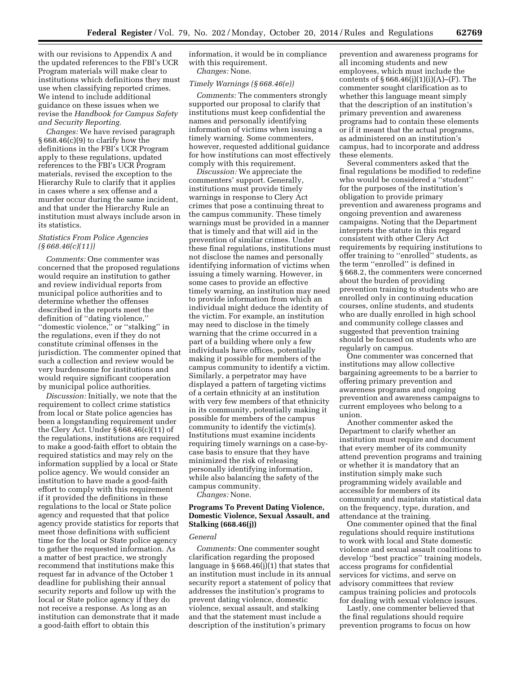with our revisions to Appendix A and the updated references to the FBI's UCR Program materials will make clear to institutions which definitions they must use when classifying reported crimes. We intend to include additional guidance on these issues when we revise the *Handbook for Campus Safety and Security Reporting.* 

*Changes:* We have revised paragraph  $§ 668.46(c)(9)$  to clarify how the definitions in the FBI's UCR Program apply to these regulations, updated references to the FBI's UCR Program materials, revised the exception to the Hierarchy Rule to clarify that it applies in cases where a sex offense and a murder occur during the same incident, and that under the Hierarchy Rule an institution must always include arson in its statistics.

## *Statistics From Police Agencies (§ 668.46(c)(11))*

*Comments:* One commenter was concerned that the proposed regulations would require an institution to gather and review individual reports from municipal police authorities and to determine whether the offenses described in the reports meet the definition of ''dating violence,'' ''domestic violence,'' or ''stalking'' in the regulations, even if they do not constitute criminal offenses in the jurisdiction. The commenter opined that such a collection and review would be very burdensome for institutions and would require significant cooperation by municipal police authorities.

*Discussion:* Initially, we note that the requirement to collect crime statistics from local or State police agencies has been a longstanding requirement under the Clery Act. Under § 668.46(c)(11) of the regulations, institutions are required to make a good-faith effort to obtain the required statistics and may rely on the information supplied by a local or State police agency. We would consider an institution to have made a good-faith effort to comply with this requirement if it provided the definitions in these regulations to the local or State police agency and requested that that police agency provide statistics for reports that meet those definitions with sufficient time for the local or State police agency to gather the requested information. As a matter of best practice, we strongly recommend that institutions make this request far in advance of the October 1 deadline for publishing their annual security reports and follow up with the local or State police agency if they do not receive a response. As long as an institution can demonstrate that it made a good-faith effort to obtain this

information, it would be in compliance with this requirement. *Changes:* None.

## *Timely Warnings (§ 668.46(e))*

*Comments:* The commenters strongly supported our proposal to clarify that institutions must keep confidential the names and personally identifying information of victims when issuing a timely warning. Some commenters, however, requested additional guidance for how institutions can most effectively comply with this requirement.

*Discussion:* We appreciate the commenters' support. Generally, institutions must provide timely warnings in response to Clery Act crimes that pose a continuing threat to the campus community. These timely warnings must be provided in a manner that is timely and that will aid in the prevention of similar crimes. Under these final regulations, institutions must not disclose the names and personally identifying information of victims when issuing a timely warning. However, in some cases to provide an effective timely warning, an institution may need to provide information from which an individual might deduce the identity of the victim. For example, an institution may need to disclose in the timely warning that the crime occurred in a part of a building where only a few individuals have offices, potentially making it possible for members of the campus community to identify a victim. Similarly, a perpetrator may have displayed a pattern of targeting victims of a certain ethnicity at an institution with very few members of that ethnicity in its community, potentially making it possible for members of the campus community to identify the victim(s). Institutions must examine incidents requiring timely warnings on a case-bycase basis to ensure that they have minimized the risk of releasing personally identifying information, while also balancing the safety of the campus community.

*Changes:* None.

## **Programs To Prevent Dating Violence, Domestic Violence, Sexual Assault, and Stalking (668.46(j))**

#### *General*

*Comments:* One commenter sought clarification regarding the proposed language in  $\S 668.46(j)(1)$  that states that an institution must include in its annual security report a statement of policy that addresses the institution's programs to prevent dating violence, domestic violence, sexual assault, and stalking and that the statement must include a description of the institution's primary

prevention and awareness programs for all incoming students and new employees, which must include the contents of  $§ 668.46(j)(1)(i)(A)–(F)$ . The commenter sought clarification as to whether this language meant simply that the description of an institution's primary prevention and awareness programs had to contain these elements or if it meant that the actual programs, as administered on an institution's campus, had to incorporate and address these elements.

Several commenters asked that the final regulations be modified to redefine who would be considered a ''student'' for the purposes of the institution's obligation to provide primary prevention and awareness programs and ongoing prevention and awareness campaigns. Noting that the Department interprets the statute in this regard consistent with other Clery Act requirements by requiring institutions to offer training to ''enrolled'' students, as the term ''enrolled'' is defined in § 668.2, the commenters were concerned about the burden of providing prevention training to students who are enrolled only in continuing education courses, online students, and students who are dually enrolled in high school and community college classes and suggested that prevention training should be focused on students who are regularly on campus.

One commenter was concerned that institutions may allow collective bargaining agreements to be a barrier to offering primary prevention and awareness programs and ongoing prevention and awareness campaigns to current employees who belong to a union.

Another commenter asked the Department to clarify whether an institution must require and document that every member of its community attend prevention programs and training or whether it is mandatory that an institution simply make such programming widely available and accessible for members of its community and maintain statistical data on the frequency, type, duration, and attendance at the training.

One commenter opined that the final regulations should require institutions to work with local and State domestic violence and sexual assault coalitions to develop ''best practice'' training models, access programs for confidential services for victims, and serve on advisory committees that review campus training policies and protocols for dealing with sexual violence issues.

Lastly, one commenter believed that the final regulations should require prevention programs to focus on how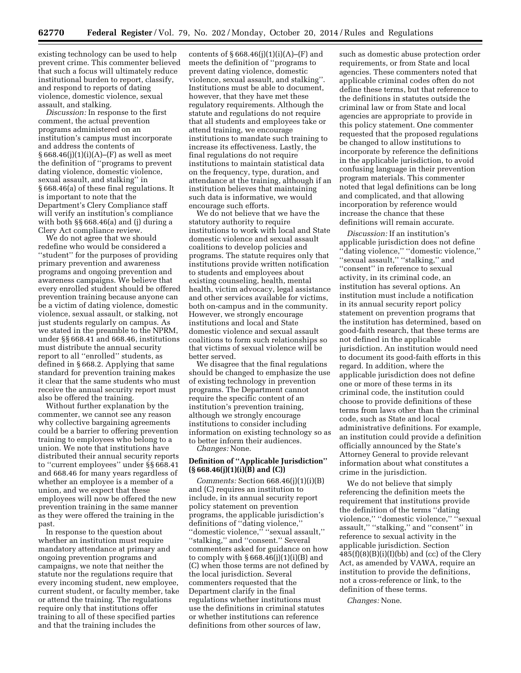existing technology can be used to help prevent crime. This commenter believed that such a focus will ultimately reduce institutional burden to report, classify, and respond to reports of dating violence, domestic violence, sexual assault, and stalking.

*Discussion:* In response to the first comment, the actual prevention programs administered on an institution's campus must incorporate and address the contents of  $§ 668.46(i)(1)(i)(A)–(F)$  as well as meet the definition of ''programs to prevent dating violence, domestic violence, sexual assault, and stalking'' in § 668.46(a) of these final regulations. It is important to note that the Department's Clery Compliance staff will verify an institution's compliance with both §§ 668.46(a) and (i) during a Clery Act compliance review.

We do not agree that we should redefine who would be considered a ''student'' for the purposes of providing primary prevention and awareness programs and ongoing prevention and awareness campaigns. We believe that every enrolled student should be offered prevention training because anyone can be a victim of dating violence, domestic violence, sexual assault, or stalking, not just students regularly on campus. As we stated in the preamble to the NPRM, under §§ 668.41 and 668.46, institutions must distribute the annual security report to all ''enrolled'' students, as defined in § 668.2. Applying that same standard for prevention training makes it clear that the same students who must receive the annual security report must also be offered the training.

Without further explanation by the commenter, we cannot see any reason why collective bargaining agreements could be a barrier to offering prevention training to employees who belong to a union. We note that institutions have distributed their annual security reports to ''current employees'' under §§ 668.41 and 668.46 for many years regardless of whether an employee is a member of a union, and we expect that these employees will now be offered the new prevention training in the same manner as they were offered the training in the past.

In response to the question about whether an institution must require mandatory attendance at primary and ongoing prevention programs and campaigns, we note that neither the statute nor the regulations require that every incoming student, new employee, current student, or faculty member, take or attend the training. The regulations require only that institutions offer training to all of these specified parties and that the training includes the

contents of  $§ 668.46(i)(1)(i)(A)–(F)$  and meets the definition of ''programs to prevent dating violence, domestic violence, sexual assault, and stalking''. Institutions must be able to document, however, that they have met these regulatory requirements. Although the statute and regulations do not require that all students and employees take or attend training, we encourage institutions to mandate such training to increase its effectiveness. Lastly, the final regulations do not require institutions to maintain statistical data on the frequency, type, duration, and attendance at the training, although if an institution believes that maintaining such data is informative, we would encourage such efforts.

We do not believe that we have the statutory authority to require institutions to work with local and State domestic violence and sexual assault coalitions to develop policies and programs. The statute requires only that institutions provide written notification to students and employees about existing counseling, health, mental health, victim advocacy, legal assistance and other services available for victims, both on-campus and in the community. However, we strongly encourage institutions and local and State domestic violence and sexual assault coalitions to form such relationships so that victims of sexual violence will be better served.

We disagree that the final regulations should be changed to emphasize the use of existing technology in prevention programs. The Department cannot require the specific content of an institution's prevention training, although we strongly encourage institutions to consider including information on existing technology so as to better inform their audiences. *Changes:* None.

## **Definition of ''Applicable Jurisdiction'' (§ 668.46(j)(1)(i)(B) and (C))**

*Comments:* Section 668.46(j)(1)(i)(B) and (C) requires an institution to include, in its annual security report policy statement on prevention programs, the applicable jurisdiction's definitions of ''dating violence,'' "domestic violence," "sexual assault," ''stalking,'' and ''consent.'' Several commenters asked for guidance on how to comply with  $\S 668.46(j)(1)(i)(B)$  and (C) when those terms are not defined by the local jurisdiction. Several commenters requested that the Department clarify in the final regulations whether institutions must use the definitions in criminal statutes or whether institutions can reference definitions from other sources of law,

such as domestic abuse protection order requirements, or from State and local agencies. These commenters noted that applicable criminal codes often do not define these terms, but that reference to the definitions in statutes outside the criminal law or from State and local agencies are appropriate to provide in this policy statement. One commenter requested that the proposed regulations be changed to allow institutions to incorporate by reference the definitions in the applicable jurisdiction, to avoid confusing language in their prevention program materials. This commenter noted that legal definitions can be long and complicated, and that allowing incorporation by reference would increase the chance that these definitions will remain accurate.

*Discussion:* If an institution's applicable jurisdiction does not define ''dating violence,'' ''domestic violence,'' ''sexual assault,'' ''stalking,'' and ''consent'' in reference to sexual activity, in its criminal code, an institution has several options. An institution must include a notification in its annual security report policy statement on prevention programs that the institution has determined, based on good-faith research, that these terms are not defined in the applicable jurisdiction. An institution would need to document its good-faith efforts in this regard. In addition, where the applicable jurisdiction does not define one or more of these terms in its criminal code, the institution could choose to provide definitions of these terms from laws other than the criminal code, such as State and local administrative definitions. For example, an institution could provide a definition officially announced by the State's Attorney General to provide relevant information about what constitutes a crime in the jurisdiction.

We do not believe that simply referencing the definition meets the requirement that institutions provide the definition of the terms ''dating violence,'' ''domestic violence,'' ''sexual assault,'' ''stalking,'' and ''consent'' in reference to sexual activity in the applicable jurisdiction. Section  $485(f)(8)(B)(i)(I)(bb)$  and (cc) of the Clery Act, as amended by VAWA, require an institution to provide the definitions, not a cross-reference or link, to the definition of these terms.

*Changes:* None.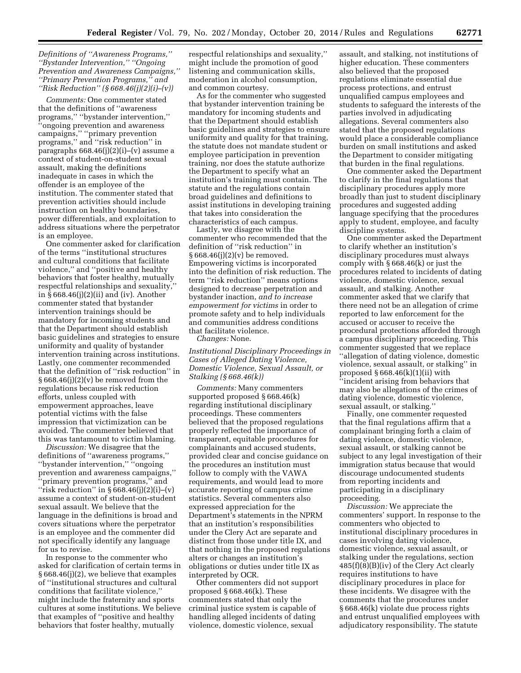## *Definitions of ''Awareness Programs,'' ''Bystander Intervention,'' ''Ongoing Prevention and Awareness Campaigns,'' ''Primary Prevention Programs,'' and ''Risk Reduction'' (§ 668.46(j)(2)(i)–(v))*

*Comments:* One commenter stated that the definitions of ''awareness programs,'' ''bystander intervention,'' ''ongoing prevention and awareness campaigns,'' ''primary prevention programs,'' and ''risk reduction'' in paragraphs 668.46(j)(2)(i)–(v) assume a context of student-on-student sexual assault, making the definitions inadequate in cases in which the offender is an employee of the institution. The commenter stated that prevention activities should include instruction on healthy boundaries, power differentials, and exploitation to address situations where the perpetrator is an employee.

One commenter asked for clarification of the terms ''institutional structures and cultural conditions that facilitate violence,'' and ''positive and healthy behaviors that foster healthy, mutually respectful relationships and sexuality,'' in § 668.46(j)(2)(ii) and (iv). Another commenter stated that bystander intervention trainings should be mandatory for incoming students and that the Department should establish basic guidelines and strategies to ensure uniformity and quality of bystander intervention training across institutions. Lastly, one commenter recommended that the definition of ''risk reduction'' in  $§ 668.46(j)(2)(v)$  be removed from the regulations because risk reduction efforts, unless coupled with empowerment approaches, leave potential victims with the false impression that victimization can be avoided. The commenter believed that this was tantamount to victim blaming.

*Discussion:* We disagree that the definitions of ''awareness programs,'' ''bystander intervention,'' ''ongoing prevention and awareness campaigns,'' ''primary prevention programs,'' and "risk reduction" in  $\S 668.46(j)(2)(i)$ –(v) assume a context of student-on-student sexual assault. We believe that the language in the definitions is broad and covers situations where the perpetrator is an employee and the commenter did not specifically identify any language for us to revise.

In response to the commenter who asked for clarification of certain terms in § 668.46(j)(2), we believe that examples of ''institutional structures and cultural conditions that facilitate violence,'' might include the fraternity and sports cultures at some institutions. We believe that examples of ''positive and healthy behaviors that foster healthy, mutually

respectful relationships and sexuality,'' might include the promotion of good listening and communication skills, moderation in alcohol consumption, and common courtesy.

As for the commenter who suggested that bystander intervention training be mandatory for incoming students and that the Department should establish basic guidelines and strategies to ensure uniformity and quality for that training, the statute does not mandate student or employee participation in prevention training, nor does the statute authorize the Department to specify what an institution's training must contain. The statute and the regulations contain broad guidelines and definitions to assist institutions in developing training that takes into consideration the characteristics of each campus.

Lastly, we disagree with the commenter who recommended that the definition of ''risk reduction'' in  $§ 668.46(j)(2)(v)$  be removed. Empowering victims is incorporated into the definition of risk reduction. The term ''risk reduction'' means options designed to decrease perpetration and bystander inaction, *and to increase empowerment for victims* in order to promote safety and to help individuals and communities address conditions that facilitate violence.

*Changes:* None.

*Institutional Disciplinary Proceedings in Cases of Alleged Dating Violence, Domestic Violence, Sexual Assault, or Stalking (§ 668.46(k))* 

*Comments:* Many commenters supported proposed § 668.46(k) regarding institutional disciplinary proceedings. These commenters believed that the proposed regulations properly reflected the importance of transparent, equitable procedures for complainants and accused students, provided clear and concise guidance on the procedures an institution must follow to comply with the VAWA requirements, and would lead to more accurate reporting of campus crime statistics. Several commenters also expressed appreciation for the Department's statements in the NPRM that an institution's responsibilities under the Clery Act are separate and distinct from those under title IX, and that nothing in the proposed regulations alters or changes an institution's obligations or duties under title IX as interpreted by OCR.

Other commenters did not support proposed § 668.46(k). These commenters stated that only the criminal justice system is capable of handling alleged incidents of dating violence, domestic violence, sexual

assault, and stalking, not institutions of higher education. These commenters also believed that the proposed regulations eliminate essential due process protections, and entrust unqualified campus employees and students to safeguard the interests of the parties involved in adjudicating allegations. Several commenters also stated that the proposed regulations would place a considerable compliance burden on small institutions and asked the Department to consider mitigating that burden in the final regulations.

One commenter asked the Department to clarify in the final regulations that disciplinary procedures apply more broadly than just to student disciplinary procedures and suggested adding language specifying that the procedures apply to student, employee, and faculty discipline systems.

One commenter asked the Department to clarify whether an institution's disciplinary procedures must always comply with § 668.46(k) or just the procedures related to incidents of dating violence, domestic violence, sexual assault, and stalking. Another commenter asked that we clarify that there need not be an allegation of crime reported to law enforcement for the accused or accuser to receive the procedural protections afforded through a campus disciplinary proceeding. This commenter suggested that we replace ''allegation of dating violence, domestic violence, sexual assault, or stalking'' in proposed § 668.46(k)(1)(ii) with ''incident arising from behaviors that may also be allegations of the crimes of dating violence, domestic violence, sexual assault, or stalking.''

Finally, one commenter requested that the final regulations affirm that a complainant bringing forth a claim of dating violence, domestic violence, sexual assault, or stalking cannot be subject to any legal investigation of their immigration status because that would discourage undocumented students from reporting incidents and participating in a disciplinary proceeding.

*Discussion:* We appreciate the commenters' support. In response to the commenters who objected to institutional disciplinary procedures in cases involving dating violence, domestic violence, sexual assault, or stalking under the regulations, section 485(f)(8)(B)(iv) of the Clery Act clearly requires institutions to have disciplinary procedures in place for these incidents. We disagree with the comments that the procedures under § 668.46(k) violate due process rights and entrust unqualified employees with adjudicatory responsibility. The statute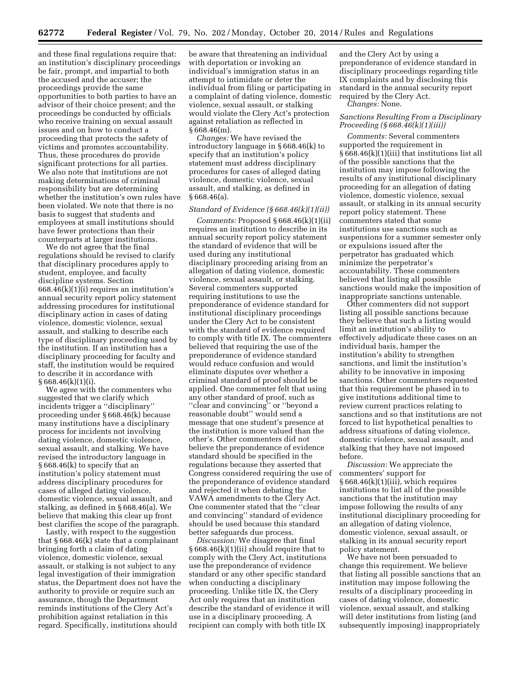and these final regulations require that: an institution's disciplinary proceedings be fair, prompt, and impartial to both the accused and the accuser; the proceedings provide the same opportunities to both parties to have an advisor of their choice present; and the proceedings be conducted by officials who receive training on sexual assault issues and on how to conduct a proceeding that protects the safety of victims and promotes accountability. Thus, these procedures do provide significant protections for all parties. We also note that institutions are not making determinations of criminal responsibility but are determining whether the institution's own rules have been violated. We note that there is no basis to suggest that students and employees at small institutions should have fewer protections than their counterparts at larger institutions.

We do not agree that the final regulations should be revised to clarify that disciplinary procedures apply to student, employee, and faculty discipline systems. Section 668.46(k)(1)(i) requires an institution's annual security report policy statement addressing procedures for institutional disciplinary action in cases of dating violence, domestic violence, sexual assault, and stalking to describe each type of disciplinary proceeding used by the institution. If an institution has a disciplinary proceeding for faculty and staff, the institution would be required to describe it in accordance with  $§ 668.46(k)(1)(i).$ 

We agree with the commenters who suggested that we clarify which incidents trigger a ''disciplinary'' proceeding under § 668.46(k) because many institutions have a disciplinary process for incidents not involving dating violence, domestic violence, sexual assault, and stalking. We have revised the introductory language in § 668.46(k) to specify that an institution's policy statement must address disciplinary procedures for cases of alleged dating violence, domestic violence, sexual assault, and stalking, as defined in § 668.46(a). We believe that making this clear up front best clarifies the scope of the paragraph.

Lastly, with respect to the suggestion that § 668.46(k) state that a complainant bringing forth a claim of dating violence, domestic violence, sexual assault, or stalking is not subject to any legal investigation of their immigration status, the Department does not have the authority to provide or require such an assurance, though the Department reminds institutions of the Clery Act's prohibition against retaliation in this regard. Specifically, institutions should

be aware that threatening an individual with deportation or invoking an individual's immigration status in an attempt to intimidate or deter the individual from filing or participating in a complaint of dating violence, domestic violence, sexual assault, or stalking would violate the Clery Act's protection against retaliation as reflected in  $§ 668.46(m).$ 

*Changes:* We have revised the introductory language in § 668.46(k) to specify that an institution's policy statement must address disciplinary procedures for cases of alleged dating violence, domestic violence, sexual assault, and stalking, as defined in § 668.46(a).

#### *Standard of Evidence (§ 668.46(k)(1)(ii))*

*Comments:* Proposed § 668.46(k)(1)(ii) requires an institution to describe in its annual security report policy statement the standard of evidence that will be used during any institutional disciplinary proceeding arising from an allegation of dating violence, domestic violence, sexual assault, or stalking. Several commenters supported requiring institutions to use the preponderance of evidence standard for institutional disciplinary proceedings under the Clery Act to be consistent with the standard of evidence required to comply with title IX. The commenters believed that requiring the use of the preponderance of evidence standard would reduce confusion and would eliminate disputes over whether a criminal standard of proof should be applied. One commenter felt that using any other standard of proof, such as ''clear and convincing'' or ''beyond a reasonable doubt'' would send a message that one student's presence at the institution is more valued than the other's. Other commenters did not believe the preponderance of evidence standard should be specified in the regulations because they asserted that Congress considered requiring the use of the preponderance of evidence standard and rejected it when debating the VAWA amendments to the Clery Act. One commenter stated that the ''clear and convincing'' standard of evidence should be used because this standard better safeguards due process.

*Discussion:* We disagree that final § 668.46(k)(1)(ii) should require that to comply with the Clery Act, institutions use the preponderance of evidence standard or any other specific standard when conducting a disciplinary proceeding. Unlike title IX, the Clery Act only requires that an institution describe the standard of evidence it will use in a disciplinary proceeding. A recipient can comply with both title IX

and the Clery Act by using a preponderance of evidence standard in disciplinary proceedings regarding title IX complaints and by disclosing this standard in the annual security report required by the Clery Act.

*Changes:* None.

## *Sanctions Resulting From a Disciplinary Proceeding (§ 668.46(k)(1)(iii))*

*Comments:* Several commenters supported the requirement in § 668.46(k)(1)(iii) that institutions list all of the possible sanctions that the institution may impose following the results of any institutional disciplinary proceeding for an allegation of dating violence, domestic violence, sexual assault, or stalking in its annual security report policy statement. These commenters stated that some institutions use sanctions such as suspensions for a summer semester only or expulsions issued after the perpetrator has graduated which minimize the perpetrator's accountability. These commenters believed that listing all possible sanctions would make the imposition of inappropriate sanctions untenable.

Other commenters did not support listing all possible sanctions because they believe that such a listing would limit an institution's ability to effectively adjudicate these cases on an individual basis, hamper the institution's ability to strengthen sanctions, and limit the institution's ability to be innovative in imposing sanctions. Other commenters requested that this requirement be phased in to give institutions additional time to review current practices relating to sanctions and so that institutions are not forced to list hypothetical penalties to address situations of dating violence, domestic violence, sexual assault, and stalking that they have not imposed before.

*Discussion:* We appreciate the commenters' support for § 668.46(k)(1)(iii), which requires institutions to list all of the possible sanctions that the institution may impose following the results of any institutional disciplinary proceeding for an allegation of dating violence, domestic violence, sexual assault, or stalking in its annual security report policy statement.

We have not been persuaded to change this requirement. We believe that listing all possible sanctions that an institution may impose following the results of a disciplinary proceeding in cases of dating violence, domestic violence, sexual assault, and stalking will deter institutions from listing (and subsequently imposing) inappropriately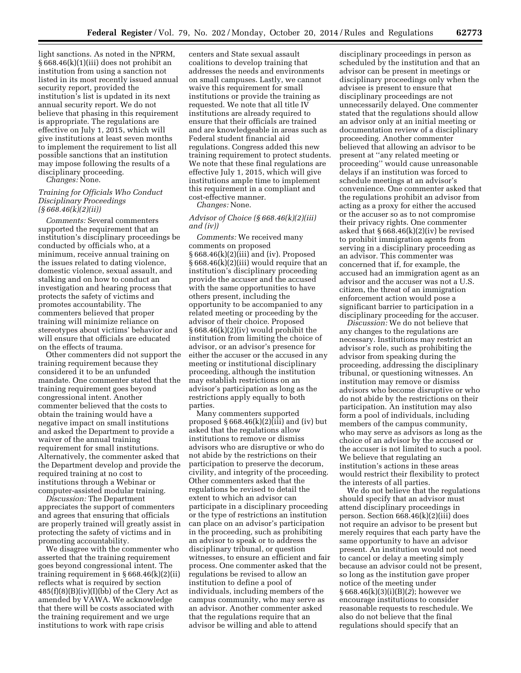light sanctions. As noted in the NPRM, § 668.46(k)(1)(iii) does not prohibit an institution from using a sanction not listed in its most recently issued annual security report, provided the institution's list is updated in its next annual security report. We do not believe that phasing in this requirement is appropriate. The regulations are effective on July 1, 2015, which will give institutions at least seven months to implement the requirement to list all possible sanctions that an institution may impose following the results of a disciplinary proceeding.

*Changes:* None.

## *Training for Officials Who Conduct Disciplinary Proceedings (§ 668.46(k)(2)(ii))*

*Comments:* Several commenters supported the requirement that an institution's disciplinary proceedings be conducted by officials who, at a minimum, receive annual training on the issues related to dating violence, domestic violence, sexual assault, and stalking and on how to conduct an investigation and hearing process that protects the safety of victims and promotes accountability. The commenters believed that proper training will minimize reliance on stereotypes about victims' behavior and will ensure that officials are educated on the effects of trauma.

Other commenters did not support the training requirement because they considered it to be an unfunded mandate. One commenter stated that the training requirement goes beyond congressional intent. Another commenter believed that the costs to obtain the training would have a negative impact on small institutions and asked the Department to provide a waiver of the annual training requirement for small institutions. Alternatively, the commenter asked that the Department develop and provide the required training at no cost to institutions through a Webinar or computer-assisted modular training.

*Discussion:* The Department appreciates the support of commenters and agrees that ensuring that officials are properly trained will greatly assist in protecting the safety of victims and in promoting accountability.

We disagree with the commenter who asserted that the training requirement goes beyond congressional intent. The training requirement in  $\S 668.46(k)(2)(ii)$ reflects what is required by section  $485(f)(8)(B)(iv)(I)(bb)$  of the Clery Act as amended by VAWA. We acknowledge that there will be costs associated with the training requirement and we urge institutions to work with rape crisis

centers and State sexual assault coalitions to develop training that addresses the needs and environments on small campuses. Lastly, we cannot waive this requirement for small institutions or provide the training as requested. We note that all title IV institutions are already required to ensure that their officials are trained and are knowledgeable in areas such as Federal student financial aid regulations. Congress added this new training requirement to protect students. We note that these final regulations are effective July 1, 2015, which will give institutions ample time to implement this requirement in a compliant and cost-effective manner.

*Changes:* None.

## *Advisor of Choice (§ 668.46(k)(2)(iii) and (iv))*

*Comments:* We received many comments on proposed § 668.46(k)(2)(iii) and (iv). Proposed § 668.46(k)(2)(iii) would require that an institution's disciplinary proceeding provide the accuser and the accused with the same opportunities to have others present, including the opportunity to be accompanied to any related meeting or proceeding by the advisor of their choice. Proposed § 668.46(k)(2)(iv) would prohibit the institution from limiting the choice of advisor, or an advisor's presence for either the accuser or the accused in any meeting or institutional disciplinary proceeding, although the institution may establish restrictions on an advisor's participation as long as the restrictions apply equally to both parties.

Many commenters supported proposed  $§ 668.46(k)(2)(iii)$  and (iv) but asked that the regulations allow institutions to remove or dismiss advisors who are disruptive or who do not abide by the restrictions on their participation to preserve the decorum, civility, and integrity of the proceeding. Other commenters asked that the regulations be revised to detail the extent to which an advisor can participate in a disciplinary proceeding or the type of restrictions an institution can place on an advisor's participation in the proceeding, such as prohibiting an advisor to speak or to address the disciplinary tribunal, or question witnesses, to ensure an efficient and fair process. One commenter asked that the regulations be revised to allow an institution to define a pool of individuals, including members of the campus community, who may serve as an advisor. Another commenter asked that the regulations require that an advisor be willing and able to attend

disciplinary proceedings in person as scheduled by the institution and that an advisor can be present in meetings or disciplinary proceedings only when the advisee is present to ensure that disciplinary proceedings are not unnecessarily delayed. One commenter stated that the regulations should allow an advisor only at an initial meeting or documentation review of a disciplinary proceeding. Another commenter believed that allowing an advisor to be present at ''any related meeting or proceeding'' would cause unreasonable delays if an institution was forced to schedule meetings at an advisor's convenience. One commenter asked that the regulations prohibit an advisor from acting as a proxy for either the accused or the accuser so as to not compromise their privacy rights. One commenter asked that  $§ 668.46(k)(2)(iv)$  be revised to prohibit immigration agents from serving in a disciplinary proceeding as an advisor. This commenter was concerned that if, for example, the accused had an immigration agent as an advisor and the accuser was not a U.S. citizen, the threat of an immigration enforcement action would pose a significant barrier to participation in a disciplinary proceeding for the accuser.

*Discussion:* We do not believe that any changes to the regulations are necessary. Institutions may restrict an advisor's role, such as prohibiting the advisor from speaking during the proceeding, addressing the disciplinary tribunal, or questioning witnesses. An institution may remove or dismiss advisors who become disruptive or who do not abide by the restrictions on their participation. An institution may also form a pool of individuals, including members of the campus community, who may serve as advisors as long as the choice of an advisor by the accused or the accuser is not limited to such a pool. We believe that regulating an institution's actions in these areas would restrict their flexibility to protect the interests of all parties.

We do not believe that the regulations should specify that an advisor must attend disciplinary proceedings in person. Section 668.46(k)(2)(iii) does not require an advisor to be present but merely requires that each party have the same opportunity to have an advisor present. An institution would not need to cancel or delay a meeting simply because an advisor could not be present, so long as the institution gave proper notice of the meeting under § 668.46(k)(3)(i)(B)(*2*); however we encourage institutions to consider reasonable requests to reschedule. We also do not believe that the final regulations should specify that an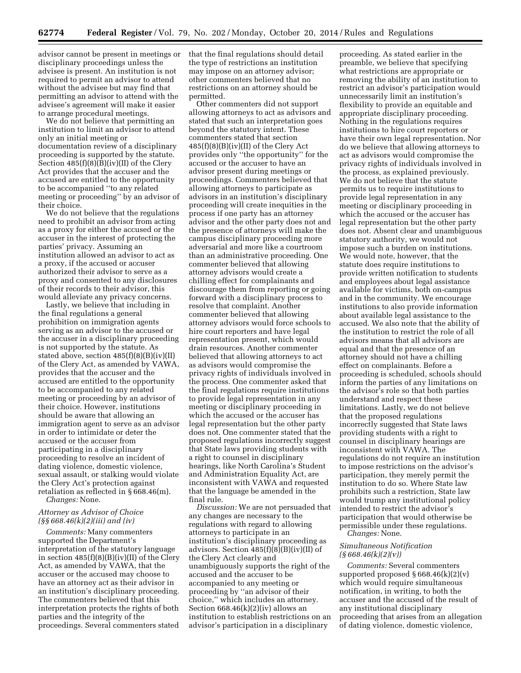advisor cannot be present in meetings or disciplinary proceedings unless the advisee is present. An institution is not required to permit an advisor to attend without the advisee but may find that permitting an advisor to attend with the advisee's agreement will make it easier to arrange procedural meetings.

We do not believe that permitting an institution to limit an advisor to attend only an initial meeting or documentation review of a disciplinary proceeding is supported by the statute. Section  $485(f)(8)(B)(iv)(II)$  of the Clery Act provides that the accuser and the accused are entitled to the opportunity to be accompanied ''to any related meeting or proceeding'' by an advisor of their choice.

We do not believe that the regulations need to prohibit an advisor from acting as a proxy for either the accused or the accuser in the interest of protecting the parties' privacy. Assuming an institution allowed an advisor to act as a proxy, if the accused or accuser authorized their advisor to serve as a proxy and consented to any disclosures of their records to their advisor, this would alleviate any privacy concerns.

Lastly, we believe that including in the final regulations a general prohibition on immigration agents serving as an advisor to the accused or the accuser in a disciplinary proceeding is not supported by the statute. As stated above, section 485(f)(8)(B)(iv)(II) of the Clery Act, as amended by VAWA, provides that the accuser and the accused are entitled to the opportunity to be accompanied to any related meeting or proceeding by an advisor of their choice. However, institutions should be aware that allowing an immigration agent to serve as an advisor in order to intimidate or deter the accused or the accuser from participating in a disciplinary proceeding to resolve an incident of dating violence, domestic violence, sexual assault, or stalking would violate the Clery Act's protection against retaliation as reflected in § 668.46(m).

*Changes:* None.

## *Attorney as Advisor of Choice (§§ 668.46(k)(2)(iii) and (iv)*

*Comments:* Many commenters supported the Department's interpretation of the statutory language in section 485(f)(8)(B)(iv)(II) of the Clery Act, as amended by VAWA, that the accuser or the accused may choose to have an attorney act as their advisor in an institution's disciplinary proceeding. The commenters believed that this interpretation protects the rights of both parties and the integrity of the proceedings. Several commenters stated

that the final regulations should detail the type of restrictions an institution may impose on an attorney advisor; other commenters believed that no restrictions on an attorney should be permitted.

Other commenters did not support allowing attorneys to act as advisors and stated that such an interpretation goes beyond the statutory intent. These commenters stated that section  $485(f)(8)(B)(iv)(II)$  of the Clery Act provides only ''the opportunity'' for the accused or the accuser to have an advisor present during meetings or proceedings. Commenters believed that allowing attorneys to participate as advisors in an institution's disciplinary proceeding will create inequities in the process if one party has an attorney advisor and the other party does not and the presence of attorneys will make the campus disciplinary proceeding more adversarial and more like a courtroom than an administrative proceeding. One commenter believed that allowing attorney advisors would create a chilling effect for complainants and discourage them from reporting or going forward with a disciplinary process to resolve that complaint. Another commenter believed that allowing attorney advisors would force schools to hire court reporters and have legal representation present, which would drain resources. Another commenter believed that allowing attorneys to act as advisors would compromise the privacy rights of individuals involved in the process. One commenter asked that the final regulations require institutions to provide legal representation in any meeting or disciplinary proceeding in which the accused or the accuser has legal representation but the other party does not. One commenter stated that the proposed regulations incorrectly suggest that State laws providing students with a right to counsel in disciplinary hearings, like North Carolina's Student and Administration Equality Act, are inconsistent with VAWA and requested that the language be amended in the final rule.

*Discussion:* We are not persuaded that any changes are necessary to the regulations with regard to allowing attorneys to participate in an institution's disciplinary proceeding as advisors. Section 485(f)(8)(B)(iv)(II) of the Clery Act clearly and unambiguously supports the right of the accused and the accuser to be accompanied to any meeting or proceeding by ''an advisor of their choice,'' which includes an attorney. Section  $668.46(k)(2)(iv)$  allows an institution to establish restrictions on an advisor's participation in a disciplinary

proceeding. As stated earlier in the preamble, we believe that specifying what restrictions are appropriate or removing the ability of an institution to restrict an advisor's participation would unnecessarily limit an institution's flexibility to provide an equitable and appropriate disciplinary proceeding. Nothing in the regulations requires institutions to hire court reporters or have their own legal representation. Nor do we believe that allowing attorneys to act as advisors would compromise the privacy rights of individuals involved in the process, as explained previously. We do not believe that the statute permits us to require institutions to provide legal representation in any meeting or disciplinary proceeding in which the accused or the accuser has legal representation but the other party does not. Absent clear and unambiguous statutory authority, we would not impose such a burden on institutions. We would note, however, that the statute does require institutions to provide written notification to students and employees about legal assistance available for victims, both on-campus and in the community. We encourage institutions to also provide information about available legal assistance to the accused. We also note that the ability of the institution to restrict the role of all advisors means that all advisors are equal and that the presence of an attorney should not have a chilling effect on complainants. Before a proceeding is scheduled, schools should inform the parties of any limitations on the advisor's role so that both parties understand and respect these limitations. Lastly, we do not believe that the proposed regulations incorrectly suggested that State laws providing students with a right to counsel in disciplinary hearings are inconsistent with VAWA. The regulations do not require an institution to impose restrictions on the advisor's participation, they merely permit the institution to do so. Where State law prohibits such a restriction, State law would trump any institutional policy intended to restrict the advisor's participation that would otherwise be permissible under these regulations. *Changes:* None.

## *Simultaneous Notification (§ 668.46(k)(2)(v))*

*Comments:* Several commenters supported proposed  $\S 668.46(k)(2)(v)$ which would require simultaneous notification, in writing, to both the accuser and the accused of the result of any institutional disciplinary proceeding that arises from an allegation of dating violence, domestic violence,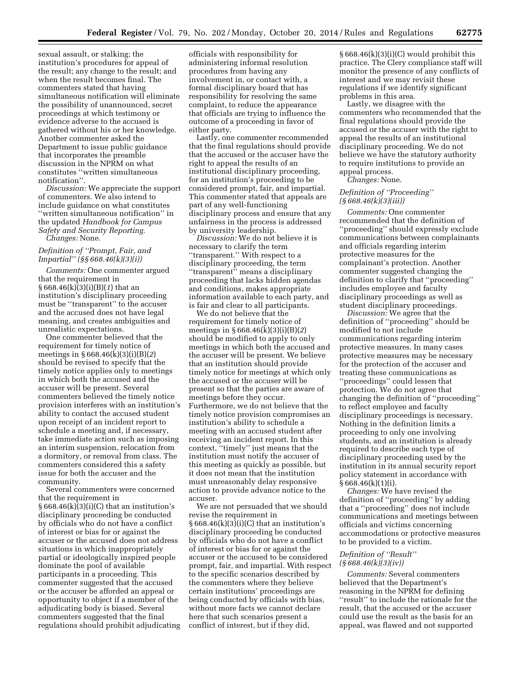sexual assault, or stalking; the institution's procedures for appeal of the result; any change to the result; and when the result becomes final. The commenters stated that having simultaneous notification will eliminate the possibility of unannounced, secret proceedings at which testimony or evidence adverse to the accused is gathered without his or her knowledge. Another commenter asked the Department to issue public guidance that incorporates the preamble discussion in the NPRM on what constitutes ''written simultaneous notification''.

*Discussion:* We appreciate the support of commenters. We also intend to include guidance on what constitutes ''written simultaneous notification'' in the updated *Handbook for Campus Safety and Security Reporting. Changes:* None.

## *Definition of ''Prompt, Fair, and Impartial'' (§§ 668.46(k)(3)(i))*

*Comments:* One commenter argued that the requirement in § 668.46(k)(3)(i)(B)(*1*) that an institution's disciplinary proceeding must be ''transparent'' to the accuser and the accused does not have legal meaning, and creates ambiguities and unrealistic expectations.

One commenter believed that the requirement for timely notice of meetings in § 668.46(k)(3)(i)(B)(*2*) should be revised to specify that the timely notice applies only to meetings in which both the accused and the accuser will be present. Several commenters believed the timely notice provision interferes with an institution's ability to contact the accused student upon receipt of an incident report to schedule a meeting and, if necessary, take immediate action such as imposing an interim suspension, relocation from a dormitory, or removal from class. The commenters considered this a safety issue for both the accuser and the community.

Several commenters were concerned that the requirement in  $\S 668.46(k)(3)(i)(C)$  that an institution's disciplinary proceeding be conducted by officials who do not have a conflict of interest or bias for or against the accuser or the accused does not address situations in which inappropriately partial or ideologically inspired people dominate the pool of available participants in a proceeding. This commenter suggested that the accused or the accuser be afforded an appeal or opportunity to object if a member of the adjudicating body is biased. Several commenters suggested that the final regulations should prohibit adjudicating

officials with responsibility for administering informal resolution procedures from having any involvement in, or contact with, a formal disciplinary board that has responsibility for resolving the same complaint, to reduce the appearance that officials are trying to influence the outcome of a proceeding in favor of either party.

Lastly, one commenter recommended that the final regulations should provide that the accused or the accuser have the right to appeal the results of an institutional disciplinary proceeding, for an institution's proceeding to be considered prompt, fair, and impartial. This commenter stated that appeals are part of any well-functioning disciplinary process and ensure that any unfairness in the process is addressed by university leadership.

*Discussion:* We do not believe it is necessary to clarify the term ''transparent.'' With respect to a disciplinary proceeding, the term "transparent" means a disciplinary proceeding that lacks hidden agendas and conditions, makes appropriate information available to each party, and is fair and clear to all participants.

We do not believe that the requirement for timely notice of meetings in § 668.46(k)(3)(i)(B)(*2*) should be modified to apply to only meetings in which both the accused and the accuser will be present. We believe that an institution should provide timely notice for meetings at which only the accused or the accuser will be present so that the parties are aware of meetings before they occur. Furthermore, we do not believe that the timely notice provision compromises an institution's ability to schedule a meeting with an accused student after receiving an incident report. In this context, ''timely'' just means that the institution must notify the accuser of this meeting as quickly as possible, but it does not mean that the institution must unreasonably delay responsive action to provide advance notice to the accuser.

We are not persuaded that we should revise the requirement in § 668.46(k)(3)(i)(C) that an institution's disciplinary proceeding be conducted by officials who do not have a conflict of interest or bias for or against the accuser or the accused to be considered prompt, fair, and impartial. With respect to the specific scenarios described by the commenters where they believe certain institutions' proceedings are being conducted by officials with bias, without more facts we cannot declare here that such scenarios present a conflict of interest, but if they did,

 $§ 668.46(k)(3)(i)(C)$  would prohibit this practice. The Clery compliance staff will monitor the presence of any conflicts of interest and we may revisit these regulations if we identify significant problems in this area.

Lastly, we disagree with the commenters who recommended that the final regulations should provide the accused or the accuser with the right to appeal the results of an institutional disciplinary proceeding. We do not believe we have the statutory authority to require institutions to provide an appeal process.

*Changes:* None.

## *Definition of ''Proceeding'' (§ 668.46(k)(3)(iii))*

*Comments:* One commenter recommended that the definition of ''proceeding'' should expressly exclude communications between complainants and officials regarding interim protective measures for the complainant's protection. Another commenter suggested changing the definition to clarify that ''proceeding'' includes employee and faculty disciplinary proceedings as well as student disciplinary proceedings.

*Discussion:* We agree that the definition of ''proceeding'' should be modified to not include communications regarding interim protective measures. In many cases protective measures may be necessary for the protection of the accuser and treating these communications as ''proceedings'' could lessen that protection. We do not agree that changing the definition of ''proceeding'' to reflect employee and faculty disciplinary proceedings is necessary. Nothing in the definition limits a proceeding to only one involving students, and an institution is already required to describe each type of disciplinary proceeding used by the institution in its annual security report policy statement in accordance with § 668.46(k)(1)(i).

*Changes:* We have revised the definition of ''proceeding'' by adding that a ''proceeding'' does not include communications and meetings between officials and victims concerning accommodations or protective measures to be provided to a victim.

## *Definition of ''Result'' (§ 668.46(k)(3)(iv))*

*Comments:* Several commenters believed that the Department's reasoning in the NPRM for defining ''result'' to include the rationale for the result, that the accused or the accuser could use the result as the basis for an appeal, was flawed and not supported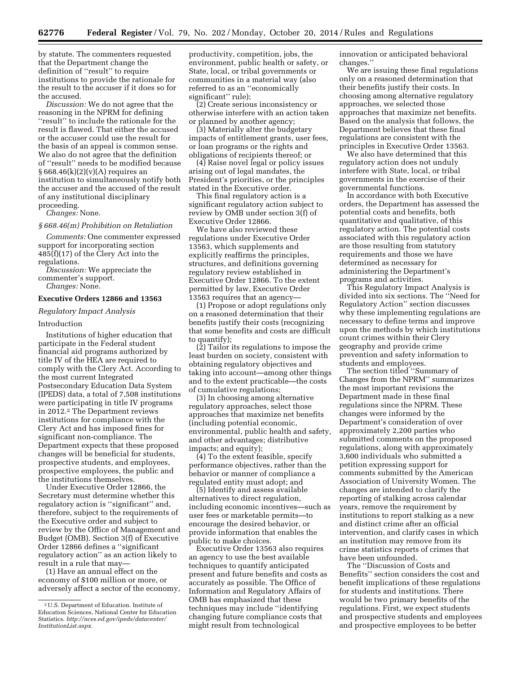by statute. The commenters requested that the Department change the definition of ''result'' to require institutions to provide the rationale for the result to the accuser if it does so for the accused.

*Discussion:* We do not agree that the reasoning in the NPRM for defining ''result'' to include the rationale for the result is flawed. That either the accused or the accuser could use the result for the basis of an appeal is common sense. We also do not agree that the definition of ''result'' needs to be modified because  $§ 668.46(k)(2)(v)(A)$  requires an institution to simultaneously notify both the accuser and the accused of the result of any institutional disciplinary proceeding.

*Changes:* None.

#### *§ 668.46(m) Prohibition on Retaliation*

*Comments:* One commenter expressed support for incorporating section 485(f)(17) of the Clery Act into the regulations.

*Discussion:* We appreciate the commenter's support. *Changes:* None.

## **Executive Orders 12866 and 13563**

#### *Regulatory Impact Analysis*

#### Introduction

Institutions of higher education that participate in the Federal student financial aid programs authorized by title IV of the HEA are required to comply with the Clery Act. According to the most current Integrated Postsecondary Education Data System (IPEDS) data, a total of 7,508 institutions were participating in title IV programs in 2012.2 The Department reviews institutions for compliance with the Clery Act and has imposed fines for significant non-compliance. The Department expects that these proposed changes will be beneficial for students, prospective students, and employees, prospective employees, the public and the institutions themselves.

Under Executive Order 12866, the Secretary must determine whether this regulatory action is ''significant'' and, therefore, subject to the requirements of the Executive order and subject to review by the Office of Management and Budget (OMB). Section 3(f) of Executive Order 12866 defines a ''significant regulatory action'' as an action likely to result in a rule that may—

(1) Have an annual effect on the economy of \$100 million or more, or adversely affect a sector of the economy,

productivity, competition, jobs, the environment, public health or safety, or State, local, or tribal governments or communities in a material way (also referred to as an ''economically significant'' rule);

(2) Create serious inconsistency or otherwise interfere with an action taken or planned by another agency;

(3) Materially alter the budgetary impacts of entitlement grants, user fees, or loan programs or the rights and obligations of recipients thereof; or

(4) Raise novel legal or policy issues arising out of legal mandates, the President's priorities, or the principles stated in the Executive order.

This final regulatory action is a significant regulatory action subject to review by OMB under section 3(f) of Executive Order 12866.

We have also reviewed these regulations under Executive Order 13563, which supplements and explicitly reaffirms the principles, structures, and definitions governing regulatory review established in Executive Order 12866. To the extent permitted by law, Executive Order 13563 requires that an agency—

(1) Propose or adopt regulations only on a reasoned determination that their benefits justify their costs (recognizing that some benefits and costs are difficult to quantify);

(2) Tailor its regulations to impose the least burden on society, consistent with obtaining regulatory objectives and taking into account—among other things and to the extent practicable—the costs of cumulative regulations;

(3) In choosing among alternative regulatory approaches, select those approaches that maximize net benefits (including potential economic, environmental, public health and safety, and other advantages; distributive impacts; and equity);

(4) To the extent feasible, specify performance objectives, rather than the behavior or manner of compliance a regulated entity must adopt; and

(5) Identify and assess available alternatives to direct regulation, including economic incentives—such as user fees or marketable permits—to encourage the desired behavior, or provide information that enables the public to make choices.

Executive Order 13563 also requires an agency to use the best available techniques to quantify anticipated present and future benefits and costs as accurately as possible. The Office of Information and Regulatory Affairs of OMB has emphasized that these techniques may include ''identifying changing future compliance costs that might result from technological

innovation or anticipated behavioral changes.''

We are issuing these final regulations only on a reasoned determination that their benefits justify their costs. In choosing among alternative regulatory approaches, we selected those approaches that maximize net benefits. Based on the analysis that follows, the Department believes that these final regulations are consistent with the principles in Executive Order 13563.

We also have determined that this regulatory action does not unduly interfere with State, local, or tribal governments in the exercise of their governmental functions.

In accordance with both Executive orders, the Department has assessed the potential costs and benefits, both quantitative and qualitative, of this regulatory action. The potential costs associated with this regulatory action are those resulting from statutory requirements and those we have determined as necessary for administering the Department's programs and activities.

This Regulatory Impact Analysis is divided into six sections. The ''Need for Regulatory Action'' section discusses why these implementing regulations are necessary to define terms and improve upon the methods by which institutions count crimes within their Clery geography and provide crime prevention and safety information to students and employees.

The section titled ''Summary of Changes from the NPRM'' summarizes the most important revisions the Department made in these final regulations since the NPRM. These changes were informed by the Department's consideration of over approximately 2,200 parties who submitted comments on the proposed regulations, along with approximately 3,600 individuals who submitted a petition expressing support for comments submitted by the American Association of University Women. The changes are intended to clarify the reporting of stalking across calendar years, remove the requirement by institutions to report stalking as a new and distinct crime after an official intervention, and clarify cases in which an institution may remove from its crime statistics reports of crimes that have been unfounded.

The ''Discussion of Costs and Benefits'' section considers the cost and benefit implications of these regulations for students and institutions. There would be two primary benefits of the regulations. First, we expect students and prospective students and employees and prospective employees to be better

<sup>2</sup>U.S. Department of Education. Institute of Education Sciences, National Center for Education Statistics. *[http://nces.ed.gov/ipeds/datacenter/](http://nces.ed.gov/ipeds/datacenter/InstitutionList.aspx) [InstitutionList.aspx.](http://nces.ed.gov/ipeds/datacenter/InstitutionList.aspx)*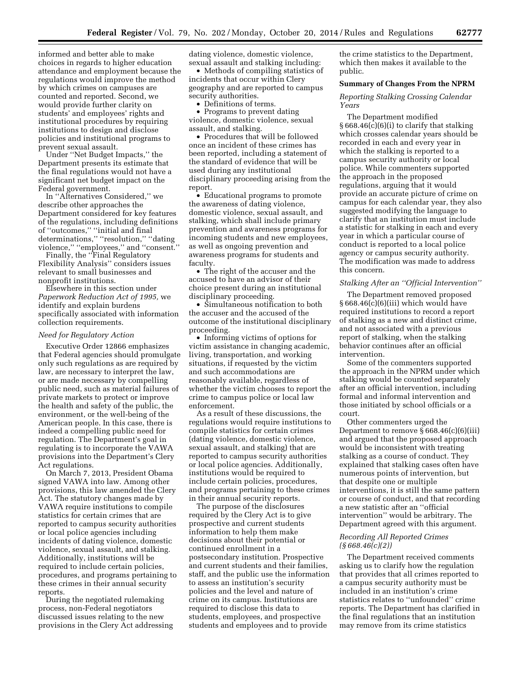informed and better able to make choices in regards to higher education attendance and employment because the regulations would improve the method by which crimes on campuses are counted and reported. Second, we would provide further clarity on students' and employees' rights and institutional procedures by requiring institutions to design and disclose policies and institutional programs to prevent sexual assault.

Under ''Net Budget Impacts,'' the Department presents its estimate that the final regulations would not have a significant net budget impact on the Federal government.

In ''Alternatives Considered,'' we describe other approaches the Department considered for key features of the regulations, including definitions of ''outcomes,'' ''initial and final determinations,'' ''resolution,'' ''dating violence," "employees," and "consent."

Finally, the ''Final Regulatory Flexibility Analysis'' considers issues relevant to small businesses and nonprofit institutions.

Elsewhere in this section under *Paperwork Reduction Act of 1995,* we identify and explain burdens specifically associated with information collection requirements.

#### *Need for Regulatory Action*

Executive Order 12866 emphasizes that Federal agencies should promulgate only such regulations as are required by law, are necessary to interpret the law, or are made necessary by compelling public need, such as material failures of private markets to protect or improve the health and safety of the public, the environment, or the well-being of the American people. In this case, there is indeed a compelling public need for regulation. The Department's goal in regulating is to incorporate the VAWA provisions into the Department's Clery Act regulations.

On March 7, 2013, President Obama signed VAWA into law. Among other provisions, this law amended the Clery Act. The statutory changes made by VAWA require institutions to compile statistics for certain crimes that are reported to campus security authorities or local police agencies including incidents of dating violence, domestic violence, sexual assault, and stalking. Additionally, institutions will be required to include certain policies, procedures, and programs pertaining to these crimes in their annual security reports.

During the negotiated rulemaking process, non-Federal negotiators discussed issues relating to the new provisions in the Clery Act addressing dating violence, domestic violence, sexual assault and stalking including:

• Methods of compiling statistics of incidents that occur within Clery geography and are reported to campus security authorities.

• Definitions of terms.

• Programs to prevent dating violence, domestic violence, sexual assault, and stalking.

• Procedures that will be followed once an incident of these crimes has been reported, including a statement of the standard of evidence that will be used during any institutional disciplinary proceeding arising from the report.

• Educational programs to promote the awareness of dating violence, domestic violence, sexual assault, and stalking, which shall include primary prevention and awareness programs for incoming students and new employees, as well as ongoing prevention and awareness programs for students and faculty.

• The right of the accuser and the accused to have an advisor of their choice present during an institutional disciplinary proceeding.

• Simultaneous notification to both the accuser and the accused of the outcome of the institutional disciplinary proceeding.

• Informing victims of options for victim assistance in changing academic, living, transportation, and working situations, if requested by the victim and such accommodations are reasonably available, regardless of whether the victim chooses to report the crime to campus police or local law enforcement.

As a result of these discussions, the regulations would require institutions to compile statistics for certain crimes (dating violence, domestic violence, sexual assault, and stalking) that are reported to campus security authorities or local police agencies. Additionally, institutions would be required to include certain policies, procedures, and programs pertaining to these crimes in their annual security reports.

The purpose of the disclosures required by the Clery Act is to give prospective and current students information to help them make decisions about their potential or continued enrollment in a postsecondary institution. Prospective and current students and their families, staff, and the public use the information to assess an institution's security policies and the level and nature of crime on its campus. Institutions are required to disclose this data to students, employees, and prospective students and employees and to provide

the crime statistics to the Department, which then makes it available to the public.

#### **Summary of Changes From the NPRM**

*Reporting Stalking Crossing Calendar Years* 

The Department modified  $§ 668.46(c)(6)(i)$  to clarify that stalking which crosses calendar years should be recorded in each and every year in which the stalking is reported to a campus security authority or local police. While commenters supported the approach in the proposed regulations, arguing that it would provide an accurate picture of crime on campus for each calendar year, they also suggested modifying the language to clarify that an institution must include a statistic for stalking in each and every year in which a particular course of conduct is reported to a local police agency or campus security authority. The modification was made to address this concern.

#### *Stalking After an ''Official Intervention''*

The Department removed proposed  $§668.46(c)(6)(iii)$  which would have required institutions to record a report of stalking as a new and distinct crime, and not associated with a previous report of stalking, when the stalking behavior continues after an official intervention.

Some of the commenters supported the approach in the NPRM under which stalking would be counted separately after an official intervention, including formal and informal intervention and those initiated by school officials or a court.

Other commenters urged the Department to remove  $\S 668.46(c)(6)(iii)$ and argued that the proposed approach would be inconsistent with treating stalking as a course of conduct. They explained that stalking cases often have numerous points of intervention, but that despite one or multiple interventions, it is still the same pattern or course of conduct, and that recording a new statistic after an ''official intervention'' would be arbitrary. The Department agreed with this argument.

## *Recording All Reported Crimes (§ 668.46(c)(2))*

The Department received comments asking us to clarify how the regulation that provides that all crimes reported to a campus security authority must be included in an institution's crime statistics relates to ''unfounded'' crime reports. The Department has clarified in the final regulations that an institution may remove from its crime statistics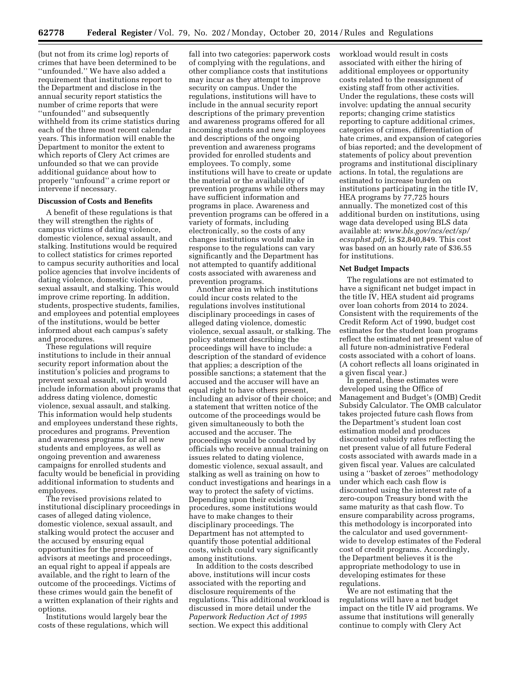(but not from its crime log) reports of crimes that have been determined to be ''unfounded.'' We have also added a requirement that institutions report to the Department and disclose in the annual security report statistics the number of crime reports that were ''unfounded'' and subsequently withheld from its crime statistics during each of the three most recent calendar years. This information will enable the Department to monitor the extent to which reports of Clery Act crimes are unfounded so that we can provide additional guidance about how to properly ''unfound'' a crime report or intervene if necessary.

## **Discussion of Costs and Benefits**

A benefit of these regulations is that they will strengthen the rights of campus victims of dating violence, domestic violence, sexual assault, and stalking. Institutions would be required to collect statistics for crimes reported to campus security authorities and local police agencies that involve incidents of dating violence, domestic violence, sexual assault, and stalking. This would improve crime reporting. In addition, students, prospective students, families, and employees and potential employees of the institutions, would be better informed about each campus's safety and procedures.

These regulations will require institutions to include in their annual security report information about the institution's policies and programs to prevent sexual assault, which would include information about programs that address dating violence, domestic violence, sexual assault, and stalking. This information would help students and employees understand these rights, procedures and programs. Prevention and awareness programs for all new students and employees, as well as ongoing prevention and awareness campaigns for enrolled students and faculty would be beneficial in providing additional information to students and employees.

The revised provisions related to institutional disciplinary proceedings in cases of alleged dating violence, domestic violence, sexual assault, and stalking would protect the accuser and the accused by ensuring equal opportunities for the presence of advisors at meetings and proceedings, an equal right to appeal if appeals are available, and the right to learn of the outcome of the proceedings. Victims of these crimes would gain the benefit of a written explanation of their rights and options.

Institutions would largely bear the costs of these regulations, which will

fall into two categories: paperwork costs of complying with the regulations, and other compliance costs that institutions may incur as they attempt to improve security on campus. Under the regulations, institutions will have to include in the annual security report descriptions of the primary prevention and awareness programs offered for all incoming students and new employees and descriptions of the ongoing prevention and awareness programs provided for enrolled students and employees. To comply, some institutions will have to create or update the material or the availability of prevention programs while others may have sufficient information and programs in place. Awareness and prevention programs can be offered in a variety of formats, including electronically, so the costs of any changes institutions would make in response to the regulations can vary significantly and the Department has not attempted to quantify additional costs associated with awareness and prevention programs.

Another area in which institutions could incur costs related to the regulations involves institutional disciplinary proceedings in cases of alleged dating violence, domestic violence, sexual assault, or stalking. The policy statement describing the proceedings will have to include: a description of the standard of evidence that applies; a description of the possible sanctions; a statement that the accused and the accuser will have an equal right to have others present, including an advisor of their choice; and a statement that written notice of the outcome of the proceedings would be given simultaneously to both the accused and the accuser. The proceedings would be conducted by officials who receive annual training on issues related to dating violence, domestic violence, sexual assault, and stalking as well as training on how to conduct investigations and hearings in a way to protect the safety of victims. Depending upon their existing procedures, some institutions would have to make changes to their disciplinary proceedings. The Department has not attempted to quantify those potential additional costs, which could vary significantly among institutions.

In addition to the costs described above, institutions will incur costs associated with the reporting and disclosure requirements of the regulations. This additional workload is discussed in more detail under the *Paperwork Reduction Act of 1995*  section. We expect this additional

workload would result in costs associated with either the hiring of additional employees or opportunity costs related to the reassignment of existing staff from other activities. Under the regulations, these costs will involve: updating the annual security reports; changing crime statistics reporting to capture additional crimes, categories of crimes, differentiation of hate crimes, and expansion of categories of bias reported; and the development of statements of policy about prevention programs and institutional disciplinary actions. In total, the regulations are estimated to increase burden on institutions participating in the title IV, HEA programs by 77,725 hours annually. The monetized cost of this additional burden on institutions, using wage data developed using BLS data available at: *[www.bls.gov/ncs/ect/sp/](http://www.bls.gov/ncs/ect/sp/ecsuphst.pdf) [ecsuphst.pdf,](http://www.bls.gov/ncs/ect/sp/ecsuphst.pdf)* is \$2,840,849. This cost was based on an hourly rate of \$36.55 for institutions.

#### **Net Budget Impacts**

The regulations are not estimated to have a significant net budget impact in the title IV, HEA student aid programs over loan cohorts from 2014 to 2024. Consistent with the requirements of the Credit Reform Act of 1990, budget cost estimates for the student loan programs reflect the estimated net present value of all future non-administrative Federal costs associated with a cohort of loans. (A cohort reflects all loans originated in a given fiscal year.)

In general, these estimates were developed using the Office of Management and Budget's (OMB) Credit Subsidy Calculator. The OMB calculator takes projected future cash flows from the Department's student loan cost estimation model and produces discounted subsidy rates reflecting the net present value of all future Federal costs associated with awards made in a given fiscal year. Values are calculated using a ''basket of zeroes'' methodology under which each cash flow is discounted using the interest rate of a zero-coupon Treasury bond with the same maturity as that cash flow. To ensure comparability across programs, this methodology is incorporated into the calculator and used governmentwide to develop estimates of the Federal cost of credit programs. Accordingly, the Department believes it is the appropriate methodology to use in developing estimates for these regulations.

We are not estimating that the regulations will have a net budget impact on the title IV aid programs. We assume that institutions will generally continue to comply with Clery Act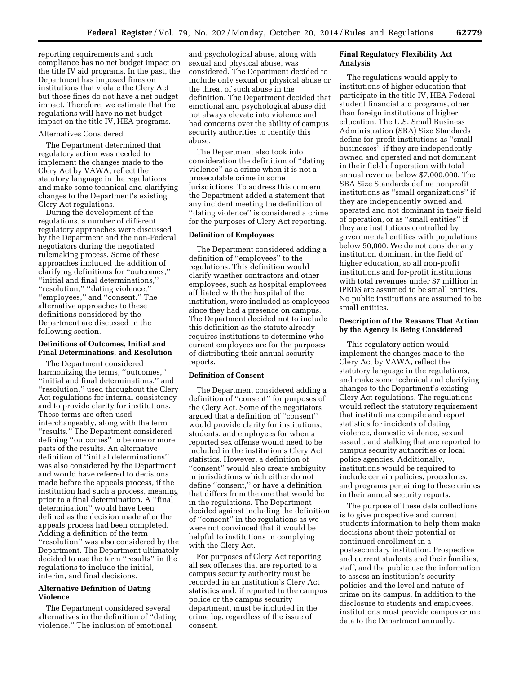reporting requirements and such compliance has no net budget impact on the title IV aid programs. In the past, the Department has imposed fines on institutions that violate the Clery Act but those fines do not have a net budget impact. Therefore, we estimate that the regulations will have no net budget impact on the title IV, HEA programs.

## Alternatives Considered

The Department determined that regulatory action was needed to implement the changes made to the Clery Act by VAWA, reflect the statutory language in the regulations and make some technical and clarifying changes to the Department's existing Clery Act regulations.

During the development of the regulations, a number of different regulatory approaches were discussed by the Department and the non-Federal negotiators during the negotiated rulemaking process. Some of these approaches included the addition of clarifying definitions for ''outcomes,'' ''initial and final determinations,'' ''resolution,'' ''dating violence,'' ''employees,'' and ''consent.'' The alternative approaches to these definitions considered by the Department are discussed in the following section.

## **Definitions of Outcomes, Initial and Final Determinations, and Resolution**

The Department considered harmonizing the terms, "outcomes," ''initial and final determinations,'' and ''resolution,'' used throughout the Clery Act regulations for internal consistency and to provide clarity for institutions. These terms are often used interchangeably, along with the term ''results.'' The Department considered defining ''outcomes'' to be one or more parts of the results. An alternative definition of ''initial determinations'' was also considered by the Department and would have referred to decisions made before the appeals process, if the institution had such a process, meaning prior to a final determination. A ''final determination'' would have been defined as the decision made after the appeals process had been completed. Adding a definition of the term ''resolution'' was also considered by the Department. The Department ultimately decided to use the term ''results'' in the regulations to include the initial, interim, and final decisions.

## **Alternative Definition of Dating Violence**

The Department considered several alternatives in the definition of ''dating violence.'' The inclusion of emotional

and psychological abuse, along with sexual and physical abuse, was considered. The Department decided to include only sexual or physical abuse or the threat of such abuse in the definition. The Department decided that emotional and psychological abuse did not always elevate into violence and had concerns over the ability of campus security authorities to identify this abuse.

The Department also took into consideration the definition of ''dating violence'' as a crime when it is not a prosecutable crime in some jurisdictions. To address this concern, the Department added a statement that any incident meeting the definition of ''dating violence'' is considered a crime for the purposes of Clery Act reporting.

## **Definition of Employees**

The Department considered adding a definition of ''employees'' to the regulations. This definition would clarify whether contractors and other employees, such as hospital employees affiliated with the hospital of the institution, were included as employees since they had a presence on campus. The Department decided not to include this definition as the statute already requires institutions to determine who current employees are for the purposes of distributing their annual security reports.

#### **Definition of Consent**

The Department considered adding a definition of ''consent'' for purposes of the Clery Act. Some of the negotiators argued that a definition of ''consent'' would provide clarity for institutions, students, and employees for when a reported sex offense would need to be included in the institution's Clery Act statistics. However, a definition of ''consent'' would also create ambiguity in jurisdictions which either do not define ''consent,'' or have a definition that differs from the one that would be in the regulations. The Department decided against including the definition of ''consent'' in the regulations as we were not convinced that it would be helpful to institutions in complying with the Clery Act.

For purposes of Clery Act reporting, all sex offenses that are reported to a campus security authority must be recorded in an institution's Clery Act statistics and, if reported to the campus police or the campus security department, must be included in the crime log, regardless of the issue of consent.

## **Final Regulatory Flexibility Act Analysis**

The regulations would apply to institutions of higher education that participate in the title IV, HEA Federal student financial aid programs, other than foreign institutions of higher education. The U.S. Small Business Administration (SBA) Size Standards define for-profit institutions as ''small businesses'' if they are independently owned and operated and not dominant in their field of operation with total annual revenue below \$7,000,000. The SBA Size Standards define nonprofit institutions as ''small organizations'' if they are independently owned and operated and not dominant in their field of operation, or as ''small entities'' if they are institutions controlled by governmental entities with populations below 50,000. We do not consider any institution dominant in the field of higher education, so all non-profit institutions and for-profit institutions with total revenues under \$7 million in IPEDS are assumed to be small entities. No public institutions are assumed to be small entities.

## **Description of the Reasons That Action by the Agency Is Being Considered**

This regulatory action would implement the changes made to the Clery Act by VAWA, reflect the statutory language in the regulations, and make some technical and clarifying changes to the Department's existing Clery Act regulations. The regulations would reflect the statutory requirement that institutions compile and report statistics for incidents of dating violence, domestic violence, sexual assault, and stalking that are reported to campus security authorities or local police agencies. Additionally, institutions would be required to include certain policies, procedures, and programs pertaining to these crimes in their annual security reports.

The purpose of these data collections is to give prospective and current students information to help them make decisions about their potential or continued enrollment in a postsecondary institution. Prospective and current students and their families, staff, and the public use the information to assess an institution's security policies and the level and nature of crime on its campus. In addition to the disclosure to students and employees, institutions must provide campus crime data to the Department annually.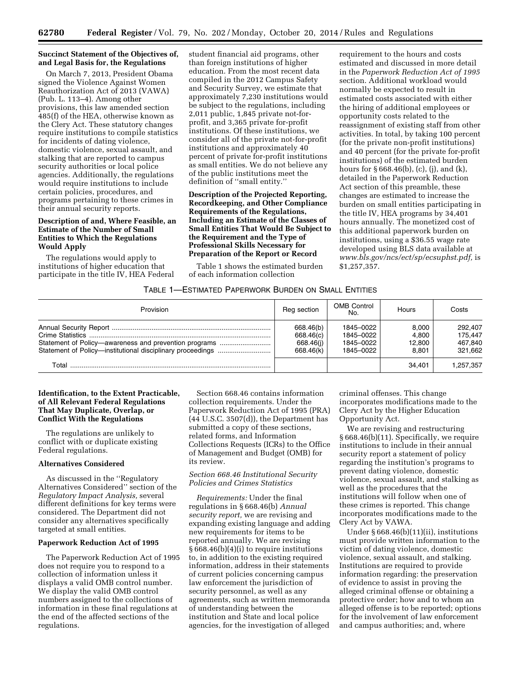## **Succinct Statement of the Objectives of, and Legal Basis for, the Regulations**

On March 7, 2013, President Obama signed the Violence Against Women Reauthorization Act of 2013 (VAWA) (Pub. L. 113–4). Among other provisions, this law amended section 485(f) of the HEA, otherwise known as the Clery Act. These statutory changes require institutions to compile statistics for incidents of dating violence, domestic violence, sexual assault, and stalking that are reported to campus security authorities or local police agencies. Additionally, the regulations would require institutions to include certain policies, procedures, and programs pertaining to these crimes in their annual security reports.

## **Description of and, Where Feasible, an Estimate of the Number of Small Entities to Which the Regulations Would Apply**

The regulations would apply to institutions of higher education that participate in the title IV, HEA Federal student financial aid programs, other than foreign institutions of higher education. From the most recent data compiled in the 2012 Campus Safety and Security Survey, we estimate that approximately 7,230 institutions would be subject to the regulations, including 2,011 public, 1,845 private not-forprofit, and 3,365 private for-profit institutions. Of these institutions, we consider all of the private not-for-profit institutions and approximately 40 percent of private for-profit institutions as small entities. We do not believe any of the public institutions meet the definition of ''small entity.''

## **Description of the Projected Reporting, Recordkeeping, and Other Compliance Requirements of the Regulations, Including an Estimate of the Classes of Small Entities That Would Be Subject to the Requirement and the Type of Professional Skills Necessary for Preparation of the Report or Record**

Table 1 shows the estimated burden of each information collection

requirement to the hours and costs estimated and discussed in more detail in the *Paperwork Reduction Act of 1995*  section. Additional workload would normally be expected to result in estimated costs associated with either the hiring of additional employees or opportunity costs related to the reassignment of existing staff from other activities. In total, by taking 100 percent (for the private non-profit institutions) and 40 percent (for the private for-profit institutions) of the estimated burden hours for  $\S 668.46(b)$ , (c), (j), and (k), detailed in the Paperwork Reduction Act section of this preamble, these changes are estimated to increase the burden on small entities participating in the title IV, HEA programs by 34,401 hours annually. The monetized cost of this additional paperwork burden on institutions, using a \$36.55 wage rate developed using BLS data available at *[www.bls.gov/ncs/ect/sp/ecsuphst.pdf,](http://www.bls.gov/ncs/ect/sp/ecsuphst.pdf)* is \$1,257,357.

## TABLE 1—ESTIMATED PAPERWORK BURDEN ON SMALL ENTITIES

| Provision                                             | Reg section                                      | <b>OMB Control</b><br>No.                        | Hours                             | Costs                                    |
|-------------------------------------------------------|--------------------------------------------------|--------------------------------------------------|-----------------------------------|------------------------------------------|
| Statement of Policy—awareness and prevention programs | 668.46(b)<br>668.46(c)<br>668.46(i)<br>668.46(k) | 1845-0022<br>1845-0022<br>1845-0022<br>1845-0022 | 8.000<br>4.800<br>12.800<br>8.801 | 292.407<br>175.447<br>467.840<br>321.662 |
| Total                                                 |                                                  |                                                  | 34.401                            | 1.257.357                                |

## **Identification, to the Extent Practicable, of All Relevant Federal Regulations That May Duplicate, Overlap, or Conflict With the Regulations**

The regulations are unlikely to conflict with or duplicate existing Federal regulations.

#### **Alternatives Considered**

As discussed in the ''Regulatory Alternatives Considered'' section of the *Regulatory Impact Analysis,* several different definitions for key terms were considered. The Department did not consider any alternatives specifically targeted at small entities.

## **Paperwork Reduction Act of 1995**

The Paperwork Reduction Act of 1995 does not require you to respond to a collection of information unless it displays a valid OMB control number. We display the valid OMB control numbers assigned to the collections of information in these final regulations at the end of the affected sections of the regulations.

Section 668.46 contains information collection requirements. Under the Paperwork Reduction Act of 1995 (PRA) (44 U.S.C. 3507(d)), the Department has submitted a copy of these sections, related forms, and Information Collections Requests (ICRs) to the Office of Management and Budget (OMB) for its review.

## *Section 668.46 Institutional Security Policies and Crimes Statistics*

*Requirements:* Under the final regulations in § 668.46(b) *Annual security report,* we are revising and expanding existing language and adding new requirements for items to be reported annually. We are revising § 668.46(b)(4)(i) to require institutions to, in addition to the existing required information, address in their statements of current policies concerning campus law enforcement the jurisdiction of security personnel, as well as any agreements, such as written memoranda of understanding between the institution and State and local police agencies, for the investigation of alleged

criminal offenses. This change incorporates modifications made to the Clery Act by the Higher Education Opportunity Act.

We are revising and restructuring § 668.46(b)(11). Specifically, we require institutions to include in their annual security report a statement of policy regarding the institution's programs to prevent dating violence, domestic violence, sexual assault, and stalking as well as the procedures that the institutions will follow when one of these crimes is reported. This change incorporates modifications made to the Clery Act by VAWA.

Under § 668.46(b)(11)(ii), institutions must provide written information to the victim of dating violence, domestic violence, sexual assault, and stalking. Institutions are required to provide information regarding: the preservation of evidence to assist in proving the alleged criminal offense or obtaining a protective order; how and to whom an alleged offense is to be reported; options for the involvement of law enforcement and campus authorities; and, where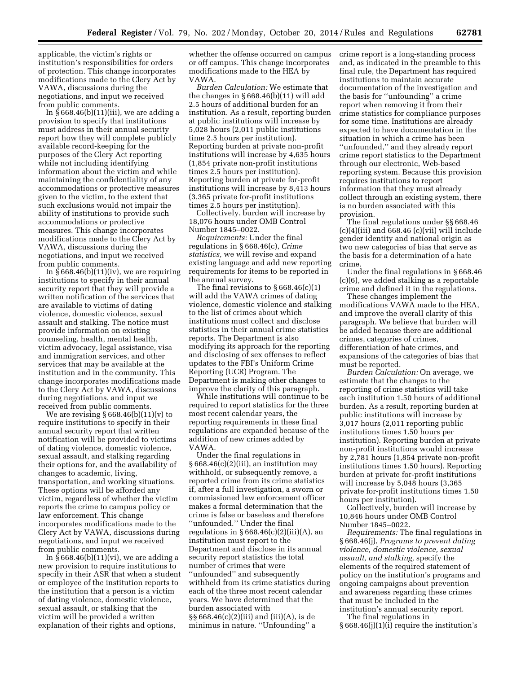applicable, the victim's rights or institution's responsibilities for orders of protection. This change incorporates modifications made to the Clery Act by VAWA, discussions during the negotiations, and input we received from public comments.

In § 668.46(b)(11)(iii), we are adding a provision to specify that institutions must address in their annual security report how they will complete publicly available record-keeping for the purposes of the Clery Act reporting while not including identifying information about the victim and while maintaining the confidentiality of any accommodations or protective measures given to the victim, to the extent that such exclusions would not impair the ability of institutions to provide such accommodations or protective measures. This change incorporates modifications made to the Clery Act by VAWA, discussions during the negotiations, and input we received from public comments.

In  $\S 668.46(b)(11)(iv)$ , we are requiring institutions to specify in their annual security report that they will provide a written notification of the services that are available to victims of dating violence, domestic violence, sexual assault and stalking. The notice must provide information on existing counseling, health, mental health, victim advocacy, legal assistance, visa and immigration services, and other services that may be available at the institution and in the community. This change incorporates modifications made to the Clery Act by VAWA, discussions during negotiations, and input we received from public comments.

We are revising  $\S 668.46(b)(11)(v)$  to require institutions to specify in their annual security report that written notification will be provided to victims of dating violence, domestic violence, sexual assault, and stalking regarding their options for, and the availability of changes to academic, living, transportation, and working situations. These options will be afforded any victim, regardless of whether the victim reports the crime to campus policy or law enforcement. This change incorporates modifications made to the Clery Act by VAWA, discussions during negotiations, and input we received from public comments.

In § 668.46(b)(11)(vi), we are adding a new provision to require institutions to specify in their ASR that when a student or employee of the institution reports to the institution that a person is a victim of dating violence, domestic violence, sexual assault, or stalking that the victim will be provided a written explanation of their rights and options,

whether the offense occurred on campus or off campus. This change incorporates modifications made to the HEA by VAWA.

*Burden Calculation:* We estimate that the changes in § 668.46(b)(11) will add 2.5 hours of additional burden for an institution. As a result, reporting burden at public institutions will increase by 5,028 hours (2,011 public institutions time 2.5 hours per institution). Reporting burden at private non-profit institutions will increase by 4,635 hours (1,854 private non-profit institutions times 2.5 hours per institution). Reporting burden at private for-profit institutions will increase by 8,413 hours (3,365 private for-profit institutions times 2.5 hours per institution).

Collectively, burden will increase by 18,076 hours under OMB Control Number 1845–0022.

*Requirements:* Under the final regulations in § 668.46(c), *Crime statistics,* we will revise and expand existing language and add new reporting requirements for items to be reported in the annual survey.

The final revisions to  $\S 668.46(c)(1)$ will add the VAWA crimes of dating violence, domestic violence and stalking to the list of crimes about which institutions must collect and disclose statistics in their annual crime statistics reports. The Department is also modifying its approach for the reporting and disclosing of sex offenses to reflect updates to the FBI's Uniform Crime Reporting (UCR) Program. The Department is making other changes to improve the clarity of this paragraph.

While institutions will continue to be required to report statistics for the three most recent calendar years, the reporting requirements in these final regulations are expanded because of the addition of new crimes added by VAWA.

Under the final regulations in  $§ 668.46(c)(2)(iii)$ , an institution may withhold, or subsequently remove, a reported crime from its crime statistics if, after a full investigation, a sworn or commissioned law enforcement officer makes a formal determination that the crime is false or baseless and therefore ''unfounded.'' Under the final regulations in  $§ 668.46(c)(2)(iii)(A)$ , an institution must report to the Department and disclose in its annual security report statistics the total number of crimes that were ''unfounded'' and subsequently withheld from its crime statistics during each of the three most recent calendar years. We have determined that the burden associated with §§ 668.46(c)(2)(iii) and (iii)(A), is de minimus in nature. ''Unfounding'' a

crime report is a long-standing process and, as indicated in the preamble to this final rule, the Department has required institutions to maintain accurate documentation of the investigation and the basis for ''unfounding'' a crime report when removing it from their crime statistics for compliance purposes for some time. Institutions are already expected to have documentation in the situation in which a crime has been ''unfounded,'' and they already report crime report statistics to the Department through our electronic, Web-based reporting system. Because this provision requires institutions to report information that they must already collect through an existing system, there is no burden associated with this provision.

The final regulations under §§ 668.46  $(c)(4)(iii)$  and 668.46  $(c)(vii)$  will include gender identity and national origin as two new categories of bias that serve as the basis for a determination of a hate crime.

Under the final regulations in § 668.46 (c)(6), we added stalking as a reportable crime and defined it in the regulations.

These changes implement the modifications VAWA made to the HEA, and improve the overall clarity of this paragraph. We believe that burden will be added because there are additional crimes, categories of crimes, differentiation of hate crimes, and expansions of the categories of bias that must be reported.

*Burden Calculation:* On average, we estimate that the changes to the reporting of crime statistics will take each institution 1.50 hours of additional burden. As a result, reporting burden at public institutions will increase by 3,017 hours (2,011 reporting public institutions times 1.50 hours per institution). Reporting burden at private non-profit institutions would increase by 2,781 hours (1,854 private non-profit institutions times 1.50 hours). Reporting burden at private for-profit institutions will increase by 5,048 hours (3,365 private for-profit institutions times 1.50 hours per institution).

Collectively, burden will increase by 10,846 hours under OMB Control Number 1845–0022.

*Requirements:* The final regulations in § 668.46(j), *Programs to prevent dating violence, domestic violence, sexual assault, and stalking,* specify the elements of the required statement of policy on the institution's programs and ongoing campaigns about prevention and awareness regarding these crimes that must be included in the institution's annual security report.

The final regulations in § 668.46(j)(1)(i) require the institution's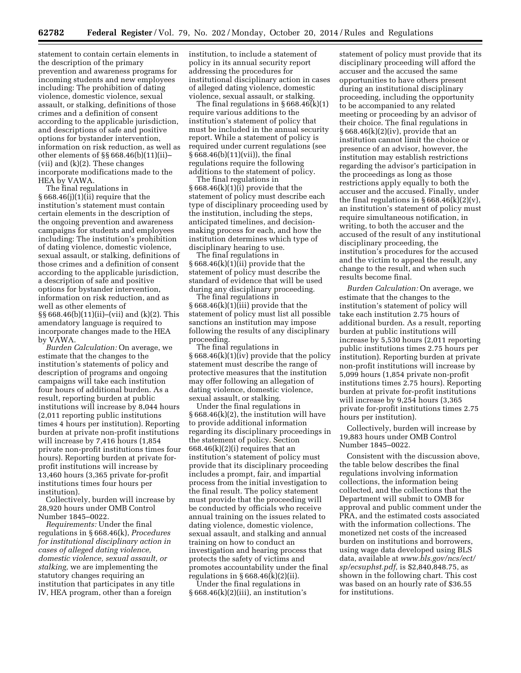statement to contain certain elements in the description of the primary prevention and awareness programs for incoming students and new employees including: The prohibition of dating violence, domestic violence, sexual assault, or stalking, definitions of those crimes and a definition of consent according to the applicable jurisdiction, and descriptions of safe and positive options for bystander intervention, information on risk reduction, as well as other elements of §§ 668.46(b)(11)(ii)– (vii) and (k)(2). These changes incorporate modifications made to the HEA by VAWA.

The final regulations in  $§ 668.46(j)(1)(ii)$  require that the institution's statement must contain certain elements in the description of the ongoing prevention and awareness campaigns for students and employees including: The institution's prohibition of dating violence, domestic violence, sexual assault, or stalking, definitions of those crimes and a definition of consent according to the applicable jurisdiction, a description of safe and positive options for bystander intervention, information on risk reduction, and as well as other elements of §§ 668.46(b)(11)(ii)–(vii) and (k)(2). This amendatory language is required to incorporate changes made to the HEA by VAWA.

*Burden Calculation:* On average, we estimate that the changes to the institution's statements of policy and description of programs and ongoing campaigns will take each institution four hours of additional burden. As a result, reporting burden at public institutions will increase by 8,044 hours (2,011 reporting public institutions times 4 hours per institution). Reporting burden at private non-profit institutions will increase by 7,416 hours (1,854 private non-profit institutions times four hours). Reporting burden at private forprofit institutions will increase by 13,460 hours (3,365 private for-profit institutions times four hours per institution).

Collectively, burden will increase by 28,920 hours under OMB Control Number 1845–0022.

*Requirements:* Under the final regulations in § 668.46(k), *Procedures for institutional disciplinary action in cases of alleged dating violence, domestic violence, sexual assault, or stalking,* we are implementing the statutory changes requiring an institution that participates in any title IV, HEA program, other than a foreign

institution, to include a statement of policy in its annual security report addressing the procedures for institutional disciplinary action in cases of alleged dating violence, domestic violence, sexual assault, or stalking.

The final regulations in § 668.46(k)(1) require various additions to the institution's statement of policy that must be included in the annual security report. While a statement of policy is required under current regulations (see § 668.46(b)(11)(vii)), the final regulations require the following additions to the statement of policy.

The final regulations in  $§ 668.46(k)(1)(i)$  provide that the statement of policy must describe each type of disciplinary proceeding used by the institution, including the steps, anticipated timelines, and decisionmaking process for each, and how the institution determines which type of disciplinary hearing to use.

The final regulations in § 668.46(k)(1)(ii) provide that the statement of policy must describe the standard of evidence that will be used during any disciplinary proceeding.

The final regulations in § 668.46(k)(1)(iii) provide that the statement of policy must list all possible sanctions an institution may impose following the results of any disciplinary proceeding.

The final regulations in § 668.46(k)(1)(iv) provide that the policy statement must describe the range of protective measures that the institution may offer following an allegation of dating violence, domestic violence, sexual assault, or stalking.

Under the final regulations in § 668.46(k)(2), the institution will have to provide additional information regarding its disciplinary proceedings in the statement of policy. Section  $668.46(k)(2)(i)$  requires that an institution's statement of policy must provide that its disciplinary proceeding includes a prompt, fair, and impartial process from the initial investigation to the final result. The policy statement must provide that the proceeding will be conducted by officials who receive annual training on the issues related to dating violence, domestic violence, sexual assault, and stalking and annual training on how to conduct an investigation and hearing process that protects the safety of victims and promotes accountability under the final regulations in  $\S 668.46(k)(2)(ii)$ .

Under the final regulations in § 668.46(k)(2)(iii), an institution's statement of policy must provide that its disciplinary proceeding will afford the accuser and the accused the same opportunities to have others present during an institutional disciplinary proceeding, including the opportunity to be accompanied to any related meeting or proceeding by an advisor of their choice. The final regulations in  $§ 668.46(k)(2)(iv)$ , provide that an institution cannot limit the choice or presence of an advisor, however, the institution may establish restrictions regarding the advisor's participation in the proceedings as long as those restrictions apply equally to both the accuser and the accused. Finally, under the final regulations in  $\S 668.46(k)(2)(v)$ , an institution's statement of policy must require simultaneous notification, in writing, to both the accuser and the accused of the result of any institutional disciplinary proceeding, the institution's procedures for the accused and the victim to appeal the result, any change to the result, and when such results become final.

*Burden Calculation:* On average, we estimate that the changes to the institution's statement of policy will take each institution 2.75 hours of additional burden. As a result, reporting burden at public institutions will increase by 5,530 hours (2,011 reporting public institutions times 2.75 hours per institution). Reporting burden at private non-profit institutions will increase by 5,099 hours (1,854 private non-profit institutions times 2.75 hours). Reporting burden at private for-profit institutions will increase by 9,254 hours (3,365 private for-profit institutions times 2.75 hours per institution).

Collectively, burden will increase by 19,883 hours under OMB Control Number 1845–0022.

Consistent with the discussion above, the table below describes the final regulations involving information collections, the information being collected, and the collections that the Department will submit to OMB for approval and public comment under the PRA, and the estimated costs associated with the information collections. The monetized net costs of the increased burden on institutions and borrowers, using wage data developed using BLS data, available at *[www.bls.gov/ncs/ect/](http://www.bls.gov/ncs/ect/sp/ecsuphst.pdf) [sp/ecsuphst.pdf,](http://www.bls.gov/ncs/ect/sp/ecsuphst.pdf)* is \$2,840,848.75, as shown in the following chart. This cost was based on an hourly rate of \$36.55 for institutions.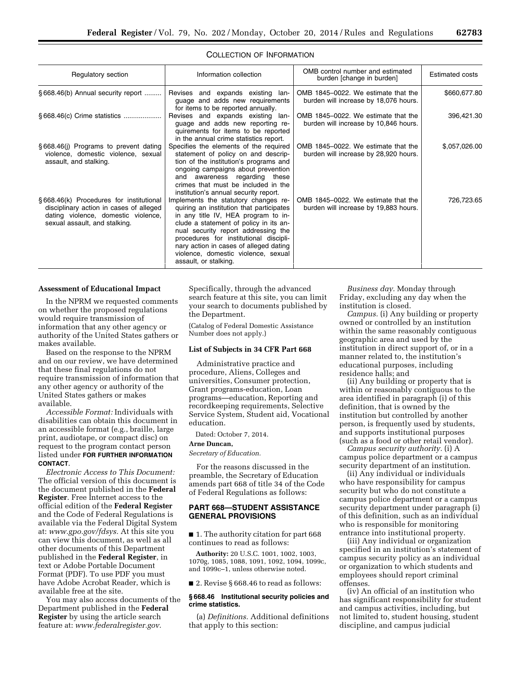| Regulatory section                                                                                                                                         | Information collection                                                                                                                                                                                                                                                                                                                                       | OMB control number and estimated<br>burden [change in burden]                | <b>Estimated costs</b> |
|------------------------------------------------------------------------------------------------------------------------------------------------------------|--------------------------------------------------------------------------------------------------------------------------------------------------------------------------------------------------------------------------------------------------------------------------------------------------------------------------------------------------------------|------------------------------------------------------------------------------|------------------------|
| §668.46(b) Annual security report                                                                                                                          | Revises and expands existing lan-<br>quage and adds new requirements<br>for items to be reported annually.                                                                                                                                                                                                                                                   | OMB 1845-0022. We estimate that the<br>burden will increase by 18,076 hours. | \$660,677.80           |
|                                                                                                                                                            | Revises and expands existing lan-<br>guage and adds new reporting re-<br>quirements for items to be reported<br>in the annual crime statistics report.                                                                                                                                                                                                       | OMB 1845-0022. We estimate that the<br>burden will increase by 10,846 hours. | 396,421.30             |
| §668.46(i) Programs to prevent dating<br>violence, domestic violence, sexual<br>assault, and stalking.                                                     | Specifies the elements of the required<br>statement of policy on and descrip-<br>tion of the institution's programs and<br>ongoing campaigns about prevention<br>and awareness regarding these<br>crimes that must be included in the<br>institution's annual security report.                                                                               | OMB 1845-0022. We estimate that the<br>burden will increase by 28,920 hours. | \$,057,026.00          |
| §668.46(k) Procedures for institutional<br>disciplinary action in cases of alleged<br>dating violence, domestic violence,<br>sexual assault, and stalking. | Implements the statutory changes re-<br>quiring an institution that participates<br>in any title IV, HEA program to in-<br>clude a statement of policy in its an-<br>nual security report addressing the<br>procedures for institutional discipli-<br>nary action in cases of alleged dating<br>violence, domestic violence, sexual<br>assault, or stalking. | OMB 1845-0022. We estimate that the<br>burden will increase by 19,883 hours. | 726,723.65             |

## COLLECTION OF INFORMATION

#### **Assessment of Educational Impact**

In the NPRM we requested comments on whether the proposed regulations would require transmission of information that any other agency or authority of the United States gathers or makes available.

Based on the response to the NPRM and on our review, we have determined that these final regulations do not require transmission of information that any other agency or authority of the United States gathers or makes available.

*Accessible Format:* Individuals with disabilities can obtain this document in an accessible format (e.g., braille, large print, audiotape, or compact disc) on request to the program contact person listed under **FOR FURTHER INFORMATION CONTACT**.

*Electronic Access to This Document:*  The official version of this document is the document published in the **Federal Register**. Free Internet access to the official edition of the **Federal Register**  and the Code of Federal Regulations is available via the Federal Digital System at: *[www.gpo.gov/fdsys.](http://www.gpo.gov/fdsys)* At this site you can view this document, as well as all other documents of this Department published in the **Federal Register**, in text or Adobe Portable Document Format (PDF). To use PDF you must have Adobe Acrobat Reader, which is available free at the site.

You may also access documents of the Department published in the **Federal Register** by using the article search feature at: *[www.federalregister.gov.](http://www.federalregister.gov)* 

Specifically, through the advanced search feature at this site, you can limit your search to documents published by the Department.

(Catalog of Federal Domestic Assistance Number does not apply.)

#### **List of Subjects in 34 CFR Part 668**

Administrative practice and procedure, Aliens, Colleges and universities, Consumer protection, Grant programs-education, Loan programs—education, Reporting and recordkeeping requirements, Selective Service System, Student aid, Vocational education.

Dated: October 7, 2014.

#### **Arne Duncan,**

*Secretary of Education.* 

For the reasons discussed in the preamble, the Secretary of Education amends part 668 of title 34 of the Code of Federal Regulations as follows:

## **PART 668—STUDENT ASSISTANCE GENERAL PROVISIONS**

■ 1. The authority citation for part 668 continues to read as follows:

**Authority:** 20 U.S.C. 1001, 1002, 1003,

1070g, 1085, 1088, 1091, 1092, 1094, 1099c, and 1099c–1, unless otherwise noted.

■ 2. Revise § 668.46 to read as follows:

## **§ 668.46 Institutional security policies and crime statistics.**

(a) *Definitions.* Additional definitions that apply to this section:

*Business day.* Monday through Friday, excluding any day when the institution is closed.

*Campus.* (i) Any building or property owned or controlled by an institution within the same reasonably contiguous geographic area and used by the institution in direct support of, or in a manner related to, the institution's educational purposes, including residence halls; and

(ii) Any building or property that is within or reasonably contiguous to the area identified in paragraph (i) of this definition, that is owned by the institution but controlled by another person, is frequently used by students, and supports institutional purposes (such as a food or other retail vendor).

*Campus security authority.* (i) A campus police department or a campus security department of an institution.

(ii) Any individual or individuals who have responsibility for campus security but who do not constitute a campus police department or a campus security department under paragraph (i) of this definition, such as an individual who is responsible for monitoring entrance into institutional property.

(iii) Any individual or organization specified in an institution's statement of campus security policy as an individual or organization to which students and employees should report criminal offenses.

(iv) An official of an institution who has significant responsibility for student and campus activities, including, but not limited to, student housing, student discipline, and campus judicial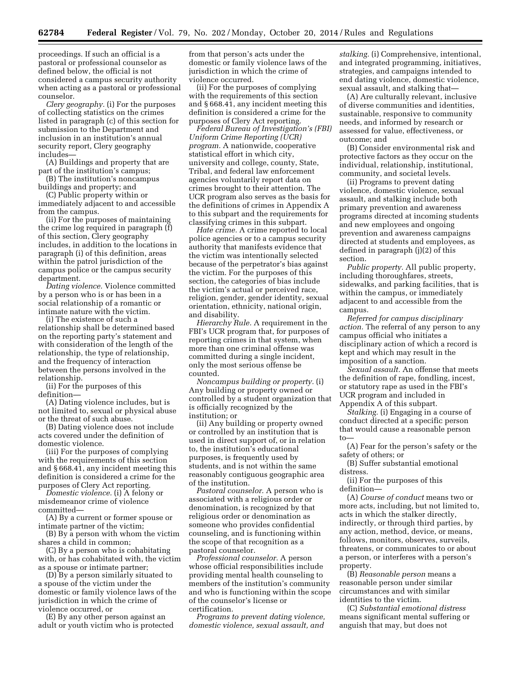proceedings. If such an official is a pastoral or professional counselor as defined below, the official is not considered a campus security authority when acting as a pastoral or professional counselor.

*Clery geography.* (i) For the purposes of collecting statistics on the crimes listed in paragraph (c) of this section for submission to the Department and inclusion in an institution's annual security report, Clery geography includes—

(A) Buildings and property that are part of the institution's campus;

(B) The institution's noncampus buildings and property; and

(C) Public property within or immediately adjacent to and accessible from the campus.

(ii) For the purposes of maintaining the crime log required in paragraph (f) of this section, Clery geography includes, in addition to the locations in paragraph (i) of this definition, areas within the patrol jurisdiction of the campus police or the campus security department.

*Dating violence.* Violence committed by a person who is or has been in a social relationship of a romantic or intimate nature with the victim.

(i) The existence of such a relationship shall be determined based on the reporting party's statement and with consideration of the length of the relationship, the type of relationship, and the frequency of interaction between the persons involved in the relationship.

(ii) For the purposes of this definition—

(A) Dating violence includes, but is not limited to, sexual or physical abuse or the threat of such abuse.

(B) Dating violence does not include acts covered under the definition of domestic violence.

(iii) For the purposes of complying with the requirements of this section and § 668.41, any incident meeting this definition is considered a crime for the purposes of Clery Act reporting.

*Domestic violence.* (i) A felony or misdemeanor crime of violence committed—

(A) By a current or former spouse or intimate partner of the victim;

(B) By a person with whom the victim shares a child in common;

(C) By a person who is cohabitating with, or has cohabitated with, the victim as a spouse or intimate partner;

(D) By a person similarly situated to a spouse of the victim under the domestic or family violence laws of the jurisdiction in which the crime of violence occurred, or

(E) By any other person against an adult or youth victim who is protected from that person's acts under the domestic or family violence laws of the jurisdiction in which the crime of violence occurred.

(ii) For the purposes of complying with the requirements of this section and § 668.41, any incident meeting this definition is considered a crime for the purposes of Clery Act reporting.

*Federal Bureau of Investigation's (FBI) Uniform Crime Reporting (UCR) program.* A nationwide, cooperative statistical effort in which city, university and college, county, State, Tribal, and federal law enforcement agencies voluntarily report data on crimes brought to their attention. The UCR program also serves as the basis for the definitions of crimes in Appendix A to this subpart and the requirements for classifying crimes in this subpart.

*Hate crime.* A crime reported to local police agencies or to a campus security authority that manifests evidence that the victim was intentionally selected because of the perpetrator's bias against the victim. For the purposes of this section, the categories of bias include the victim's actual or perceived race, religion, gender, gender identity, sexual orientation, ethnicity, national origin, and disability.

*Hierarchy Rule.* A requirement in the FBI's UCR program that, for purposes of reporting crimes in that system, when more than one criminal offense was committed during a single incident, only the most serious offense be counted.

*Noncampus building or property.* (i) Any building or property owned or controlled by a student organization that is officially recognized by the institution; or

(ii) Any building or property owned or controlled by an institution that is used in direct support of, or in relation to, the institution's educational purposes, is frequently used by students, and is not within the same reasonably contiguous geographic area of the institution.

*Pastoral counselor.* A person who is associated with a religious order or denomination, is recognized by that religious order or denomination as someone who provides confidential counseling, and is functioning within the scope of that recognition as a pastoral counselor.

*Professional counselor.* A person whose official responsibilities include providing mental health counseling to members of the institution's community and who is functioning within the scope of the counselor's license or certification.

*Programs to prevent dating violence, domestic violence, sexual assault, and* 

*stalking.* (i) Comprehensive, intentional, and integrated programming, initiatives, strategies, and campaigns intended to end dating violence, domestic violence, sexual assault, and stalking that—

(A) Are culturally relevant, inclusive of diverse communities and identities, sustainable, responsive to community needs, and informed by research or assessed for value, effectiveness, or outcome; and

(B) Consider environmental risk and protective factors as they occur on the individual, relationship, institutional, community, and societal levels.

(ii) Programs to prevent dating violence, domestic violence, sexual assault, and stalking include both primary prevention and awareness programs directed at incoming students and new employees and ongoing prevention and awareness campaigns directed at students and employees, as defined in paragraph (j)(2) of this section.

*Public property.* All public property, including thoroughfares, streets, sidewalks, and parking facilities, that is within the campus, or immediately adjacent to and accessible from the campus.

*Referred for campus disciplinary action.* The referral of any person to any campus official who initiates a disciplinary action of which a record is kept and which may result in the imposition of a sanction.

*Sexual assault.* An offense that meets the definition of rape, fondling, incest, or statutory rape as used in the FBI's UCR program and included in Appendix A of this subpart.

*Stalking.* (i) Engaging in a course of conduct directed at a specific person that would cause a reasonable person to—

(A) Fear for the person's safety or the safety of others; or

(B) Suffer substantial emotional distress.

(ii) For the purposes of this definition—

(A) *Course of conduct* means two or more acts, including, but not limited to, acts in which the stalker directly, indirectly, or through third parties, by any action, method, device, or means, follows, monitors, observes, surveils, threatens, or communicates to or about a person, or interferes with a person's property.

(B) *Reasonable person* means a reasonable person under similar circumstances and with similar identities to the victim.

(C) *Substantial emotional distress*  means significant mental suffering or anguish that may, but does not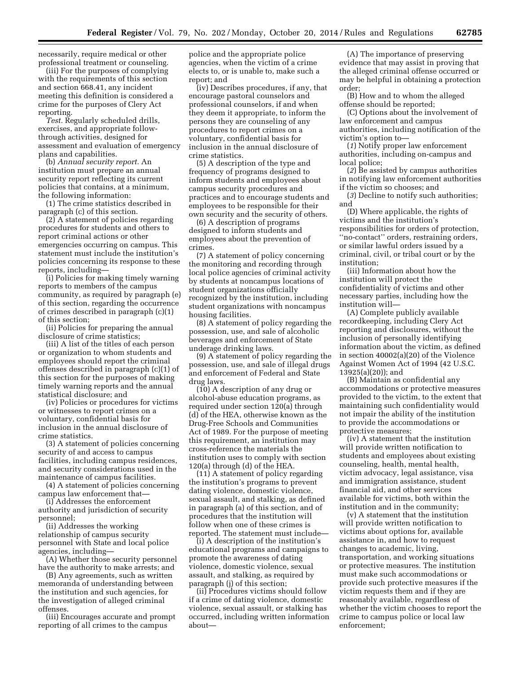necessarily, require medical or other professional treatment or counseling.

(iii) For the purposes of complying with the requirements of this section and section 668.41, any incident meeting this definition is considered a crime for the purposes of Clery Act reporting.

*Test.* Regularly scheduled drills, exercises, and appropriate followthrough activities, designed for assessment and evaluation of emergency plans and capabilities.

(b) *Annual security report.* An institution must prepare an annual security report reflecting its current policies that contains, at a minimum, the following information:

(1) The crime statistics described in paragraph (c) of this section.

(2) A statement of policies regarding procedures for students and others to report criminal actions or other emergencies occurring on campus. This statement must include the institution's policies concerning its response to these reports, including—

(i) Policies for making timely warning reports to members of the campus community, as required by paragraph (e) of this section, regarding the occurrence of crimes described in paragraph (c)(1) of this section;

(ii) Policies for preparing the annual disclosure of crime statistics;

(iii) A list of the titles of each person or organization to whom students and employees should report the criminal offenses described in paragraph (c)(1) of this section for the purposes of making timely warning reports and the annual statistical disclosure; and

(iv) Policies or procedures for victims or witnesses to report crimes on a voluntary, confidential basis for inclusion in the annual disclosure of crime statistics.

(3) A statement of policies concerning security of and access to campus facilities, including campus residences, and security considerations used in the maintenance of campus facilities.

(4) A statement of policies concerning campus law enforcement that—

(i) Addresses the enforcement authority and jurisdiction of security personnel;

(ii) Addresses the working relationship of campus security personnel with State and local police agencies, including—

(A) Whether those security personnel have the authority to make arrests; and

(B) Any agreements, such as written memoranda of understanding between the institution and such agencies, for the investigation of alleged criminal offenses.

(iii) Encourages accurate and prompt reporting of all crimes to the campus

police and the appropriate police agencies, when the victim of a crime elects to, or is unable to, make such a report; and

(iv) Describes procedures, if any, that encourage pastoral counselors and professional counselors, if and when they deem it appropriate, to inform the persons they are counseling of any procedures to report crimes on a voluntary, confidential basis for inclusion in the annual disclosure of crime statistics.

(5) A description of the type and frequency of programs designed to inform students and employees about campus security procedures and practices and to encourage students and employees to be responsible for their own security and the security of others.

(6) A description of programs designed to inform students and employees about the prevention of crimes.

(7) A statement of policy concerning the monitoring and recording through local police agencies of criminal activity by students at noncampus locations of student organizations officially recognized by the institution, including student organizations with noncampus housing facilities.

(8) A statement of policy regarding the possession, use, and sale of alcoholic beverages and enforcement of State underage drinking laws.

(9) A statement of policy regarding the possession, use, and sale of illegal drugs and enforcement of Federal and State drug laws.

(10) A description of any drug or alcohol-abuse education programs, as required under section 120(a) through (d) of the HEA, otherwise known as the Drug-Free Schools and Communities Act of 1989. For the purpose of meeting this requirement, an institution may cross-reference the materials the institution uses to comply with section 120(a) through (d) of the HEA.

(11) A statement of policy regarding the institution's programs to prevent dating violence, domestic violence, sexual assault, and stalking, as defined in paragraph (a) of this section, and of procedures that the institution will follow when one of these crimes is reported. The statement must include—

(i) A description of the institution's educational programs and campaigns to promote the awareness of dating violence, domestic violence, sexual assault, and stalking, as required by paragraph (j) of this section;

(ii) Procedures victims should follow if a crime of dating violence, domestic violence, sexual assault, or stalking has occurred, including written information about—

(A) The importance of preserving evidence that may assist in proving that the alleged criminal offense occurred or may be helpful in obtaining a protection order;

(B) How and to whom the alleged offense should be reported;

(C) Options about the involvement of law enforcement and campus authorities, including notification of the victim's option to—

(*1*) Notify proper law enforcement authorities, including on-campus and local police;

(*2*) Be assisted by campus authorities in notifying law enforcement authorities if the victim so chooses; and

(*3*) Decline to notify such authorities; and

(D) Where applicable, the rights of victims and the institution's responsibilities for orders of protection, ''no-contact'' orders, restraining orders, or similar lawful orders issued by a criminal, civil, or tribal court or by the institution;

(iii) Information about how the institution will protect the confidentiality of victims and other necessary parties, including how the institution will—

(A) Complete publicly available recordkeeping, including Clery Act reporting and disclosures, without the inclusion of personally identifying information about the victim, as defined in section 40002(a)(20) of the Violence Against Women Act of 1994 (42 U.S.C. 13925(a)(20)); and

(B) Maintain as confidential any accommodations or protective measures provided to the victim, to the extent that maintaining such confidentiality would not impair the ability of the institution to provide the accommodations or protective measures;

(iv) A statement that the institution will provide written notification to students and employees about existing counseling, health, mental health, victim advocacy, legal assistance, visa and immigration assistance, student financial aid, and other services available for victims, both within the institution and in the community;

(v) A statement that the institution will provide written notification to victims about options for, available assistance in, and how to request changes to academic, living, transportation, and working situations or protective measures. The institution must make such accommodations or provide such protective measures if the victim requests them and if they are reasonably available, regardless of whether the victim chooses to report the crime to campus police or local law enforcement;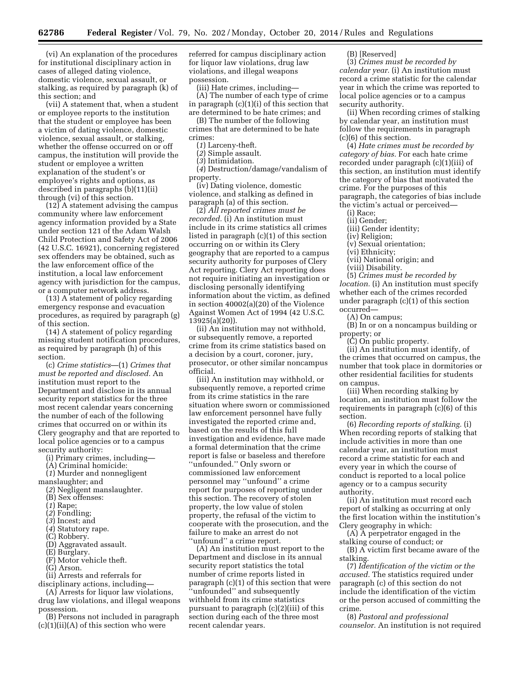(vi) An explanation of the procedures for institutional disciplinary action in cases of alleged dating violence, domestic violence, sexual assault, or stalking, as required by paragraph (k) of this section; and

(vii) A statement that, when a student or employee reports to the institution that the student or employee has been a victim of dating violence, domestic violence, sexual assault, or stalking, whether the offense occurred on or off campus, the institution will provide the student or employee a written explanation of the student's or employee's rights and options, as described in paragraphs (b)(11)(ii) through (vi) of this section.

 $(12)$  A statement advising the campus community where law enforcement agency information provided by a State under section 121 of the Adam Walsh Child Protection and Safety Act of 2006 (42 U.S.C. 16921), concerning registered sex offenders may be obtained, such as the law enforcement office of the institution, a local law enforcement agency with jurisdiction for the campus, or a computer network address.

(13) A statement of policy regarding emergency response and evacuation procedures, as required by paragraph (g) of this section.

(14) A statement of policy regarding missing student notification procedures, as required by paragraph (h) of this section.

(c) *Crime statistics*—(1) *Crimes that must be reported and disclosed.* An institution must report to the Department and disclose in its annual security report statistics for the three most recent calendar years concerning the number of each of the following crimes that occurred on or within its Clery geography and that are reported to local police agencies or to a campus security authority:

(i) Primary crimes, including—

(A) Criminal homicide:

(*1*) Murder and nonnegligent

manslaughter; and

(*2*) Negligent manslaughter.

(B) Sex offenses:

- (*1*) Rape;
- (*2*) Fondling;
- (*3*) Incest; and
- (*4*) Statutory rape.
- (C) Robbery.
- (D) Aggravated assault.
- (E) Burglary.
- (F) Motor vehicle theft.
- (G) Arson.
- (ii) Arrests and referrals for
- disciplinary actions, including—

(A) Arrests for liquor law violations, drug law violations, and illegal weapons possession.

(B) Persons not included in paragraph  $(c)(1)(ii)(A)$  of this section who were

referred for campus disciplinary action for liquor law violations, drug law violations, and illegal weapons possession.

(iii) Hate crimes, including—

(A) The number of each type of crime in paragraph (c)(1)(i) of this section that are determined to be hate crimes; and

(B) The number of the following crimes that are determined to be hate crimes:

(*1*) Larceny-theft.

(*2*) Simple assault.

(*3*) Intimidation.

(*4*) Destruction/damage/vandalism of property.

(iv) Dating violence, domestic violence, and stalking as defined in paragraph (a) of this section.

(2) *All reported crimes must be recorded.* (i) An institution must include in its crime statistics all crimes listed in paragraph (c)(1) of this section occurring on or within its Clery geography that are reported to a campus security authority for purposes of Clery Act reporting. Clery Act reporting does not require initiating an investigation or disclosing personally identifying information about the victim, as defined in section 40002(a)(20) of the Violence Against Women Act of 1994 (42 U.S.C. 13925(a)(20)).

(ii) An institution may not withhold, or subsequently remove, a reported crime from its crime statistics based on a decision by a court, coroner, jury, prosecutor, or other similar noncampus official.

(iii) An institution may withhold, or subsequently remove, a reported crime from its crime statistics in the rare situation where sworn or commissioned law enforcement personnel have fully investigated the reported crime and, based on the results of this full investigation and evidence, have made a formal determination that the crime report is false or baseless and therefore ''unfounded.'' Only sworn or commissioned law enforcement personnel may ''unfound'' a crime report for purposes of reporting under this section. The recovery of stolen property, the low value of stolen property, the refusal of the victim to cooperate with the prosecution, and the failure to make an arrest do not ''unfound'' a crime report.

(A) An institution must report to the Department and disclose in its annual security report statistics the total number of crime reports listed in paragraph (c)(1) of this section that were ''unfounded'' and subsequently withheld from its crime statistics pursuant to paragraph (c)(2)(iii) of this section during each of the three most recent calendar years.

(B) [Reserved]

(3) *Crimes must be recorded by calendar year.* (i) An institution must record a crime statistic for the calendar year in which the crime was reported to local police agencies or to a campus security authority.

(ii) When recording crimes of stalking by calendar year, an institution must follow the requirements in paragraph (c)(6) of this section.

(4) *Hate crimes must be recorded by category of bias.* For each hate crime recorded under paragraph (c)(1)(iii) of this section, an institution must identify the category of bias that motivated the crime. For the purposes of this paragraph, the categories of bias include the victim's actual or perceived—

(i) Race;

(ii) Gender;

(iii) Gender identity;

(iv) Religion;

(v) Sexual orientation; (vi) Ethnicity;

- (vii) National origin; and
- 

(viii) Disability.

(5) *Crimes must be recorded by location.* (i) An institution must specify whether each of the crimes recorded under paragraph (c)(1) of this section occurred—

(A) On campus;

(B) In or on a noncampus building or property; or

(C) On public property.

(ii) An institution must identify, of the crimes that occurred on campus, the number that took place in dormitories or other residential facilities for students on campus.

(iii) When recording stalking by location, an institution must follow the requirements in paragraph (c)(6) of this section.

(6) *Recording reports of stalking.* (i) When recording reports of stalking that include activities in more than one calendar year, an institution must record a crime statistic for each and every year in which the course of conduct is reported to a local police agency or to a campus security authority.

(ii) An institution must record each report of stalking as occurring at only the first location within the institution's Clery geography in which:

(A) A perpetrator engaged in the stalking course of conduct; or

(B) A victim first became aware of the stalking.

(7) *Identification of the victim or the accused.* The statistics required under paragraph (c) of this section do not include the identification of the victim or the person accused of committing the crime.

(8) *Pastoral and professional counselor.* An institution is not required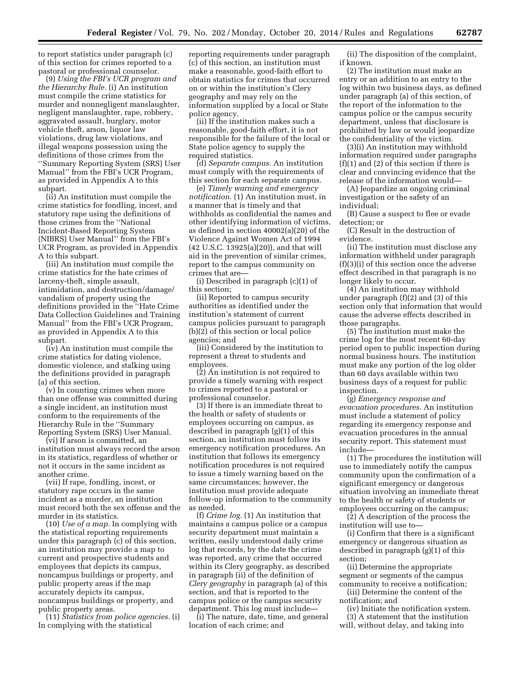to report statistics under paragraph (c) of this section for crimes reported to a pastoral or professional counselor.

(9) *Using the FBI's UCR program and the Hierarchy Rule.* (i) An institution must compile the crime statistics for murder and nonnegligent manslaughter, negligent manslaughter, rape, robbery, aggravated assault, burglary, motor vehicle theft, arson, liquor law violations, drug law violations, and illegal weapons possession using the definitions of those crimes from the ''Summary Reporting System (SRS) User Manual'' from the FBI's UCR Program, as provided in Appendix A to this subpart.

(ii) An institution must compile the crime statistics for fondling, incest, and statutory rape using the definitions of those crimes from the ''National Incident-Based Reporting System (NIBRS) User Manual'' from the FBI's UCR Program, as provided in Appendix A to this subpart.

(iii) An institution must compile the crime statistics for the hate crimes of larceny-theft, simple assault, intimidation, and destruction/damage/ vandalism of property using the definitions provided in the ''Hate Crime Data Collection Guidelines and Training Manual'' from the FBI's UCR Program, as provided in Appendix A to this subpart.

(iv) An institution must compile the crime statistics for dating violence, domestic violence, and stalking using the definitions provided in paragraph (a) of this section.

(v) In counting crimes when more than one offense was committed during a single incident, an institution must conform to the requirements of the Hierarchy Rule in the ''Summary Reporting System (SRS) User Manual.

(vi) If arson is committed, an institution must always record the arson in its statistics, regardless of whether or not it occurs in the same incident as another crime.

(vii) If rape, fondling, incest, or statutory rape occurs in the same incident as a murder, an institution must record both the sex offense and the murder in its statistics.

(10) *Use of a map.* In complying with the statistical reporting requirements under this paragraph (c) of this section, an institution may provide a map to current and prospective students and employees that depicts its campus, noncampus buildings or property, and public property areas if the map accurately depicts its campus, noncampus buildings or property, and public property areas.

(11) *Statistics from police agencies.* (i) In complying with the statistical

reporting requirements under paragraph (c) of this section, an institution must make a reasonable, good-faith effort to obtain statistics for crimes that occurred on or within the institution's Clery geography and may rely on the information supplied by a local or State police agency.

(ii) If the institution makes such a reasonable, good-faith effort, it is not responsible for the failure of the local or State police agency to supply the required statistics.

(d) *Separate campus.* An institution must comply with the requirements of this section for each separate campus.

(e) *Timely warning and emergency notification.* (1) An institution must, in a manner that is timely and that withholds as confidential the names and other identifying information of victims, as defined in section 40002(a)(20) of the Violence Against Women Act of 1994 (42 U.S.C. 13925(a)(20)), and that will aid in the prevention of similar crimes, report to the campus community on crimes that are—

(i) Described in paragraph (c)(1) of this section;

(ii) Reported to campus security authorities as identified under the institution's statement of current campus policies pursuant to paragraph (b)(2) of this section or local police agencies; and

(iii) Considered by the institution to represent a threat to students and employees.

(2) An institution is not required to provide a timely warning with respect to crimes reported to a pastoral or professional counselor.

(3) If there is an immediate threat to the health or safety of students or employees occurring on campus, as described in paragraph (g)(1) of this section, an institution must follow its emergency notification procedures. An institution that follows its emergency notification procedures is not required to issue a timely warning based on the same circumstances; however, the institution must provide adequate follow-up information to the community as needed.

(f) *Crime log.* (1) An institution that maintains a campus police or a campus security department must maintain a written, easily understood daily crime log that records, by the date the crime was reported, any crime that occurred within its Clery geography, as described in paragraph (ii) of the definition of *Clery geography* in paragraph (a) of this section, and that is reported to the campus police or the campus security department. This log must include—

(i) The nature, date, time, and general location of each crime; and

(ii) The disposition of the complaint, if known.

(2) The institution must make an entry or an addition to an entry to the log within two business days, as defined under paragraph (a) of this section, of the report of the information to the campus police or the campus security department, unless that disclosure is prohibited by law or would jeopardize the confidentiality of the victim.

(3)(i) An institution may withhold information required under paragraphs (f)(1) and (2) of this section if there is clear and convincing evidence that the release of the information would—

(A) Jeopardize an ongoing criminal investigation or the safety of an individual;

(B) Cause a suspect to flee or evade detection; or

(C) Result in the destruction of evidence.

(ii) The institution must disclose any information withheld under paragraph (f)(3)(i) of this section once the adverse effect described in that paragraph is no longer likely to occur.

(4) An institution may withhold under paragraph (f)(2) and (3) of this section only that information that would cause the adverse effects described in those paragraphs.

(5) The institution must make the crime log for the most recent 60-day period open to public inspection during normal business hours. The institution must make any portion of the log older than 60 days available within two business days of a request for public inspection.

(g) *Emergency response and evacuation procedures.* An institution must include a statement of policy regarding its emergency response and evacuation procedures in the annual security report. This statement must include—

(1) The procedures the institution will use to immediately notify the campus community upon the confirmation of a significant emergency or dangerous situation involving an immediate threat to the health or safety of students or employees occurring on the campus;

(2) A description of the process the institution will use to—

(i) Confirm that there is a significant emergency or dangerous situation as described in paragraph (g)(1) of this section;

(ii) Determine the appropriate segment or segments of the campus community to receive a notification;

(iii) Determine the content of the notification; and

(iv) Initiate the notification system. (3) A statement that the institution

will, without delay, and taking into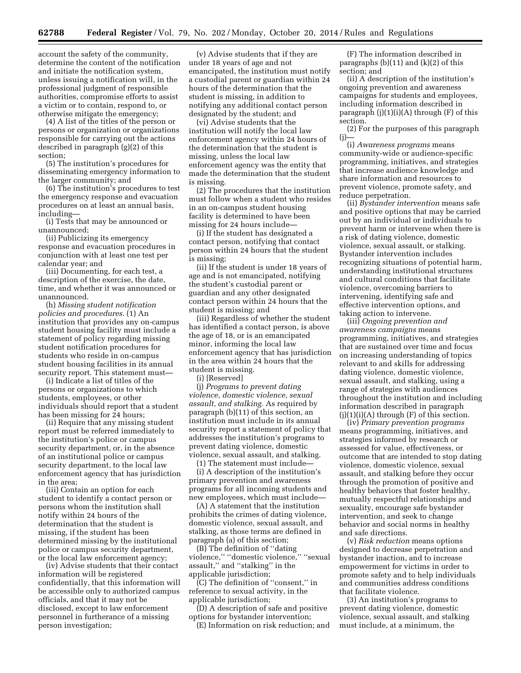account the safety of the community, determine the content of the notification and initiate the notification system, unless issuing a notification will, in the professional judgment of responsible authorities, compromise efforts to assist a victim or to contain, respond to, or otherwise mitigate the emergency;

(4) A list of the titles of the person or persons or organization or organizations responsible for carrying out the actions described in paragraph (g)(2) of this section;

(5) The institution's procedures for disseminating emergency information to the larger community; and

(6) The institution's procedures to test the emergency response and evacuation procedures on at least an annual basis, including—

(i) Tests that may be announced or unannounced;

(ii) Publicizing its emergency response and evacuation procedures in conjunction with at least one test per calendar year; and

(iii) Documenting, for each test, a description of the exercise, the date, time, and whether it was announced or unannounced.

(h) *Missing student notification policies and procedures.* (1) An institution that provides any on-campus student housing facility must include a statement of policy regarding missing student notification procedures for students who reside in on-campus student housing facilities in its annual security report. This statement must—

(i) Indicate a list of titles of the persons or organizations to which students, employees, or other individuals should report that a student has been missing for 24 hours;

(ii) Require that any missing student report must be referred immediately to the institution's police or campus security department, or, in the absence of an institutional police or campus security department, to the local law enforcement agency that has jurisdiction in the area;

(iii) Contain an option for each student to identify a contact person or persons whom the institution shall notify within 24 hours of the determination that the student is missing, if the student has been determined missing by the institutional police or campus security department, or the local law enforcement agency;

(iv) Advise students that their contact information will be registered confidentially, that this information will be accessible only to authorized campus officials, and that it may not be disclosed, except to law enforcement personnel in furtherance of a missing person investigation;

(v) Advise students that if they are under 18 years of age and not emancipated, the institution must notify a custodial parent or guardian within 24 hours of the determination that the student is missing, in addition to notifying any additional contact person designated by the student; and

(vi) Advise students that the institution will notify the local law enforcement agency within 24 hours of the determination that the student is missing, unless the local law enforcement agency was the entity that made the determination that the student is missing.

(2) The procedures that the institution must follow when a student who resides in an on-campus student housing facility is determined to have been missing for 24 hours include—

(i) If the student has designated a contact person, notifying that contact person within 24 hours that the student is missing;

(ii) If the student is under 18 years of age and is not emancipated, notifying the student's custodial parent or guardian and any other designated contact person within 24 hours that the student is missing; and

(iii) Regardless of whether the student has identified a contact person, is above the age of 18, or is an emancipated minor, informing the local law enforcement agency that has jurisdiction in the area within 24 hours that the student is missing.

(i) [Reserved]

(j) *Programs to prevent dating violence, domestic violence, sexual assault, and stalking.* As required by paragraph (b)(11) of this section, an institution must include in its annual security report a statement of policy that addresses the institution's programs to prevent dating violence, domestic violence, sexual assault, and stalking.

(1) The statement must include—

(i) A description of the institution's primary prevention and awareness programs for all incoming students and new employees, which must include—

(A) A statement that the institution prohibits the crimes of dating violence, domestic violence, sexual assault, and stalking, as those terms are defined in paragraph (a) of this section;

(B) The definition of ''dating violence,'' ''domestic violence,'' ''sexual assault,'' and ''stalking'' in the applicable jurisdiction;

(C) The definition of ''consent,'' in reference to sexual activity, in the applicable jurisdiction;

(D) A description of safe and positive options for bystander intervention;

(E) Information on risk reduction; and

(F) The information described in paragraphs  $(b)(11)$  and  $(k)(2)$  of this section; and

(ii) A description of the institution's ongoing prevention and awareness campaigns for students and employees, including information described in paragraph  $(j)(1)(i)(A)$  through  $(F)$  of this section.

(2) For the purposes of this paragraph  $(j)$ —

(i) *Awareness programs* means community-wide or audience-specific programming, initiatives, and strategies that increase audience knowledge and share information and resources to prevent violence, promote safety, and reduce perpetration.

(ii) *Bystander intervention* means safe and positive options that may be carried out by an individual or individuals to prevent harm or intervene when there is a risk of dating violence, domestic violence, sexual assault, or stalking. Bystander intervention includes recognizing situations of potential harm, understanding institutional structures and cultural conditions that facilitate violence, overcoming barriers to intervening, identifying safe and effective intervention options, and taking action to intervene.

(iii) *Ongoing prevention and awareness campaigns* means programming, initiatives, and strategies that are sustained over time and focus on increasing understanding of topics relevant to and skills for addressing dating violence, domestic violence, sexual assault, and stalking, using a range of strategies with audiences throughout the institution and including information described in paragraph  $(j)(1)(i)(A)$  through  $(F)$  of this section.

(iv) *Primary prevention programs*  means programming, initiatives, and strategies informed by research or assessed for value, effectiveness, or outcome that are intended to stop dating violence, domestic violence, sexual assault, and stalking before they occur through the promotion of positive and healthy behaviors that foster healthy, mutually respectful relationships and sexuality, encourage safe bystander intervention, and seek to change behavior and social norms in healthy and safe directions.

(v) *Risk reduction* means options designed to decrease perpetration and bystander inaction, and to increase empowerment for victims in order to promote safety and to help individuals and communities address conditions that facilitate violence.

(3) An institution's programs to prevent dating violence, domestic violence, sexual assault, and stalking must include, at a minimum, the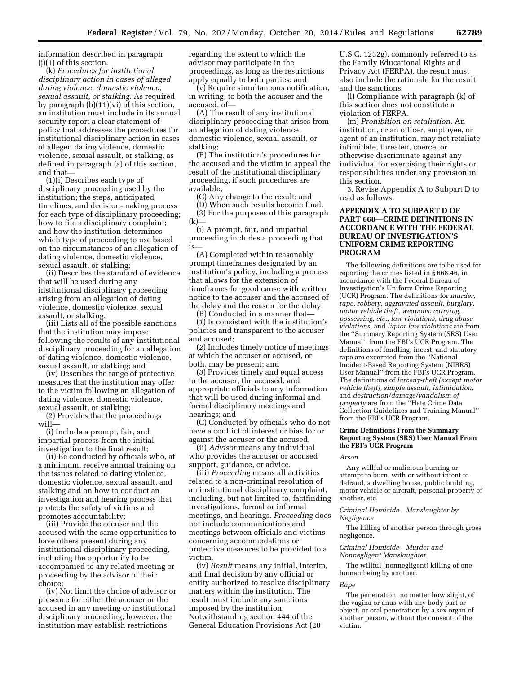information described in paragraph (j)(1) of this section.

(k) *Procedures for institutional disciplinary action in cases of alleged dating violence, domestic violence, sexual assault, or stalking.* As required by paragraph (b)(11)(vi) of this section, an institution must include in its annual security report a clear statement of policy that addresses the procedures for institutional disciplinary action in cases of alleged dating violence, domestic violence, sexual assault, or stalking, as defined in paragraph (a) of this section, and that—

(1)(i) Describes each type of disciplinary proceeding used by the institution; the steps, anticipated timelines, and decision-making process for each type of disciplinary proceeding; how to file a disciplinary complaint; and how the institution determines which type of proceeding to use based on the circumstances of an allegation of dating violence, domestic violence, sexual assault, or stalking;

(ii) Describes the standard of evidence that will be used during any institutional disciplinary proceeding arising from an allegation of dating violence, domestic violence, sexual assault, or stalking;

(iii) Lists all of the possible sanctions that the institution may impose following the results of any institutional disciplinary proceeding for an allegation of dating violence, domestic violence, sexual assault, or stalking; and

(iv) Describes the range of protective measures that the institution may offer to the victim following an allegation of dating violence, domestic violence, sexual assault, or stalking;

(2) Provides that the proceedings will—

(i) Include a prompt, fair, and impartial process from the initial investigation to the final result;

(ii) Be conducted by officials who, at a minimum, receive annual training on the issues related to dating violence, domestic violence, sexual assault, and stalking and on how to conduct an investigation and hearing process that protects the safety of victims and promotes accountability;

(iii) Provide the accuser and the accused with the same opportunities to have others present during any institutional disciplinary proceeding, including the opportunity to be accompanied to any related meeting or proceeding by the advisor of their choice;

(iv) Not limit the choice of advisor or presence for either the accuser or the accused in any meeting or institutional disciplinary proceeding; however, the institution may establish restrictions

regarding the extent to which the advisor may participate in the proceedings, as long as the restrictions apply equally to both parties; and

(v) Require simultaneous notification, in writing, to both the accuser and the accused, of—

(A) The result of any institutional disciplinary proceeding that arises from an allegation of dating violence, domestic violence, sexual assault, or stalking;

(B) The institution's procedures for the accused and the victim to appeal the result of the institutional disciplinary proceeding, if such procedures are available;

(C) Any change to the result; and

(D) When such results become final. (3) For the purposes of this paragraph (k)—

(i) A prompt, fair, and impartial proceeding includes a proceeding that is—

(A) Completed within reasonably prompt timeframes designated by an institution's policy, including a process that allows for the extension of timeframes for good cause with written notice to the accuser and the accused of the delay and the reason for the delay;

(B) Conducted in a manner that—

(*1*) Is consistent with the institution's policies and transparent to the accuser and accused;

(*2*) Includes timely notice of meetings at which the accuser or accused, or both, may be present; and

(*3*) Provides timely and equal access to the accuser, the accused, and appropriate officials to any information that will be used during informal and formal disciplinary meetings and hearings; and

(C) Conducted by officials who do not have a conflict of interest or bias for or against the accuser or the accused.

(ii) *Advisor* means any individual who provides the accuser or accused support, guidance, or advice.

(iii) *Proceeding* means all activities related to a non-criminal resolution of an institutional disciplinary complaint, including, but not limited to, factfinding investigations, formal or informal meetings, and hearings. *Proceeding* does not include communications and meetings between officials and victims concerning accommodations or protective measures to be provided to a victim.

(iv) *Result* means any initial, interim, and final decision by any official or entity authorized to resolve disciplinary matters within the institution. The result must include any sanctions imposed by the institution. Notwithstanding section 444 of the General Education Provisions Act (20

U.S.C. 1232g), commonly referred to as the Family Educational Rights and Privacy Act (FERPA), the result must also include the rationale for the result and the sanctions.

(l) Compliance with paragraph (k) of this section does not constitute a violation of FERPA.

(m) *Prohibition on retaliation.* An institution, or an officer, employee, or agent of an institution, may not retaliate, intimidate, threaten, coerce, or otherwise discriminate against any individual for exercising their rights or responsibilities under any provision in this section.

3. Revise Appendix A to Subpart D to read as follows:

## **APPENDIX A TO SUBPART D OF PART 668—CRIME DEFINITIONS IN ACCORDANCE WITH THE FEDERAL BUREAU OF INVESTIGATION'S UNIFORM CRIME REPORTING PROGRAM**

The following definitions are to be used for reporting the crimes listed in § 668.46, in accordance with the Federal Bureau of Investigation's Uniform Crime Reporting (UCR) Program. The definitions for *murder, rape, robbery, aggravated assault, burglary, motor vehicle theft, weapons: carrying, possessing, etc., law violations, drug abuse violations,* and *liquor law violations* are from the ''Summary Reporting System (SRS) User Manual'' from the FBI's UCR Program. The definitions of fondling, incest, and statutory rape are excerpted from the ''National Incident-Based Reporting System (NIBRS) User Manual'' from the FBI's UCR Program. The definitions of *larceny-theft (except motor vehicle theft), simple assault, intimidation,*  and *destruction/damage/vandalism of property* are from the ''Hate Crime Data Collection Guidelines and Training Manual'' from the FBI's UCR Program.

## **Crime Definitions From the Summary Reporting System (SRS) User Manual From the FBI's UCR Program**

*Arson* 

Any willful or malicious burning or attempt to burn, with or without intent to defraud, a dwelling house, public building, motor vehicle or aircraft, personal property of another, etc.

#### *Criminal Homicide—Manslaughter by Negligence*

The killing of another person through gross negligence.

#### *Criminal Homicide—Murder and Nonnegligent Manslaughter*

The willful (nonnegligent) killing of one human being by another.

#### *Rape*

The penetration, no matter how slight, of the vagina or anus with any body part or object, or oral penetration by a sex organ of another person, without the consent of the victim.